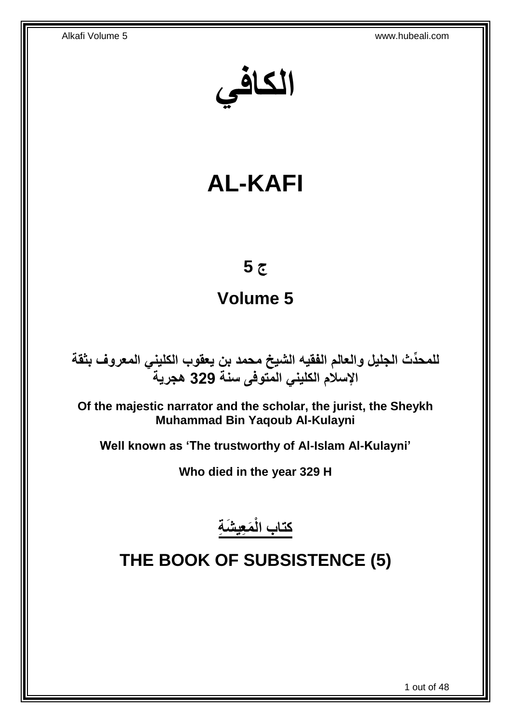**الكافي**

# **AL-KAFI**

## **ج 5**

## **Volume 5**

**دث الجليل والعالم الفقيه الشيخ محمد بن يعقوب الكليني المعروف بثقة للمح ِّ اإلسالم الكليني المتوفى سنة 329 هجرية**

**Of the majestic narrator and the scholar, the jurist, the Sheykh Muhammad Bin Yaqoub Al-Kulayni**

**Well known as 'The trustworthy of Al-Islam Al-Kulayni'**

**Who died in the year 329 H**

**َم ِعي َش ِة كتاب الْ**

# <span id="page-0-0"></span>**THE BOOK OF SUBSISTENCE (5)**

1 out of 48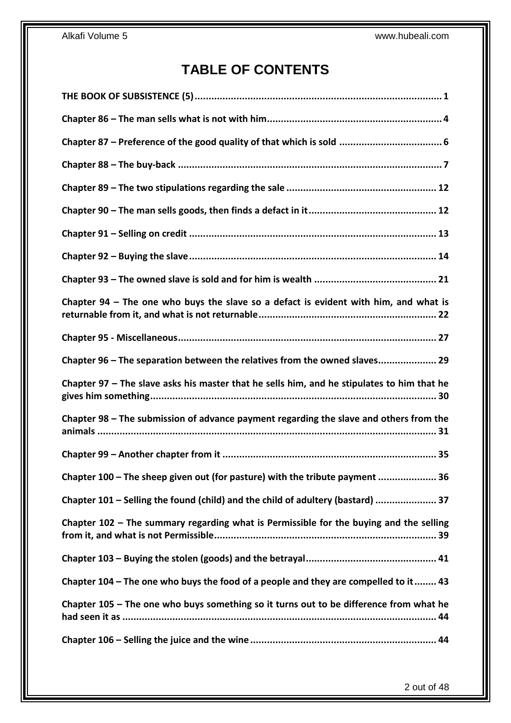## **TABLE OF CONTENTS**

| Chapter 94 - The one who buys the slave so a defact is evident with him, and what is       |
|--------------------------------------------------------------------------------------------|
|                                                                                            |
| Chapter 96 – The separation between the relatives from the owned slaves 29                 |
| Chapter 97 - The slave asks his master that he sells him, and he stipulates to him that he |
| Chapter 98 - The submission of advance payment regarding the slave and others from the     |
|                                                                                            |
| Chapter 100 – The sheep given out (for pasture) with the tribute payment  36               |
| Chapter 101 - Selling the found (child) and the child of adultery (bastard)  37            |
| Chapter $102$ – The summary regarding what is Permissible for the buying and the selling   |
|                                                                                            |
| Chapter 104 – The one who buys the food of a people and they are compelled to it 43        |
| Chapter 105 - The one who buys something so it turns out to be difference from what he     |
|                                                                                            |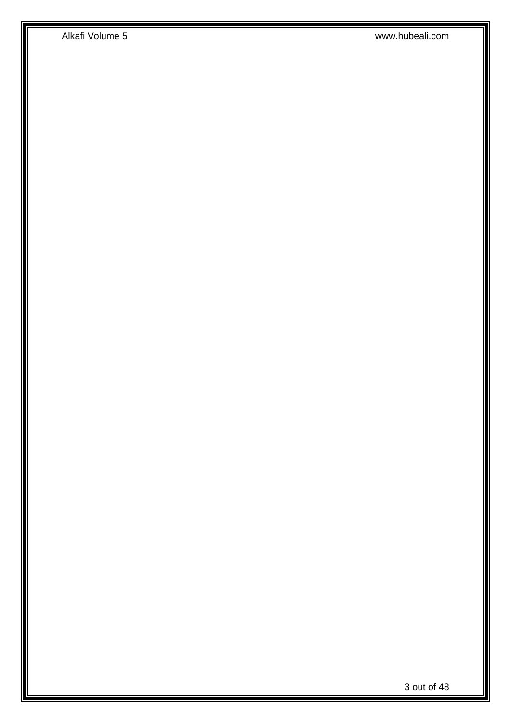3 out of 48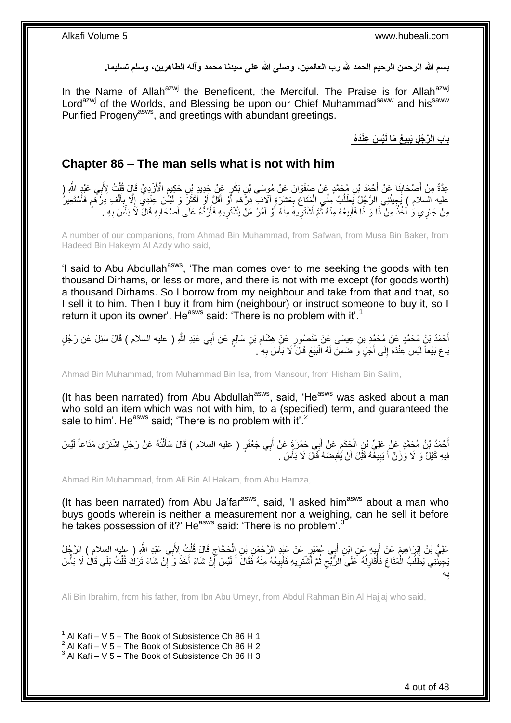**بسم هللا الرحمن الرحيم الحمد هلل رب العالمين، وصلى هللا على سيدنا محمد وآله الطاهرين، وسلم تسليما.**

In the Name of Allah<sup>azwj</sup> the Beneficent, the Merciful. The Praise is for Allah<sup>azwj</sup> Lord<sup>azwj</sup> of the Worlds, and Blessing be upon our Chief Muhammad<sup>saww</sup> and his<sup>saww</sup> Purified Progeny<sup>asws</sup>, and greetings with abundant greetings.

> **ْي َس ِعْنَدُه ي ُع َما لَ باب ال َّر ُج ِل َيب ِ**

### <span id="page-3-0"></span>**Chapter 86 – The man sells what is not with him**

عِدَّةٌ مِنْ أَصْحَابِنَا عَنْ أَحْمَدَ بْنِ مُحَمَّدٍ عَنْ صَفْوَانَ عَنْ مُوِسَى بْنِ بَكْرٍ عَنْ جَدِيدٍ بْنِ حَكِيمٍ الْأَزْدِيِّ قَالَ قُلْتُ لِأَبِي عَنْدٍ الثَّهِ ( َ **!** َ ْ ֧֖֧֖֖֖֖֖֧֖֖֖֖֧֧֧֧֧֧֧֧֧֧֧֧֧֧֧֧֧֚֚֚֚֚֚֚֚֚֚֚֝֝֟֓֝֓֝֓֝֬֟֓֝֬֟֓֝֬֝֓֝֓֝֬֝֓֝֬֝֬֝֓֝֬֝֬֓֝֬֝֬֝֬ عليه السلام ) يَجِيئُنِي الرَّجُلُ يَطْلُبُ مِنِّي الْمَتَاعَ بِعَشْرَةٍ آلَافٍ دِرَّهُمٍ أَوْ أَقَلَّ أَوْ أَكْثَرَ وَ لَئِسَّ عِنْدِي إِلَّا بِأَلْفِ دِرْهِمٍ فَأَسْتَعِيرُ َ َ َ َ َ ֧֖֖֚֚֚֓֝֬֝ **∶** ْ ؘ<br>ا َ ْ اً<br>أ ِ ِ مِنْ جَارِي وَ ٰ أَخُذُ مِنْ ۖ ذَا وَ ذَا فَأَبِيعُهُ مِنْهُ ثُمَّ أَشْتَرِيهِ مِنْهُ أَوْ آمُرُ مَنْ يَشْتَرِيهِ فَأَرُدُّهُ عَلَى أَصْحَابِهِ قَالَ لَاَ بَأْسَ بِهِ . ِ َ أ **ٍ** َ **∶** َ :<br>-**!** َ ِ ْ

A number of our companions, from Ahmad Bin Muhammad, from Safwan, from Musa Bin Baker, from Hadeed Bin Hakeym Al Azdy who said,

'I said to Abu Abdullah<sup>asws</sup>, 'The man comes over to me seeking the goods with ten thousand Dirhams, or less or more, and there is not with me except (for goods worth) a thousand Dirhams. So I borrow from my neighbour and take from that and that, so I sell it to him. Then I buy it from him (neighbour) or instruct someone to buy it, so I return it upon its owner'. He<sup>asws</sup> said: 'There is no problem with it'.<sup>1</sup>

أَحْمَدُ بْنُ مُحَمَّدٍ عَنْ مُحَمَّدٍ بْنِ عِيسَى عَنْ مَنْصُورٍ عَنْ هِشَامِ بْنِ سَالِمٍ عَنْ أَبِي عَبْدِ اللَّهِ ( عليه السلام ) قَالَ سُئِلَ عَنْ رَجُلٍ َ ֧֧֧֖֧֧֧֧֦֧֧֧֚֓֝֬֝֝֓֝֬֟֓֟֓֓֝֓֝֬֝֓֝֓֟֓֟֓֝֬ ِ َ بَاعَ بَيْعاً لَيْسَ عِنْدَهُ إِلَى أَجَلٍ وَ ضَمِنَ لَهُ الْبَيْعَ قَالَ َلَا بَأْسَ بِهِ ۖ . ِ ة<br>أ ْ َ  $\frac{1}{2}$ لَ

Ahmad Bin Muhammad, from Muhammad Bin Isa, from Mansour, from Hisham Bin Salim,

(It has been narrated) from Abu Abdullah<sup>asws</sup>, said, 'He<sup>asws</sup> was asked about a man who sold an item which was not with him, to a (specified) term, and guaranteed the sale to him'. He<sup>asws</sup> said; 'There is no problem with it'.<sup>2</sup>

أَحْمَدُ بْنُ مُحَمَّدٍ عَنْ عَلِيِّ بْنِ الْجَكَمِ عَنْ أَبِي حَمْزَةٍ عَنْ أَبِي جَعْفَرٍ ( عليه السلام ) قَالَ سَأَلْتُهُ عَنْ رَجُلٍ اشْتَرَى مَتَاعاً لَيْسَ ْ َ َ َ ِ ْ لَ فِيهِ كَيْلٌ وَ لَا وَزْنٌ أَ يَبِيغُهُ قَبْلَ أَنْ يَقْبِضَهُ قَالَ لَا بَأْسَ . **ٔ** ِ اُ **!** َ

Ahmad Bin Muhammad, from Ali Bin Al Hakam, from Abu Hamza,

(It has been narrated) from Abu Ja'far<sup>asws</sup>, said, 'I asked him<sup>asws</sup> about a man who buys goods wherein is neither a measurement nor a weighing, can he sell it before he takes possession of it?' He<sup>asws</sup> said: 'There is no problem'.<sup>3</sup>

**∶** عَلِيُّ بْنُ إِبْرَاهِيمَ عَنْ أَبِيهِ عَنِ ابْنِ أَبِي عُمَيْرٍ عَنْ عَبْدِ الرَّحْمَنِ بْنِ الْحَجَّاجِ قَالَ قُلْتُ لِأَبِي عَبْدِ اللَّهِ ( عليه السلام ) الرَّجُلُ ْ ِ ْ َ ار<br>ا َ ِ يَجِيئُنِي يَطَّلُبُ الْمَتَاعَ فَأُقَاوِلُهُ عَلَى الرَّبْحِ ثُمَّ أَشْتَرِيهِ فَأَبِيعُهُ مِنْهُ فَقَالَ أَ لَيْسَ إِنْ شَاءَ أَخَذَ وَ إِنْ شَاءَ تَرَكُ قُلْتُ بَلَى قَالَ لَا بَأْسَ **!** اُ **∶** َ ان بالانتقال المسلمان المسلمان المسلمان المسلمان المسلمان المسلمان المسلمان المسلمان المسلمان المسلمان المسلما<br>مسلمان المسلمان المسلمان المسلمان المسلمان المسلمان المسلمان المسلمان المسلمان المسلمان المسلمان المسلمان الم ِ ا<br>ا ِ ِ<br>ا ْ ُ ْ ْ ِ َ יֲ<br>י لَ َ ِه **∶** ب

Ali Bin Ibrahim, from his father, from Ibn Abu Umeyr, from Abdul Rahman Bin Al Hajjaj who said,

 $1$  Al Kafi – V 5 – The Book of Subsistence Ch 86 H 1

 $2$  Al Kafi – V 5 – The Book of Subsistence Ch 86 H 2

 $3$  Al Kafi – V 5 – The Book of Subsistence Ch 86 H 3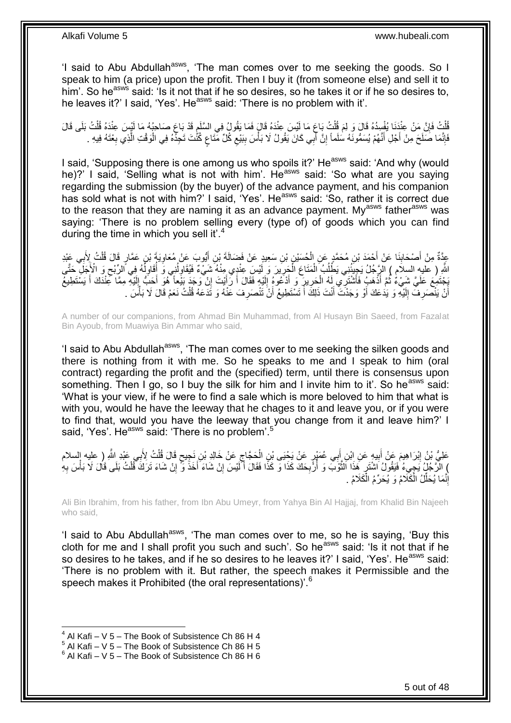'I said to Abu Abdullah<sup>asws</sup>, 'The man comes over to me seeking the goods. So I speak to him (a price) upon the profit. Then I buy it (from someone else) and sell it to him'. So he<sup>asws</sup> said: 'Is it not that if he so desires, so he takes it or if he so desires to, he leaves it?' I said, 'Yes'. He<sup>asws</sup> said: 'There is no problem with it'.

قُلْتُ فَإِنَّ مَنْ عِنْدَنَا يُفْسِدُهُ قَالَ وَ لِمَ قُلْتُ بَاعَ مَا لَيْسَ عِنْدَهُ قَالٍ فَمَا يَقُولُ فِي السَّلَمِ قَدْ بَاعَ صَاحِبُهُ مَا لَيْسَ عِنْدَهُ قُلْتُ بَلَى قَالَ ِ ْ ِ ْ ْ فَإِنَّمَا صَلَحَ مِنْ أَجْلِ أَنَّهُمْ يُسَمُّونَهُ سَلَماً إِنَّ أَبِي كَانَ يَقُولُ لَا بَأْسَ بِبَيْعِ كُلِّ مَثَاعٍ كُنَّتَ تَجِدَّهُ فِي الْوَقْتِ الَّذِي بِعْتَهُ فِيهِ . َ ِ َ ِ ِ َّ ْ ٍ ِ **! ٔ** 

I said, 'Supposing there is one among us who spoils it?' He<sup>asws</sup> said: 'And why (would he)?' I said, 'Selling what is not with him'. He<sup>asws</sup> said: 'So what are you saying regarding the submission (by the buyer) of the advance payment, and his companion has sold what is not with him?' I said, 'Yes'. He<sup>asws</sup> said: 'So, rather it is correct due to the reason that they are naming it as an advance payment. My<sup>asws</sup> father<sup>asws</sup> was saying: 'There is no problem selling every (type of) of goods which you can find during the time in which you sell it'.<sup>4</sup>

**∶** عِدَّةٌ مِنْ أَصْحَابِنَا عَنْ أَحْمَدَ بْنِ مُحَمَّدٍ عَنِ الْحُسَيْنِ بْنِ سَعِيدٍ عَنْ فَضَالَةَ بْنِ أَيُوبَ عَنْ مُعَاوِيَةٍ بْنِ عَمَّارٍ قَالَ قُلْتُ بِلأَبِي عَبْدِ َ ْ َ ِ ِ ْ اللَّهِ ( عَليهِ السلاَمِ ) الْرِّجُلُ يَجِنَّبُنِي يَظُلُبُ الْمَتَاعَ الْجَرِيِّرَ وَ لَيْسَ عِنْدِي مِنْهُ شَيْءٌ فَيُقَاوِلُنِي وَ أَقَاوِلُهُ فِي الرِّبْحِ وَ الْإَجَلِ حَتَّى ِ ْ ْ ُ ِ  $\overline{\phantom{a}}$ ِ ُ ِ يَجْتَمِعَ عَلَيَّ شَيْءٌ ثُمَّ أَذْهَبُ فَأَسْتَرِّي لَهُ الْجَرِيرَ وَ أَذْعُوهُ إِلَيْهِ فَقَالَ أَ رَأَيْتَ إِنْ وَجَدَ بَيْعاً هُوَ أَجَبَّ إِلَيْهِ مِمَّا عِنْدَكَ أَ يَسْتَطِيعُ لَ ِ َ ِ َ لَ ِ َ ِ ْ َ **ٔ** َ َ أَنْ يَنْصَرِفَ إِلَيْهِ وَ يَدَعَكَ أَوْ وَجَدْتَ أَنْتَ ذَلِكَ أَ تَسْتَطِيعُ أَنْ تَنْصَرِفَ عَنْهُ وَ تَدَعَهُ قُلْتُ نَعَمْ قَالَ لَا بَأَسَ . ْ ِ َ َ َ َ لَ ِ ِ اً ا<br>أ

A number of our companions, from Ahmad Bin Muhammad, from Al Husayn Bin Saeed, from Fazalat Bin Ayoub, from Muawiya Bin Ammar who said,

'I said to Abu Abdullah<sup>asws</sup>, 'The man comes over to me seeking the silken goods and there is nothing from it with me. So he speaks to me and I speak to him (oral contract) regarding the profit and the (specified) term, until there is consensus upon something. Then I go, so I buy the silk for him and I invite him to it'. So he<sup>asws</sup> said: 'What is your view, if he were to find a sale which is more beloved to him that what is with you, would he have the leeway that he chages to it and leave you, or if you were to find that, would you have the leeway that you change from it and leave him?' I said, 'Yes'. He<sup>asws</sup> said: 'There is no problem'.<sup>5</sup>

عَلِيُّ بْنُ إِبْرَاهِيمَ عَنْ أَبِيهٍ عَنِ ابْنِ أَبِي عُمَيْرٍ عَنْ يَحْيَى بْنِ الْحَجَّاجِ عَنْ خَالِدِ بْنِ نَجِيحٍ قَالَ قُلْتُ لِأَبِي عَبْدِ اللَّهِ ( عليه إلسلام َ **!** َ <u>֖֓</u> ْ ٍ ِ ْ إِ الْزَجْلُ يَجِيءُ فَيَقُولُ اشْتَرٍ هَذَا الثَّوْبَ وَ أُرْبِحَكَ كَذَا وَ كَذَا فَقَالَ أَنْيْسَ إِنْ شَاءَ أَخَذَ وَّ إِنْ شَاءَ تَرَكَ قُلْتُ بَلَى قَالَ لَا بَأْسَ بِهِ َ ِ لَ َ **∶** ِ:<br>ا َّ ¦ ِ ْ إِنَّمَا يُحَلِّلُ الْكَلَامُ وَ يُحَرِّمُ الْكَلَامُ . ْ ا<br>ا ِّ ِ

Ali Bin Ibrahim, from his father, from Ibn Abu Umeyr, from Yahya Bin Al Hajjaj, from Khalid Bin Najeeh who said,

'I said to Abu Abdullah<sup>asws</sup>, 'The man comes over to me, so he is saying, 'Buy this cloth for me and I shall profit you such and such'. So he<sup>asws</sup> said: 'Is it not that if he so desires to he takes, and if he so desires to he leaves it?' I said, 'Yes'. He<sup>asws</sup> said: 'There is no problem with it. But rather, the speech makes it Permissible and the speech makes it Prohibited (the oral representations)<sup>6</sup>

 $4$  Al Kafi – V 5 – The Book of Subsistence Ch 86 H 4

 $5$  Al Kafi – V 5 – The Book of Subsistence Ch 86 H 5

 $6$  Al Kafi – V 5 – The Book of Subsistence Ch 86 H 6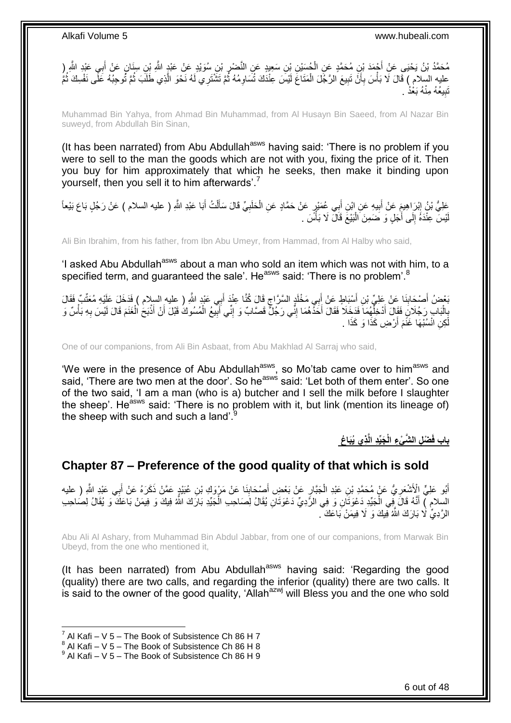مُحَمَّدُ بْنُ يَحْيَى عَنِْ أَجْمَدَ بْنِ مُحَمَّدٍ عَنِ الْجُسَيْنِ بْنِ سَعِيدٍ عَنِ النَّصْرِ بْنِ سُوَيْدٍ عَنْ عَبْدٍ اللَّهِ بِنِ سِنَانٍ عَنْ أَبِي عَبْدٍ اللَّهِ ( ِ ْ َ َ عليه السِّلام ) قَالَ لَا بَأْسَ بِأَنَّ تَبِيعَ الرَّجُلَ الْمَتَاعَ لَيْسَ عِنْدَكَ ثُمَاوِمُهُ ثُمَّ تَشْتَرِي لَهُ نَحْوَ الَّذِي طَلَّبَ ثُمَّ ثُورجِبُهُ عَلَّى نَفْسِكَ ثُمَّ ْ ِ ز<br>ا **∶** ؚ<br>֦֧֦֧֦֧֦֧֦֧֦֧֦֧֦֦֦֧֦֦֧֦֧֦֧֦֧֦֧֦֦֧֦֧֦֧֦֧֦֦֧֦֡֩֟֓֟֓֟֬֟֓֟֘֩֓֬֝֘֝֬֬֬ َّ ُ **∶** تَبِيعُهُ مِنْهُ بَعْدُ . ِ

Muhammad Bin Yahya, from Ahmad Bin Muhammad, from Al Husayn Bin Saeed, from Al Nazar Bin suweyd, from Abdullah Bin Sinan,

(It has been narrated) from Abu Abdullah<sup>asws</sup> having said: 'There is no problem if you were to sell to the man the goods which are not with you, fixing the price of it. Then you buy for him approximately that which he seeks, then make it binding upon yourself, then you sell it to him afterwards'.

عَلِيُّ بْنُ إِبْرَاهِيمَ عَنْ أَبِيهِ عَنِ إبْنِ أَبِي عُمَيْرٍ عَنْ حَمَّادٍ عَنِ الْحَلَبِيِّ قَالَ سَأَلْتُ أَبَا عَبْدِ اللَّهِ ( عليه السلام ) عَنْ رَجُلٍ بَاعَ بَيْعاً َ ْ َ ِ ْ َ **!** ِ يْسَ عِنْدَهُ إِلَى أَجَلٍ وَ ضَمِنَ الْبَيْعَ قَالَ لَا بَأْسَ . ا<br>أا ْ َ ِ لَ

Ali Bin Ibrahim, from his father, from Ibn Abu Umeyr, from Hammad, from Al Halby who said,

'I asked Abu Abdullah<sup>asws</sup> about a man who sold an item which was not with him, to a specified term, and guaranteed the sale'. He<sup>asws</sup> said: 'There is no problem'.<sup>8</sup>

بَعْضُ أَصْحَابِنَا عَنْ عَلِيِّ بْنِ أَسْبَاطٍ عَنْ أَبِي مَخْلَدٍ السَّرَّاجِ قَالَ كُنَّا عِنْدَ أَبِي عَبْدِ اللَّهِ ( عليه السلام ) فَدَخَلَ عَلَيْهِ مُعَتِّبٌ فَقَالَ<br>. َ َ ِ **∣** بِالْبَابِ رَجُلَانَِ فَقَالَ أَدْخِلُّهُمَا فَدَخَلَا فَقَالَ أَحَدُّهُمَا إِنِّي رَجُلٌّ قَصَّابٌ وَ إِنِّي أَبِيعُ الْمُسُوكَ قَبْلَ أَنْ أَدْبَحَ الْغَنَمَ قَالَ لَيْسَ بِهِ بَأْسٌ وَ ِ ֖֖֖֖֖֖ׅ֖֚֚֚֚֚֚֚֚֚֡֡֡֟֟֟֟֟֓֟֡֡֬֟֩֓֞֟֓֡֡֬֓֞֟֓֞֟֓֞֟֓֞֞֞֡֡֬֓֞֞֞ َ ا<br>ا **∶** ْ ِ ْ **ٔ:** َ َ ْ ِ َ ِ كِنِ انْسُبْهَا غَنَّمَ أَرْضِ كَذَا وَ كَذَا . َ لَ

One of our companions, from Ali Bin Asbaat, from Abu Makhlad Al Sarraj who said,

'We were in the presence of Abu Abdullah<sup>asws</sup>, so Mo'tab came over to him<sup>asws</sup> and said, 'There are two men at the door'. So he<sup>asws</sup> said: 'Let both of them enter'. So one of the two said, 'I am a man (who is a) butcher and I sell the milk before I slaughter the sheep'. He<sup>asws</sup> said: 'There is no problem with it, but link (mention its lineage of) the sheep with such and such a land'. $\frac{1}{2}$ 

**ْض ِل ال َّش ْي باب ف ِذي ُيَبا ُع َ َجِّيِد الَّ ِء الْ**

## <span id="page-5-0"></span>**Chapter 87 – Preference of the good quality of that which is sold**

أَبُو عَلِيٍّ الْأَشْعَرِيُّ عَنْ مُحَمَّدِ بْنِ عَبْدِ الْجَبَّارِ عَنْ بَعْضِ أَصْحَابِنَا عَنْ مَرْوَكِ بْنِ عُبْيْدٍ عَمَّنْ ذَكَرَهُ عَنْ أَبِي عَبْدِ اللَّهِ ( عليه ِ َ ِ ْ ِ َ السِّلامِ ﴾ أَنَّهُ قَالََ فِي الْجَيِّدِ دَعْوَتَانٍ وَ فِي الرَّدِيِّ دَعْوَتَانٍ يُقَالُ لِصَاحِبِ الْجَيِّدِ بَارَكَ اللَّهُ فِيكَ وَ فِيمَنْ بَاعَكَ وَ يُقَالُ لِصَاحِب ْ ْ الرَّ دِيِّ لَٰا يَكْ اللَّهُ فَلِكَ وَ لَا فِيمَنْ َبَاعَكَ

Abu Ali Al Ashary, from Muhammad Bin Abdul Jabbar, from one of our companions, from Marwak Bin Ubeyd, from the one who mentioned it,

(It has been narrated) from Abu Abdullah<sup>asws</sup> having said: 'Regarding the good (quality) there are two calls, and regarding the inferior (quality) there are two calls. It is said to the owner of the good quality, 'Allah<sup>azwj</sup> will Bless you and the one who sold

 $^7$  Al Kafi – V 5 – The Book of Subsistence Ch 86 H 7

 $8$  Al Kafi – V 5 – The Book of Subsistence Ch 86 H 8

 $^9$  Al Kafi – V 5 – The Book of Subsistence Ch 86 H 9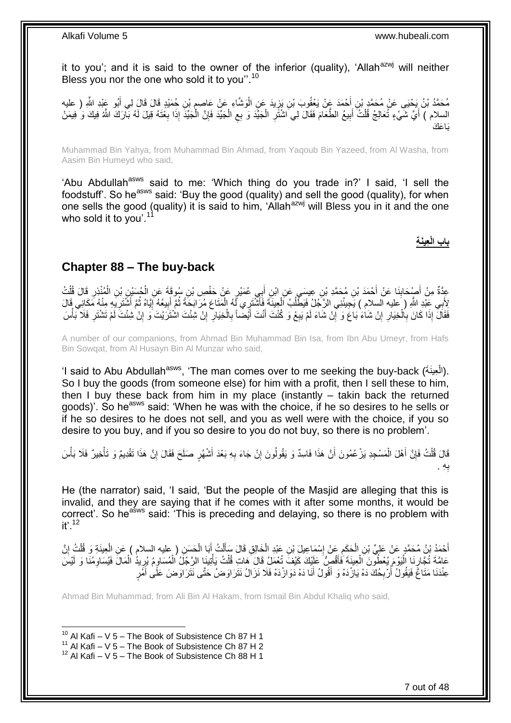it to you'; and it is said to the owner of the inferior (quality), 'Allah<sup>azwj</sup> will neither Bless you nor the one who sold it to you".<sup>10</sup>

مُحَمَّدُ بْنُ يَحْيَى عَنْ مُحَمَّدٍ بْنِ أَحْمَدَ عَنْ يَعْقُوبَ بْنِ يَزِيدَ عَنِ الْوَشَّاءِ عَنْ عَاصِمٍ بْنِ جُمَيْدٍ قَالَ قَالَ لِي أَبُو عَلِدٍ اللَّهِ ( عليه<br>. ِ ْ ِ َ َ السلام ) أَيَّ شَيْءٍ ثُعَالِجُ قُلْتُ أَبِيعُ الطَّعَامَ فَقَالَ لِي اشْثَرِ الْجَيَّدَ وَ بِعِ الْجَيِّدَ فَإِنَّ الْجَيِّدَ إِذَا بِغُثَهُ قِيلَ لَهُ بَآرَكَ اللَّهُ فِيكَ وَ فِيمَنْ ْ ِ **!** َ ْ ِ ْ ِ ْ ِ بَاعَكَ

Muhammad Bin Yahya, from Muhammad Bin Ahmad, from Yaqoub Bin Yazeed, from Al Washa, from Aasim Bin Humeyd who said,

'Abu Abdullah<sup>asws</sup> said to me: 'Which thing do you trade in?' I said, 'I sell the foodstuff'. So he<sup>asws</sup> said: 'Buy the good (quality) and sell the good (quality), for when one sells the good (quality) it is said to him, 'Allah<sup>azwj</sup> will Bless you in it and the one who sold it to you'.<sup>1</sup>

**ب ِعيَن ِة اب الْ**

### <span id="page-6-0"></span>**Chapter 88 – The buy-back**

ْ عِدَّةٌ مِنْ أُصِحَابِذَا عَنْ أَحْمَدَ بْنِ مُحَمَّدِ بْنِ عِيسَى عَنِ ابْنِ أَبِي عُمَيْرٍ عَنْ حَفْصِ بْنِ سُوقَةَ عَنِ الْحُسَبْنِ بْنِ الْمُنْذِرِ قَالَ قُلْتُ<br>مَعْظَمِّ الْمُنْذِرِ قَالَ قُلْتُ َ َ ِ َ ْ ِ ْ ِي عَلِّدِ اللَّهِ ( عليه السلام ) يَجِيئُنِي الرَّجُلُ فَيَطْلُبُ اَلْعِينَةَ فَأَشَّنَزِي ۚ أَهْ الْمَنَاعَ مُرَ ابَحَةً ثُمَّ أَبِيعُهُ إِيَّاهُ ثُمَّ أَشَّنَزِيَهِ مِنْهُ مَكَانِي قَالَ ِ َ ُ ِ ِ َ ُ ْ َ ْ ُ فَقَالَ إِذَا كَانَ بِالْخِيَارِ إِنْ شَاعَ لَمَاعَ الَمَ يَبِعْ وَ كُنْتَ أَنْتَ أَيْضًا بِالْخِيَارِ إِنْ شِئْتَ اشْتَرَيْتَ وَ إِنْ شِئْتَ لَمْ تَشْتَرِ فَلَا بَأْسَ ِ **∶** ْ ِ َ َ ِ ِ ֧<u>׀</u> ِ ْ **∶** ْ ِ ِ

A number of our companions, from Ahmad Bin Muhammad Bin Isa, from Ibn Abu Umeyr, from Hafs Bin Sowqat, from Al Husayn Bin Al Munzar who said,

'I said to Abu Abdullah<sup>asws</sup>, 'The man comes over to me seeking the buy-back (أَلْعِينَةَ). ْ So I buy the goods (from someone else) for him with a profit, then I sell these to him, then I buy these back from him in my place (instantly – takin back the returned goods)'. So he<sup>asws</sup> said: 'When he was with the choice, if he so desires to he sells or if he so desires to he does not sell, and you as well were with the choice, if you so desire to you buy, and if you so desire to you do not buy, so there is no problem'.

قَالَ قُلْتُ فَإِنَّ أَهْلَ الْمَسْجِدِ يَزْعُمُونَ أَنَّ هَذَا فَاسِدٌ وَ يَقُولُونَ إِنْ جَاءَ بِهِ بَعْدَ أَشْهُرٍ صَلَحَ فَقَالَ إِنَّ هَذَا تَقْدِيمٌ وَ تَأْخِيرٌ فَلَا بَأْسَ ْ َ ِ ْ ْ ِ َ ِ ِ ْ ِه ب ِ

He (the narrator) said, 'I said, 'But the people of the Masjid are alleging that this is invalid, and they are saying that if he comes with it after some months, it would be correct'. So he<sup>asws</sup> said: 'This is preceding and delaying, so there is no problem with  $it'$ <sup>12</sup>

ْ أَحْمَدُ بْنُ مُحَمَّدٍ عَنْ عَلِيِّ بْنِ الْحَكِمِ عَنْ إِسْمَاعِيلَ بْنِ عَبْدِ الْخَالِقِ قَالَ سَأَلْتُ إَبَا الْحَسَنِ ( عليه السلام ) عَنِ الْعِينَةِ وَ قُلْتُ إِنَّ اً ا ْ ِ **∶** ْ ِ ْ ْ ْ َ عَامَّةَ تُجَّارِنَا الْيَوْمَ يُعْطُونَ الْعِينَةَ فَأَقْصِّلُّ عَلِيْكَ كَيْفَ تُعْمَلُ قَالَ هَاتِ قُلْتُ يَأْتِينَا الرَّجُلُ الْمُسَاوِمُ يُرِيدُ الْمَالَ فَيُسَاوِمُنَا وَ لَيْسَ ْ ْ َ ْ ا<br>ا ِ ِ ْ ِ ِ ْ عِنْدَنَا مَتَاعٌ فَيَقُولُ أَرْبِحُكَ دَهْ يَازْدَهْ وَ أَقُولُ أَنَا دَهْ دَوَازْدَهْ فَلَا نَزَالُ نَتَرَاوَضُ حَتَّى نَتَرَاوَضَ عَلَى أَمْرٍ َ َ ِ ُ َ

Ahmad Bin Muhammad, from Ali Bin Al Hakam, from Ismail Bin Abdul Khaliq who said,

 $10$  Al Kafi – V 5 – The Book of Subsistence Ch 87 H 1

<sup>&</sup>lt;sup>11</sup> Al Kafi – V  $\frac{1}{2}$  – The Book of Subsistence Ch 87 H 2

 $12$  Al Kafi – V 5 – The Book of Subsistence Ch 88 H 1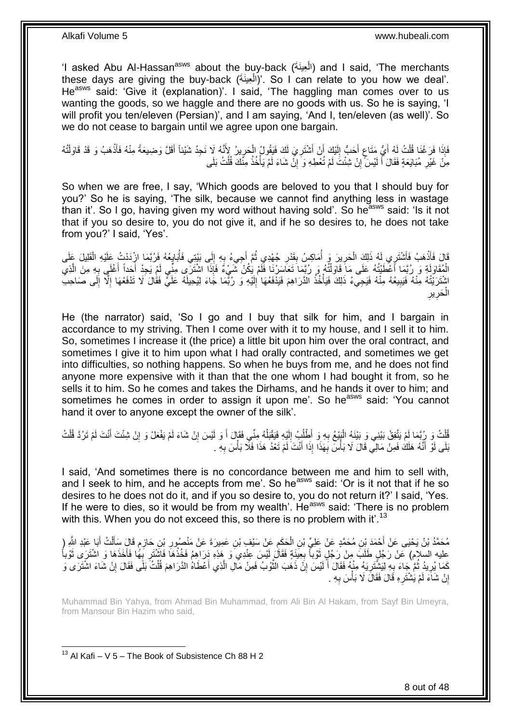'I asked Abu Al-Hassan<sup>asws</sup> about the buy-back (الْعِينَةَ) and I said, 'The merchants ْ these days are giving the buy-back (أَلْعِينَةَ). So I can relate to you how we deal'. ْ He<sup>asws</sup> said: 'Give it (explanation)'. I said, 'The haggling man comes over to us wanting the goods, so we haggle and there are no goods with us. So he is saying, 'I will profit you ten/eleven (Persian)', and I am saying, 'And I, ten/eleven (as well)'. So we do not cease to bargain until we agree upon one bargain.

لَ  $\frac{1}{2}$ فَإِذَا فَرَغْنَا قُلْتُ لَهُ أَيُّ مَتَاعٍ أَحَبُّ إِلَيْكَ أَنْ أَشْتَرِيَ لَكَ فَيَقُولُ إِلْحَرِيرُ لِأَنَّهُ لَإِ نَجِدُ شَيْئاً أَقَلَّ وَضِيعَةً مِنْهُ فَأَذْهَبُ وَ قَدْ قَاوَلْتُهُ َ ٍ َ ْ **ٔ** َ َ ِ ْ **∶** َ ْ مِنْ غَيْرِ مُبَايَعَةٍ فَقَالَ أَ لَيْسَ ۗ إِنْ شِئْتَ لَمْ تُعْطِهِ وَ إِنْ شَاءَ لَمْ يَأْخُذْ مِنَّكَ قُلْتُ بَلَى ِ ْ **ٔ** ْ ِ ِ لَ َ

So when we are free, I say, 'Which goods are beloved to you that I should buy for you?' So he is saying, 'The silk, because we cannot find anything less in wastage than it'. So I go, having given my word without having sold'. So he<sup>asws</sup> said: 'Is it not that if you so desire to, you do not give it, and if he so desires to, he does not take from you?' I said, 'Yes'.

قَالَ فَأَذْهَبُ فَأَشْتَرِي لَهُ ذَلِكَ الْحَرِيرَ وَ أَمَاكِسُ بِقَدْرٍ جُهْدِي ثُمَّ أُجِيءُ بِهِ إِلَى بَيْتِي فَأَبَايِعُهُ فَرُبَّمَا ازْدَدْتُ عَلَيْهِ الْقَلِيلَ عَلَى<br>فَانَ وَيَسْ وَقَدْتُ فَيَرْدُونَ فَيَرْدُونَ َ ُ ِ ِ ُ **∶** ْ :<br>إنا **ٔ** َ ْ ِ ر<br>أل ِ ֢֦֦֦֦֚֚֝֝֝ الْمُقَاوَلَةِ وَ رُبِّمَا أَعْطَنْتُهُ عَلَى مَا قَاوَلْتُهُ وَ رُبَّمَا تَعَاسَرْنَا فَلَمْ يَكُنْ شَيْءٌ فَإِذَا اشْتَرَى مِنِّي لَمْ يَجِدْ أَحَداً أَعْلَي بِهِ مِنَ الَّذِي ֺ֦֦֪֦֧֦֦֖֦֦֪֦֧֦֪֦֧֦֪֪֦֧֦֪֦֪֪֦֧֦֪֦֧֦֧֦֪֦֧֦֧֦֪֪֦֧֪֦֧֪֦֧֦֧֦֧֝֟֟֟֟֟֟֟֟֟֟֟֟֟֟֟֟֟֟֟֟֟֟֓֕֬֟֓֡֟֓֟֓֞֟֟֓֞֟֟֟֟֟֟֟֩֓֞֟֟֟֟֟֟ َ َّ ِ َ َ اشْتَرَيْتُهُ مِنْهُ فَيَبِيعُهُ مِنْهُ فَيَجِيءُ ذَلِكَ فَيَأْخُذُ الذَّرَاهِمَ فَيَدْفَعُهَا إِلَيْهِ وَ رُبِّمَا جَاءَ لِيُحِيلَهُ عَلَيٌّ فَقَالَ لَا تَدْفَعْهَا إِلَّا إِلَى صَاحِب **!** لَ ِ ْ اً<br>ا ِ ِ **∶** الْحَرِيرِ ِ ْ

He (the narrator) said, 'So I go and I buy that silk for him, and I bargain in accordance to my striving. Then I come over with it to my house, and I sell it to him. So, sometimes I increase it (the price) a little bit upon him over the oral contract, and sometimes I give it to him upon what I had orally contracted, and sometimes we get into difficulties, so nothing happens. So when he buys from me, and he does not find anyone more expensive with it than that the one whom I had bought it from, so he sells it to him. So he comes and takes the Dirhams, and he hands it over to him; and sometimes he comes in order to assign it upon me'. So he<sup>asws</sup> said: 'You cannot hand it over to anyone except the owner of the silk'.

ُلْتُ وَ رُبَّمَا لَمْ يَتَّفِقْ بَيْنِي وَ بَيْنَهُ الْبَيْعُ بِهِ وَ أَطْلُبُ إِلَيْهِ فَيَقْبَلُهُ مِنِّي فَقَالَ أَ وَ لَيْسَ إِنْ شَاءَ لَمْ يَفْعَلْ وَ إِنْ شِئْتَ أَنْتَ لَمْ تَرُدَّ قُلْتُ َ ُ لَ ِ ُ ِ :<br>ا ْ ْ َ ِ ِ ِ َنَلَى لَوْ أَنَّهُ هَلَكَ فَمِنْ مَالِي قَالَ لَا بَأْسٌ بِهَذَا إِذَا أَنْتَ لَمْ تَعْدُ هَذَا فَلًا بَأْسَ بِهِ . ْ َ ِ ْ َ

I said, 'And sometimes there is no concordance between me and him to sell with, and I seek to him, and he accepts from me'. So he<sup>asws</sup> said: 'Or is it not that if he so desires to he does not do it, and if you so desire to, you do not return it?' I said, 'Yes. If he were to dies, so it would be from my wealth'. He<sup>asws</sup> said: 'There is no problem with this. When you do not exceed this, so there is no problem with it'.<sup>13</sup>

مُحَمَّدُ بْنُ يَحْيَى عَنْ أَحْمَدَ بِنِ مُحَمَّدٍ عَنْ عَلِيٍّ بْنِ الْحَكَمِ عَنْ سَيْفٍ بْنِ عَمِيرَةَ عَنْ مَنْصُورِ بْنِ حَازِمٍ قَالٍَ سَأَلْتُ أَبَا عَبْدِ الثَّهِ (ِ َ ْ َ م<br>م ِ **ٍ** ِ ْ عليه السلام) عَنْ رَجُلٍ طَلَبَ مِنْ رَجُلٍ ثَوْباً بِعِيَنَةٍ فَقَالَ لَيْسَ عِنْدِيَ وَ هَذِهِ دَرَاهِمُ فَخُذْهَا فَاشْتَرِ بِهَمَّا فَأَخَذَهَا وَ اشْتَرَى ثَوْباً **ٔ ∶** روبا<br>سا َ ِ كَمَا يُرِيدُ ثُمَّ جَاءَ بِهِ لِيَشْتَرِيَهُ مِنْهُ فَقَالَ أَ لَيْسَ إِنْ ذَهَبَ الثَّوْبُ فَمِنْ مَالِ الَّذِي أَعْطَاهُ الذَّرَاهِمَ قُلْتُ بَلََى فَقَالَ إِنْ شَاءَ اشْتَرَى وَ َ َّ َّ ِ لَ َ ِ ِ ٔ.<br>ـ ِ ِ ْ إِنْ شَاَءَ لَمْ يَشْتَرِهِ قَالَ فَقَالَ لَا بَأْسَ بِهِ . ِ <u>֖֚֚֚֚֚֚֚֓</u> **∶ ٔ** 

Muhammad Bin Yahya, from Ahmad Bin Muhammad, from Ali Bin Al Hakam, from Sayf Bin Umeyra, from Mansour Bin Hazim who said,

1  $13$  Al Kafi – V 5 – The Book of Subsistence Ch 88 H 2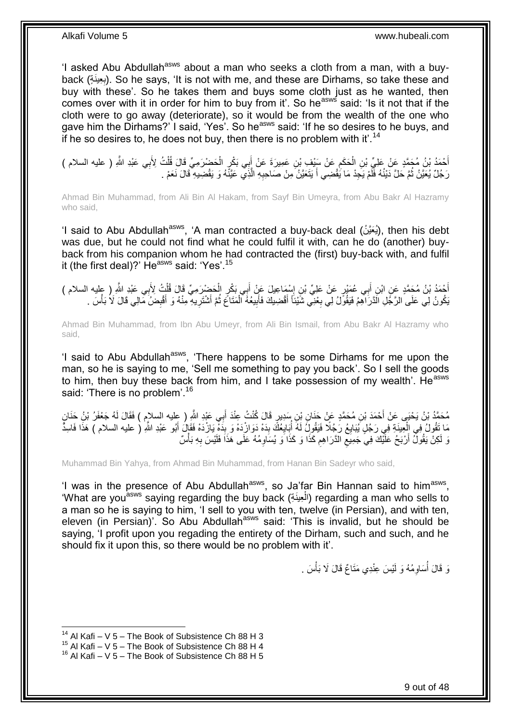'I asked Abu Abdullah<sup>asws</sup> about a man who seeks a cloth from a man, with a buyback (بِعِيْنَةِ). So he says, 'It is not with me, and these are Dirhams, so take these and ِ buy with these'. So he takes them and buys some cloth just as he wanted, then comes over with it in order for him to buy from it'. So he<sup>asws</sup> said: 'Is it not that if the cloth were to go away (deteriorate), so it would be from the wealth of the one who gave him the Dirhams?' I said, 'Yes'. So he<sup>asws</sup> said: 'If he so desires to he buys, and if he so desires to, he does not buy, then there is no problem with it'.<sup>14</sup>

أَحْمَدُ بْنُ مُحَمَّدٍ عَنْ عَلِيِّ بْنِ الْحَكَمِ عَنْ سَنِّفٍ بْنِ عَمِيرَةَ عَنْ إَبِي بَكْرٍ الْحَضْرَمِيِّ قَالَ قُلْتُ لِأَبِي عَبْدِ اللَّهِ ( عليه السلام ) ْ ْ َ ِ ْ َ رَجُلٌ يُعَيَّنُ ثُمَّ حَلَّ دَيْنُهُ فَلَمْ يَجِدْ مَا يَقْضِي أَ يَتَعَيَّنُ مِنْ صَاحِبِهِ الَّذِي عَيَّنَهُ وَ يَقْضِيهِ قَالَ نَعَمْ . ِ َ ا<br>ا اُ

Ahmad Bin Muhammad, from Ali Bin Al Hakam, from Sayf Bin Umeyra, from Abu Bakr Al Hazramy who said,

'I said to Abu Abdullah<sup>asws</sup>, 'A man contracted a buy-back deal (نُعَيَّنُ), then his debt was due, but he could not find what he could fulfil it with, can he do (another) buyback from his companion whom he had contracted the (first) buy-back with, and fulfil it (the first deal)?'  $He^{asws}$  said: 'Yes'.<sup>15</sup>

أَحْمَدُ بْنُ مُحَمَّدٍ عَنِ ابْنِ أَبِي عُمَيْرٍ عَنْ عَلِيِّ بْنِ إِسْمَاعِيلَ عَنْ أَبِي بَكْرٍ الْحَضْرَمِيِّ قَالَ قُلْتُ لِأَبِي عَبْدِ الثَّهِ ( عليه السلام ) َ َ ْ ْ َ ِ يَكُونُ لِي عَلَى الرَّجُلِ الَّذَرَاهِمُ فَيَقُوَّلُ لِي بِعْنِي شَيْئاً أَقْضِيكَ فَأَبِيعُهُ الْمَتَاعَ ثُمَّ أَشْتَرِيهِ مِنْهُ وَ أَقْبِضُ مَالِي قَالَ لَا بَأْسَ . **ٍ** َ ان<br>ا ْ ِ َ َ ِ ِ َ ْ

Ahmad Bin Muhammad, from Ibn Abu Umeyr, from Ali Bin Ismail, from Abu Bakr Al Hazramy who said,

'I said to Abu Abdullah<sup>asws</sup>, 'There happens to be some Dirhams for me upon the man, so he is saying to me, 'Sell me something to pay you back'. So I sell the goods to him, then buy these back from him, and I take possession of my wealth'. He<sup>asws</sup> said: 'There is no problem'.<sup>16</sup>

مُحَمَّدُ بْنُ يَحْيَى عَنْ أَحْمَدَ بْنِ مُحَمَّدٍ عَنْ حَذَانٍ بْنِ سَدِيرٍ قَالَ كُنْتُ عِنْدَ أَبِي عَبْدِ اللَّهِ ( عليه السلام ) فَقَالَ لَهُ جَعْفَرُ بْنُ حَذَانٍ<br>مَكِّدُ بْنُ يَحْيَى عَنْ أَحْمَدَ بْنِ مُحَمَّدٍ عَ َ َ مَا تَقُولُ فِي الْعِينَةِ فِي رَجُلٍ يَبَايِعُ رَجُلًا فَيَقُولُ لَهُ أَبَايِعُكَ بِدَهْ دَوَازْدَهْ وَ بِذَهْ يَازْدَهْ فَقَالُ أَبُو عَبْدِ اللّهِ ( عليه السلام ) هَذَا فَاسِدًّ **! !** ِ ُ ِ ْ َ رَ لَكِنْ يَقُولُ أَرْبَحُ عَلَّيْكَ فِي جَمِيع الذَّرَاهِم كَذَا وَ كَذَا وَ يُسَاوِمُهُ عَلَى هَذَا فَلَيْسَ بِهِ بَأْسٌ **ٔ** ِ ِ ِ ِ

Muhammad Bin Yahya, from Ahmad Bin Muhammad, from Hanan Bin Sadeyr who said,

'I was in the presence of Abu Abdullah<sup>asws</sup>, so Ja'far Bin Hannan said to him<sup>asws</sup>, 'What are you<sup>asws</sup> saying regarding the buy back (الْعِينَةِ) regarding a man who sells to ْ a man so he is saying to him, 'I sell to you with ten, twelve (in Persian), and with ten, eleven (in Persian)'. So Abu Abdullah<sup>asws</sup> said: 'This is invalid, but he should be saying, 'I profit upon you regading the entirety of the Dirham, such and such, and he should fix it upon this, so there would be no problem with it'.

> وَ قَالَ أَسَاوِمُهُ وَ لَيْسَ عِنْدِي مَتَاعٌ قَالَ لَا بَأْسَ . ْ ِ ر<br>د

<sup>&</sup>lt;sup>14</sup> Al Kafi – V 5 – The Book of Subsistence Ch 88 H 3

 $15$  Al Kafi – V 5 – The Book of Subsistence Ch 88 H 4

 $16$  Al Kafi – V 5 – The Book of Subsistence Ch 88 H 5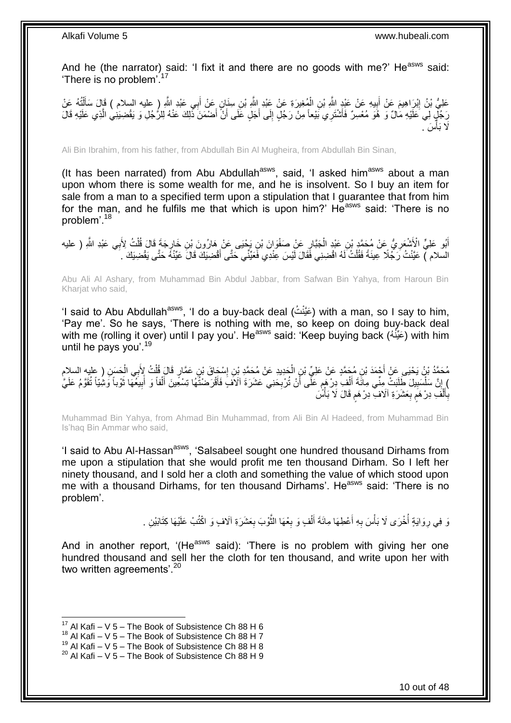And he (the narrator) said: 'I fixt it and there are no goods with me?' He<sup>asws</sup> said: 'There is no problem'.<sup>17</sup>

عَلِيُّ بْنُ إِبْرَاهِيمَ عَنْ أَبِيهِ عَنْ عَيْدٍ اللَّهِ بْنِ الْمُغِيرَةِ عَنْ عَبْدِ اللَّهِ بْنِ سِنَإِنٍ عَنْ أَبِي عَبْدِ اللَّهِ ( عليه السلام ) قَالَ سَأَلْتُهُ عَنْ َ ْ **!** َ ِ ْ َ رَجُلٍ لِي عَلَيْهِ مَالٌ وَ هُوَ مُعْسِرٌ فَأَشْتَرِي بَيْعاً مِنْ رَجُلٍ إِلَى أَجَلٍ عَلَى أَنَّ أَضْمَنَ ذَلِكَ عَنْهُ لِلرُّجُلِ وَ يَقْضِيَنِي الَّذِي عَلَيْهِ قَالَ<br>يَسْمَعُ َ َ َ ∣∣<br>∶ َ َّ لَا بَأَسَ <sub>.</sub> ْ

Ali Bin Ibrahim, from his father, from Abdullah Bin Al Mugheira, from Abdullah Bin Sinan,

(It has been narrated) from Abu Abdullah<sup>asws</sup>, said, 'I asked him<sup>asws</sup> about a man upon whom there is some wealth for me, and he is insolvent. So I buy an item for sale from a man to a specified term upon a stipulation that I guarantee that from him for the man, and he fulfils me that which is upon him?' He<sup>asws</sup> said: 'There is no problem'.<sup>18</sup>

أَبُو عَلِيٍّ الْأَشْعَرِيُّ عَنْ مُحَمَّدٍ بْنِ عَبْدٍ الْجَبَّارِ عَنْ صَفْوَانَ بْنِ يَجْيَى عَلْ هَارُونَ بْنِ خَارِجَةً قَالَ قُلْتُ لِأَبِي عَبْدِ اللَّهِ ( عليه ֦֧֦֧֦֧֦֧֦֧֦֧֦֧֜֜ ِ ْ ِ ْ السلام ) عَيَّنْتُ رَجُلًا عِينَةً فَقُلْتُ لَهُ اقْضِنِي فَقَالَ لَيْسَ عِنْدِي فَعَيِّنِّي حَتَّى أَقْضِيَكَ فَالَ عَيِّنْهُ حَتَّى يَقْضِيَكَ ۚ ا ْ َ

Abu Ali Al Ashary, from Muhammad Bin Abdul Jabbar, from Safwan Bin Yahya, from Haroun Bin Khariat who said.

'I said to Abu Abdullah<sup>asws</sup>, 'I do a buy-back deal (عَيَّنْتُ) with a man, so I say to him, 'Pay me'. So he says, 'There is nothing with me, so keep on doing buy-back deal with me (rolling it over) until I pay you'. He<sup>asws</sup> said: 'Keep buying back (عَيِّنْهُ) with him until he pays you'.<sup>19</sup>

مُحَمَّدُ بْنُ يَحْيَى عَنْ أَحْمَدَ بْنِ مُحَمَّدٍ عَنْ عَلِيِّ بْنِ الْحَدِيدِ عَنْ مُحَمَّدٍ بْنِ إِسْحَاقَ بْنِ عَمَّارٍ قَالَ قُلْتُ لِأَبِي الْحَسَنِ ( عليه السلام ْ ْ ِ ْ إِنَّ سَلْسَنِيلَ طَلَبَتْ مِنِّي مِائَةَ أَلْفِ دِرْ هَمٍ عَلَّى أَنْ تُرْبِحَنِي عَشَرَةَ الْاَفَ فَأَقْرَضنْتُهَا تِسْعِينَ أَلْفاً وَ أَبِيعُهَا ثَوْباً وَشُيّاً تُقَوَّمُ عَلَيَّ َ **∶** َ م ْ َ **!** ْ ِ َ ْ َ بِٱلْْفَ دِرْ هَمَ بِعَشَرَةِ آلَافَ دِرْ هَم قَالَ لَا بَأْسَ ْ ٍ **∶** ٍ ْ َ ِ

Muhammad Bin Yahya, from Ahmad Bin Muhammad, from Ali Bin Al Hadeed, from Muhammad Bin Is'haq Bin Ammar who said,

'I said to Abu Al-Hassan<sup>asws</sup>, 'Salsabeel sought one hundred thousand Dirhams from me upon a stipulation that she would profit me ten thousand Dirham. So I left her ninety thousand, and I sold her a cloth and something the value of which stood upon me with a thousand Dirhams, for ten thousand Dirhams'. He<sup>asws</sup> said: 'There is no problem'.

> َوَ فِي رِوَايَةٍ أُخْرَى لَا بَأْسَ بِهِ أَعْطِهَا مِانَةَ أَلْفٍ وَ بِعْهَا النَّوْبَ بِعَشَرَةِ آلَافٍ وَ اكْتُبْ عَلَيْهَا كِتَابَيْنِ . ِ َّ **∶** ْ َ َ **∶ ٔ** ا<br>ا ِ

And in another report, '(He<sup>asws</sup> said): 'There is no problem with giving her one hundred thousand and sell her the cloth for ten thousand, and write upon her with two written agreements<sup>'.20</sup>

 $17$  Al Kafi – V 5 – The Book of Subsistence Ch 88 H 6

 $18$  Al Kafi – V 5 – The Book of Subsistence Ch 88 H 7

<sup>19</sup> Al Kafi – V  $5 -$ The Book of Subsistence Ch 88 H 8

 $20$  Al Kafi – V 5 – The Book of Subsistence Ch 88 H 9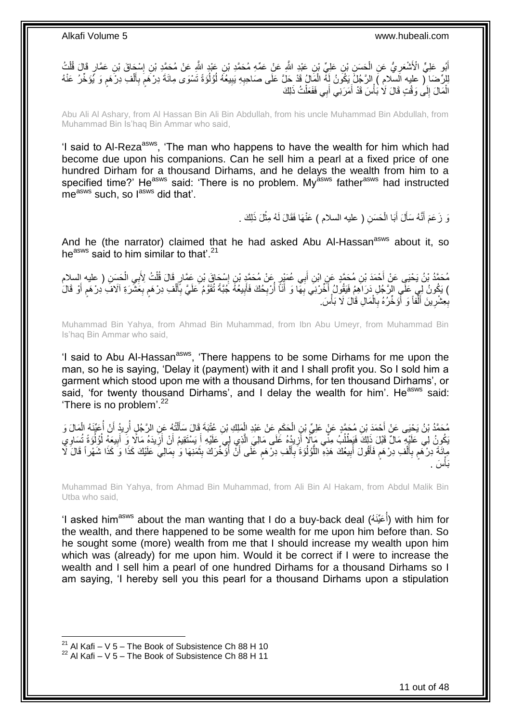أَبُو عَلِيٍّ الْأَشْعَرِ يُّ عَنِ الْحَسَنِ بْنِ عَلِيٍّ بْنِ عَبْدِ اللَّهِ عَنْ عَمِّهِ مُحَمَّدِ بْنِ عَبْدٍ اللَّهِ عَنْ مُحَمَّدِ بْنِ اِسْجَاقَ بْنِ عَمَّارٍ قَالَ قُلْتُ ْ ِ ْ ِ لِلِّ صَا ( عليه السلام ) الرَّجُلُّ يَكُونُ لَهُ الْمَالُ قَدْ حَلَّ عَلَى صَاحِبِهِ يَبِيعُهُ لُؤُلُوَةَ تَسْوَى مِائَةَ دِرْهَمَ بِأَلْفِ دِرْهَمٍ وَ يُؤَخِّرُ عَنْهُ م<br>وا ُ ُ **!** ِ ْ ֧֖֧֦֖֖֖֧֧֧֧֧֧֧֧֧֧֧֧֧֧֚֚֚֝֝֝֓֟֓֝֓֝֓֝֓֟֓֝֬֝֬֝֬֝֓֬֝֬֝֓֟֓֟֓֬֓֝֓֝֬֝֬֝֓֝֬֝֬֓֝֬֝֓֝֬֝֬ ْ َ ِ الْمَالَ إِلَىٰ وَقْتٍ قَالَ لَا بَأْسَ قَدْ أَمَرَنِي أَبِي فَفَعَلْتُ ذَلِكَ ْ َ َ **ٔ**  $\frac{1}{2}$ ْ

Abu Ali Al Ashary, from Al Hassan Bin Ali Bin Abdullah, from his uncle Muhammad Bin Abdullah, from Muhammad Bin Is'haq Bin Ammar who said,

'I said to Al-Reza<sup>asws</sup>, 'The man who happens to have the wealth for him which had become due upon his companions. Can he sell him a pearl at a fixed price of one hundred Dirham for a thousand Dirhams, and he delays the wealth from him to a specified time?' He<sup>asws</sup> said: 'There is no problem. My<sup>asws</sup> father<sup>asws</sup> had instructed measws such, so lasws did that'.

> وَ زَعَمَ أَنَّهُ سَأَلَ أَبَا الْحَسَنِ ( عليه السلام ) عَنْهَا فَقَالَ لَهُ مِثْلَ ذَلِكَ . ْ ْ َ اُ ا<br>ا

And he (the narrator) claimed that he had asked Abu Al-Hassan<sup>asws</sup> about it, so he<sup>asws</sup> said to him similar to that'.<sup>21</sup>

مُحَمَّدُ بْنُ يَحْيَىِ عَنْ أَحْمَدَ بْنِ مُحَمَّدٍ عَنٍ ابْنِ أَبِي عُمَيْرٍ عَنْ مُحَمَّدٍ بْنِ إِسْجَاقَ بْنِ عَمَّارٍ قَالَ قُلْتُ لِأَبِي الْحَسِنِ ( عليه السلام<br>. ْ ْ اِ َ ) يَكُونُ لِي عَلَّى الرَّجُلِ دَرَاهِمُ فَيَقُولُ<sub>،</sub> أَخِّرْنِي بِهَا وَ أَنَا أُرْبِحُكَ فَأَبِيعُهُ جَبَّةً تُقَوَّمُ عَلَيَّ بِأَلْفِ دِرْهَمٍ بِعَشَّرَةِ آلَافَ دِرْهَمٍ أَوْ قَالَ ِ َ ِ َ ِ َ ْ َ ِ َ ہ<br>پا **∶** ֧֖֧֖֚֚֚֓֝֬֝ بِعِشْرِينَ أَلْمَاً وَ أَوَخِّرُهُ بِالْمَالِ قَالَ لَا بَأْسَ. **ٔ** ْ **∶** ِ<br>ا ْ ِ **∶** 

Muhammad Bin Yahya, from Ahmad Bin Muhammad, from Ibn Abu Umeyr, from Muhammad Bin Is'haq Bin Ammar who said,

'I said to Abu Al-Hassan<sup>asws</sup>, 'There happens to be some Dirhams for me upon the man, so he is saying, 'Delay it (payment) with it and I shall profit you. So I sold him a garment which stood upon me with a thousand Dirhms, for ten thousand Dirhams', or said, 'for twenty thousand Dirhams', and I delay the wealth for him'. He<sup>asws</sup> said: 'There is no problem'.<sup>22</sup>

ĺ مُحَمَّدُ بْنُ يَحْيَى عَنْ أَحْمَدَ بْنِ مُحَمَّدٍ عَنٍْ عَلِيِّ بْنِ الْحَكَمِ عَنْ عَبْدِ الْمَلِكِ بْنِ عُثْبَةَ قَالَ سَأَلْتُهُ عَنِ الرَّجُلٍ أُرِيدُ أَنْ أُعَيِّنَهُ الْمَالَ وَ<br>مُحَمَّدُ بْنُ يَحْيَى عَنْ أَحْمَدَ ْ ِ ْ ْ ُ َ ِ ا<br>ا ْ يَكُونُ لِي عَلَيْهِ مَالٌ قَبْلَ ذَلِكَ فَيَطْلُبُ مِنِّي مَالَإٍ أَزِيدُهُ عَلَى مَالِيَ الَّذِي لِيَ عَلَيْهِ أَ يَسْتَقِيمُ أَنْ أَزِيدَهُ مَالًا وَ أَبِيعَهُ لُوُلُوَةً تُسَاوِي ِ ُ **∶** ا<br>ا ُ ِ َ ِ َ َ َ َّ مِائَةَ دِرْهَم بِأَلْفِ دِرْهَم فَأَقُولَ أَبِيعُكَ هَذِهِ اللَّؤُلُؤَةَ بِأَلْفِ دِرْهَم عَلَى أَنْ أَوَّخِّرَكَ بِثَمَنِهَا وَ بِمَالِيَ عَلَيْكَ كَذَا وَ كَذَا شَهْراً قَالَ لَأ َ  $\frac{1}{2}$ ُ اُ ٍ ْ َ **∶** ُ ُّ **!** َ َ ٍ ْ َ ِ ٍ ِ بَأسَ . **ٔ** 

Muhammad Bin Yahya, from Ahmad Bin Muhammad, from Ali Bin Al Hakam, from Abdul Malik Bin Utba who said,

'I asked him<sup>asws</sup> about the man wanting that I do a buy-back deal (أُعَيِّنَهُ) with him for المستقبل المستقبل المستقبل المستقبل المستقبل المستقبل المستقبل المستقبل المستقبل المستقبل المستقبل المستقبل ال<br>المستقبل المستقبل المستقبل المستقبل المستقبل المستقبل المستقبل المستقبل المستقبل المستقبل المستقبل المستقبل ال the wealth, and there happened to be some wealth for me upon him before than. So he sought some (more) wealth from me that I should increase my wealth upon him which was (already) for me upon him. Would it be correct if I were to increase the wealth and I sell him a pearl of one hundred Dirhams for a thousand Dirhams so I am saying, 'I hereby sell you this pearl for a thousand Dirhams upon a stipulation

 $^{21}$  Al Kafi – V 5 – The Book of Subsistence Ch 88 H 10

 $22$  Al Kafi – V 5 – The Book of Subsistence Ch 88 H 11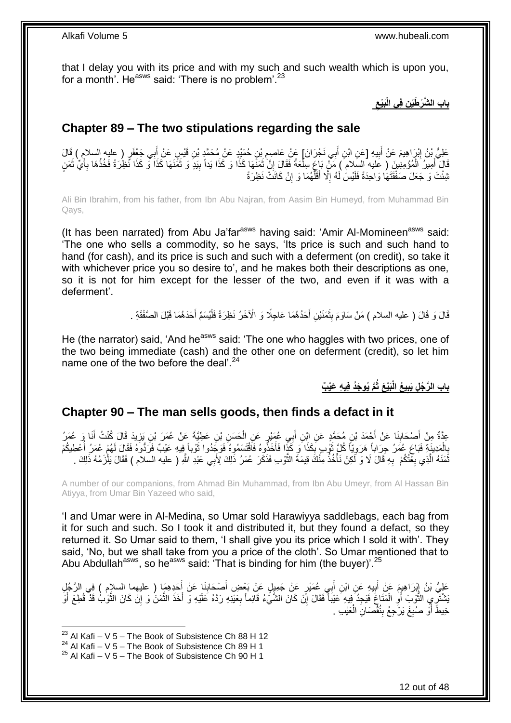that I delay you with its price and with my such and such wealth which is upon you, for a month'. He<sup>asws</sup> said: 'There is no problem'.<sup>23</sup>

> **ِ َبْيع ِن فِي الْ باب ال َّش ْر َطْي**

## <span id="page-11-0"></span>**Chapter 89 – The two stipulations regarding the sale**

عَلِيُّ بْنُ إِبْرَاهِيمَ عَنْ أَبِيهِ [عَنِ ابْنِ أَبِي نَجْرَانَ] عَنْ عَاصِمِ بْنِ حُمَيْدٍ عَنْ مُحَمَّدٍ بْنِ قَيْسٍ عَنْ أَبِي جَعْفَرٍ ( عليه السلام ) قَالَ ِ َ ِ َ قَالَ أَمِيرُ الْمُؤْمِنِينَ ( عَليه السِّلام ) مَنْ بَاعَ سِلْعَةً فَقَالَ إِنَّ ثَمَنَهَا كَذَا وَ كَذَا بَداً بِيَدٍ وَ ثَمَّنَهَا كَذَا وَ كَذَا نَظِرُةً فَخُذْهَا بِأَيُّ ثَمَنٍ َ ِ َ יֲ<br>י ا<br>ا ْ َ َ َ ِ **ٔ:** ُّ نْشِنَّتَ وَ جَعَلَ صَفْقَتَهَا وَاحِدَةً فَلَيْسُ لَهُ إِلَّا أَقَلَّهُمَا وَ إِنْ كَانَتْ نَظِرَةً َ ِ ِ

Ali Bin Ibrahim, from his father, from Ibn Abu Najran, from Aasim Bin Humeyd, from Muhammad Bin Qays,

(It has been narrated) from Abu Ja'far<sup>asws</sup> having said: 'Amir Al-Momineen<sup>asws</sup> said: 'The one who sells a commodity, so he says, 'Its price is such and such hand to hand (for cash), and its price is such and such with a deferment (on credit), so take it with whichever price you so desire to', and he makes both their descriptions as one, so it is not for him except for the lesser of the two, and even if it was with a deferment'.

> قَالَ وَ قَالَ ( عليه السلام ) مَنْ سَاوَمَ بِثَمَنَيْنِ أَحَدُهُمَا عَاجِلًا وَ الْأَخَرُ نَظِرَةً فَلْيُسَمِّ أَحَدَهُمَا قَبْلَ الصَّفْقَةِ . َ ْ َ **∣**

He (the narrator) said, 'And he<sup>asws</sup> said: 'The one who haggles with two prices, one of the two being immediate (cash) and the other one on deferment (credit), so let him name one of the two before the deal'.<sup>24</sup>

> **َّم ُيو َجُد فِي ِه َعْي ب َبْي َع ثُ ي ُع الْ باب ال َّر ُج ِل َيب ِ**

### <span id="page-11-1"></span>**Chapter 90 – The man sells goods, then finds a defact in it**

عِدَّةٌ مِنْ أَصْحَابِذَا عَنْ أَجْمَدَ بْنِ مُحَمَّدٍ عَنِ اِبْنِ أَبِي عُمَيْرٍ عَنِ الْحَسَنِ بْنِ عَطِيَّةَ عَنْ عُمَرَ بْنِ يَزِيدَ قَالَ كُنْتُ أَنَا وَ عُمَرُ َ ِ َ َ **ٍ** ْ َ بِالْمَدِينَةِ فَبَاعَ عُمَرُ جِرَاباً هَرَوِيّاً كُلَّ ثَوْبٍ بِكَذَا ۖوَ كَذٍّ فَأَخَذُوهُ فَأَقْتَسَمُوهُ فَوَجِّدُوا ثَوْباً فِيهِ عَيْبٌ فَرَدُّوهُ فَقَالَ لَهُمْ عُمَرُ أُعْطِيكُمْ َ َ ِ َ ِ ْ **∶** نْمَذَهُ الَّذِي بِغْتُكُمْ ۚ بِهِ قَالَ لَا وَّ لَّكِنْ نَأْخُذُ مِنْكَ قِيمَةَ النُّوْبِ فَذَكَرَ عُمَرُ ذَلِكَ لِأَبِي عَبْدِ اللَّهِ ( عليه السلام ) فَقَالَ يَلْزَمُهُ ذَلِكَ . َّ ة<br>المسابق ِ ِ َّ ْ

A number of our companions, from Ahmad Bin Muhammad, from Ibn Abu Umeyr, from Al Hassan Bin Atiyya, from Umar Bin Yazeed who said,

'I and Umar were in Al-Medina, so Umar sold Harawiyya saddlebags, each bag from it for such and such. So I took it and distributed it, but they found a defact, so they returned it. So Umar said to them, 'I shall give you its price which I sold it with'. They said, 'No, but we shall take from you a price of the cloth'. So Umar mentioned that to Abu Abdullah<sup>asws</sup>, so he<sup>asws</sup> said: 'That is binding for him (the buyer)'.<sup>25</sup>

عَلِيُّ بْنُ إِبْرَاهِيمَ عَنْ أَبِيهِ عَنِ ابْنِ أَبِي عُمَيْرٍ عَنْ جَمِيلٍ عَنْ بَعْضِ أَصْحَابِنَا عَنْ أَحَدِهِمَا ( عليهما السلام ) فِي الرَّجُلِ َ  $\frac{1}{2}$ َ َ ِ َ ון<br>; َنِتْنَثِّرِيِ الثَّوْبَ أَوِ الْمَتَاعَ فَيَجِدُ فِيهِ عَيْبَأَ فَقَالَ إِنْ كَانَ الشَّيُّءُ قَائِماً بِعَيْذِهِ رَدَّهُ عَلَيْهِ وَ أَخَذَ الثُّمَنَ وَ إِنْ كَانَ الثُّوْبُ قَدْ قُطِعَ أَوْ ِ ْ ِ َّ َ َّ ِ َّ َ ِ خِيطَ أَوْ صُبِغَ يَرْجِعُ بِنُفَّصَانِ الْعَيْبِ . ْ **∣** ِ :<br>ا

<sup>1</sup>  $23$  Al Kafi – V 5 – The Book of Subsistence Ch 88 H 12

 $^{24}$  Al Kafi – V 5 – The Book of Subsistence Ch 89 H 1

 $25$  Al Kafi – V 5 – The Book of Subsistence Ch 90 H 1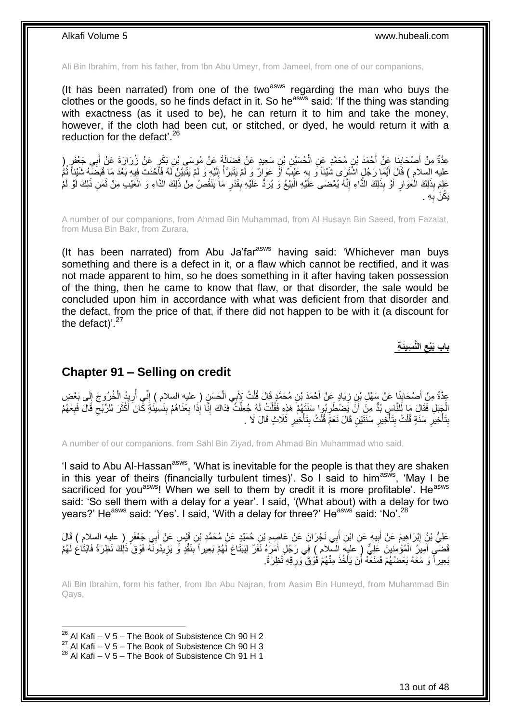Ali Bin Ibrahim, from his father, from Ibn Abu Umeyr, from Jameel, from one of our companions,

(It has been narrated) from one of the two<sup>asws</sup> regarding the man who buys the clothes or the goods, so he finds defact in it. So he<sup>asws</sup> said: 'If the thing was standing with exactness (as it used to be), he can return it to him and take the money, however, if the cloth had been cut, or stitched, or dyed, he would return it with a reduction for the defact'.<sup>26</sup>

عِدَّةٌ مِنْ أَصْحَابِنَا عَنْ أَحْمَدَ بْنِ مُحَمَّدٍ عَنِ الْحُسَيْنِ بْنِ سَعِيدٍ عَنْ فَضِالَةَ عَنْ مُوِسَى بْنِ بَكْرٍ عَنْ زُرَارَةَ عَنْ أَبِي جَعْفَرٍ (ِ ْ **∣** َ َ عليه السلام ) قَالَ أَيُمَا رَجُلٍ اشَّتَرِى شَيْئاً وَ بِهِ عَيْبٌ أَوْ عَوَالٌ وَ لَمْ يَتَبَرَّأُ إِلَيْهِ وَ لَمْ يَتَبَيَّنُ لَهُ فَأَحْدَثَ فِيهِ بَعْدَ مَا قَبَضَهِ شَيْئاً ثُمَّ َ ِ َ لَ  $\frac{1}{2}$ ْ عَلِمَ بِذَلِكَ الْعَوَارِ أَوْ بِذَلِكَ الدَّاءِ إِنَّهُ يُمْضَى عَلَيْهِ الْبَيْعُ وَ يُرَدُّ عَلَيْهِ بِقَدْرِ مَاَ يَنْقُصُ مِنْ ذَلِكَ الدَّاءِ وَ الْعَيْبِ مِنْ ثَمَنِ ذَلِكَ لَوْ لَمْ **ٍ ِ** ْ ِ َ ِ ْ ْ َ يَكُنْ بِهِ . **∶** 

A number of our companions, from Ahmad Bin Muhammad, from Al Husayn Bin Saeed, from Fazalat, from Musa Bin Bakr, from Zurara,

(It has been narrated) from Abu Ja'far<sup>asws</sup> having said: 'Whichever man buys something and there is a defect in it, or a flaw which cannot be rectified, and it was not made apparent to him, so he does something in it after having taken possession of the thing, then he came to know that flaw, or that disorder, the sale would be concluded upon him in accordance with what was deficient from that disorder and the defact, from the price of that, if there did not happen to be with it (a discount for the defact)'.<sup>27</sup>

> **الَّن ِسيَئ ِة باب َبْيع ِ**

### <span id="page-12-0"></span>**Chapter 91 – Selling on credit**

عَدَّةٌ مِنْ أَصْحَابِنَا عَنْ سَهْلِ بْنِ زِيَادٍ عَنْ أَحْمَدَ بْنِ مُحَمَّدٍ قَالَ قُلْتُ لِأَبِي الْحَسَنِ ( عليه السلام ) إِنِّي أُرِيدُ الْخُرُوجَ إِلَى بَعْضِ ْ ْ َ ِ ِ لَ ِ ِ ِ الْجَنَلِ فَقَالَ مَا لَلنَّاسِ بُدٌّ مِنْ أَنَّ يَضْطِّرِبُوا سَنَتَهُمْ هَذِهِ فَقُلْتُ لَهُ جُعِلْتُ فِدَاكَ إِنَّا إِذَا بِعْنَاهُمْ بِنَسِيْئَةٍ كَانَ أَكْثَرَ لِلرِّيْحِ قَالَ فَبِعْهُمْ ْ َ َ **∶** ِ ْ ْ **ٍ** ر<br>ا ِ ِ بِتَأْخِيرِ سَنَةٍ قُلْتُ بِتَأْخِيرِ سَنَتَيْنِ قَالَ نَعَمْ قُلْتُ بِتَأْخِيرِ ثَلَاثٍ قَالَ لَا . **ٍ** ا<br>أ **!** ْ ِ ا<br>:<br>. **ِ** ْ **∶** ا<br>:<br>. ِ

A number of our companions, from Sahl Bin Ziyad, from Ahmad Bin Muhammad who said,

'I said to Abu Al-Hassan<sup>asws</sup>, 'What is inevitable for the people is that they are shaken in this year of theirs (financially turbulent times)'. So I said to him<sup>asws</sup>, 'May I be sacrificed for you<sup>asws</sup>! When we sell to them by credit it is more profitable'. He<sup>asws</sup> said: 'So sell them with a delay for a year'. I said, '(What about) with a delay for two years?' He<sup>asws</sup> said: 'Yes'. I said. 'With a delay for three?' He<sup>asws</sup> said: 'No'.<sup>28</sup>

عَلِيُّ بْنُ إِبْرَاهِيمَ عَنْ أَبِيهِ عَنِ ابْنِ أَبِي نَجْرَانَ عَنْ عَاصِمِ بْنِ حُمَيْدٍ عَنْ مُحَمَّدِ بْنِ قَيْسٍ عَنْ أَبِي جَعْفَرٍ رِ عليه السلام ) قَالَ ِ َ ِ َ َ قَضَى أَمِيَرُ الْمُؤْمِنِينَ عَلِيٌّ ( َعليهِ اِلسَّلام ) فِي رَجُلٍ أَمَرَهُ نَفَرٌ لِيَبْتَاعَ لَهُمْ بَعِيراً بِنَقْدٍ وَّ يَزِيدُونَهُ فَوْقَ ذَلِكَ نَظِرَةً فَابْتَاعُ لَهُمْ َ ْ َ ِ بَعِيراً وَ مَعَهُ بَعْضُهُمْ فَمَنَعَهُ أَنْ يَأْخُذَ مِنْهُمْ فَوْقَ وَرِقِهِ نَظِرَةً . ة<br>أ ِ

Ali Bin Ibrahim, form his father, from Ibn Abu Najran, from Aasim Bin Humeyd, from Muhammad Bin Qays,

 $26$  Al Kafi – V 5 – The Book of Subsistence Ch 90 H 2

 $^{27}$  Al Kafi – V 5 – The Book of Subsistence Ch 90 H 3

 $28$  Al Kafi – V 5 – The Book of Subsistence Ch 91 H 1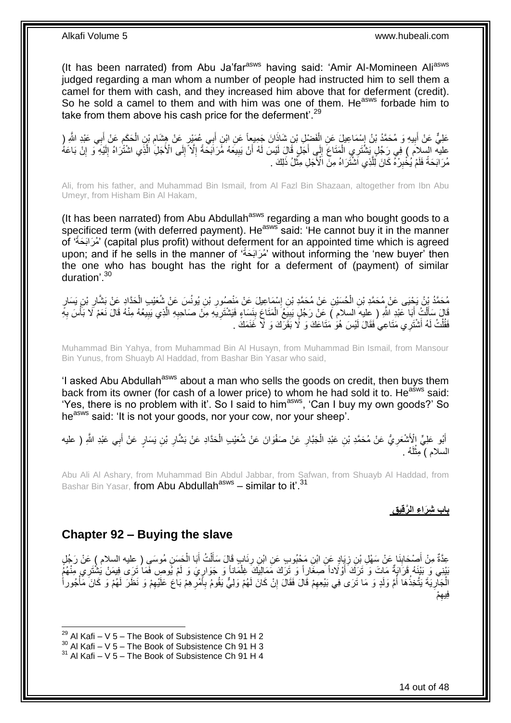(It has been narrated) from Abu Ja'far<sup>asws</sup> having said: 'Amir Al-Momineen Ali<sup>asws</sup> judged regarding a man whom a number of people had instructed him to sell them a camel for them with cash, and they increased him above that for deferment (credit). So he sold a camel to them and with him was one of them. He<sup>asws</sup> forbade him to take from them above his cash price for the deferment'.<sup>29</sup>

عَلِيٌّ عَنْ أَبِيهِ وَ مُحَمَّدُ بْنُ إِسْمَاعِيلٍ عَنِ الْفَضْلِ بْنِ شَاذَانَ جَمِيعاً عَنِ ابْنِ أَبِي عُفَيْرٍ عَنْ هِشَامِ بْنِ الْحَكَمِ عَنْ أَبِي عَبْدِ اللَّهِ ( َ ْ ।।<br>∈ ِ َ َ **ื** ْ ِ عليه السلامُ ) فِي رَجُلٍ يَشْتَرِي الْمَتَاعَ إِلَى أَجَلٍ قَالَ لَيْسَ لَهُ أَنْ يَبِيعَهُ مُّرَابَحَّةً إِلَّا إَلَى الْأَجَلِ الْأَمِي اشْتُرَاهُ إِلَيْهِ وَ إِنْ بَاعَهُ ∣∣<br>๊ ْ ِ لَ ِ َّ ِ ِ ِ مُرَ ابَحَةً فَلَمْ يُخْبِرْهُ كَانَ لِلَّذِي أَشْتُرَاهُ مِنَ الْأُجَلِ مِثَّلُ ذَلِكَ ۚ . ْ َّ ِ

Ali, from his father, and Muhammad Bin Ismail, from Al Fazl Bin Shazaan, altogether from Ibn Abu Umeyr, from Hisham Bin Al Hakam,

(It has been narrated) from Abu Abdullah<sup>asws</sup> regarding a man who bought goods to a specificed term (with deferred payment). He<sup>asws</sup> said: 'He cannot buy it in the manner of 'ًحةَ بَراَ مُ) ' capital plus profit) without deferment for an appointed time which is agreed upon; and if he sells in the manner of 'مُرَابَحَةَ' without informing the 'new buyer' then the one who has bought has the right for a deferment of (payment) of similar duration'.<sup>30</sup>

مُحَمَّدُ بِنُ يَجْيَى عَنْ مُحَمَّدِ بْنِ الْحُسَيْنِ عَنْ مُحَمَّدِ بْنِ إِسْمَاعِيلَ عَنْ مَنْصُورِ بْنِ يُونُسَ عَنْ شُعَيْبِ الْحَدَّادِ عَنْ بَشَّارِ بْنِ يَسَارٍ ْ **∶** ِ ْ ِ قَالَ سَأَلْتُ أَبَا عَبْدِ اللَّهِ ( عليه السلام ) عَنْ رَجُلٍ يَبِيعُ الْمَتَاعَ بِنَسَاءٍ فَيَشْتَرِيَهِ مِنْ صَاحِبِهِ الَّذِي يَبِيعُهُ مِنْهُ قَالَ نَعَمْ لَا بَأْسَ بِهِ ِ ِ ْ ِ َ ْ َ **∶** ْ ِ َّ **∶** فَقُلْتُ لَهُ أَشْتَرِ ي مَتَاعِي فَقَالَ لَيْسَ هُوَ مَتَاعَكَ وَ لَا بَقَرَكَ وَ لَا خَنَمَكَ . َ .<br>ا

Muhammad Bin Yahya, from Muhammad Bin Al Husayn, from Muhammad Bin Ismail, from Mansour Bin Yunus, from Shuayb Al Haddad, from Bashar Bin Yasar who said,

'I asked Abu Abdullah<sup>asws</sup> about a man who sells the goods on credit, then buys them back from its owner (for cash of a lower price) to whom he had sold it to. He<sup>asws</sup> said: 'Yes, there is no problem with it'. So I said to him<sup>asws</sup>, 'Can I buy my own goods?' So he<sup>asws</sup> said: 'It is not your goods, nor your cow, nor your sheep'.

أَبُو عَلِيٍّ إِلْأَشْعَرِ يُّ عَنْ مُحَمَّدِ بْنِ عَبْدِ الْجَبَّارِ عَنْ صَفْوَانَ عَنْ شُعَيْبِ الْحَدَّادِ عَنْ بَشَّارِ بْنِ يَسَارٍ عَنْ أَبِي عَبْدِ اللَّهِ ( عليه ِ ْ ِ ْ ِ َ السلام ) مِثْلُهُ . لَ **ٔ** 

Abu Ali Al Ashary, from Muhammad Bin Abdul Jabbar, from Safwan, from Shuayb Al Haddad, from Bashar Bin Yasar, from Abu Abdullah<sup>asws</sup> - similar to it'.<sup>31</sup>

### **ِق باب ِشَرا ِء ال َّرقِي**

### <span id="page-13-0"></span>**Chapter 92 – Buying the slave**

عِدَّةٌ مِنْ أَصْحَابِنَا عَنْ سَهْلِ بْنِ زِيَادٍ عَنِ ابْنِ مَجْبُوبٍ عَنِ ابْنِ رِنَابٍ قَالَ سَأَلْتُ أَبَا الْحَسَنِ مُوسَىِ ( عليه السلام ) عَنْ رَجُلٍ ْ َ ْ َ ِ ِ ِ َبْيْنِي وَ بَيْنَهُ قَرَابَةٌ مَاتَ وَ تَرَكَ أَوْلَاداً صِغَارِاً وَ تَرَكَ مَمَالِيَكَ غِلْمَاناً وَ جَوَارِيَ وَ لَمْ يُوصِ فَمَا تَرَى فِيمَنْ يُشْتَرِي مِنْهُمُ ِ ْ اُ الْجَالِ يَةَ يَتَّخِذُهَا أُمَّ وَلَدٍ وَ مَا ثَرَى فِي بَيْعِهِمْ قَالَ فَقَالَ إِنْ كَانَ لَهُمْ وَلِيٌّ يَقُومُ بِأَمْرٍ هِمْ بَاعَ عَلَيْهِمْ وَ نَظَرَ لَهُمْ وَ كَانَ مَأْجُوراً ا<br>ا ِ ِ ْ ِ ِ َ ِ ِ فِيهِمْ ِ

 $29$  Al Kafi – V 5 – The Book of Subsistence Ch 91 H 2

 $30$  Al Kafi – V  $5$  – The Book of Subsistence Ch 91 H 3

 $31$  Al Kafi – V 5 – The Book of Subsistence Ch 91 H 4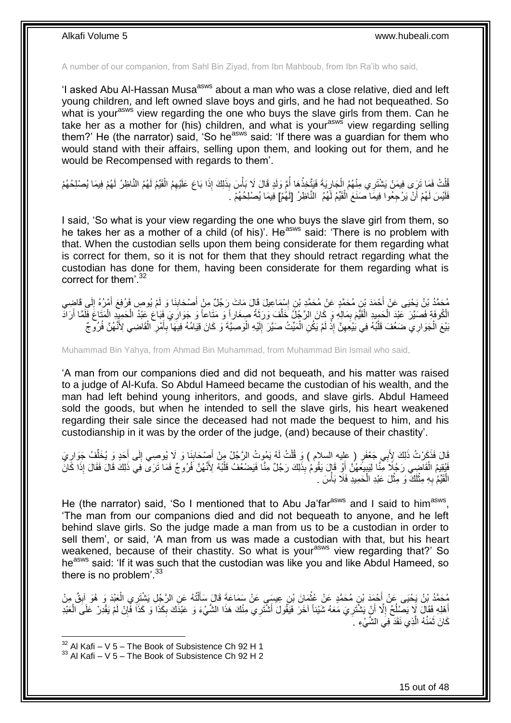A number of our companion, from Sahl Bin Ziyad, from Ibn Mahboub, from Ibn Ra'ib who said,

'I asked Abu Al-Hassan Musa<sup>asws</sup> about a man who was a close relative, died and left young children, and left owned slave boys and girls, and he had not bequeathed. So what is your<sup>asws</sup> view regarding the one who buys the slave girls from them. Can he take her as a mother for (his) children, and what is your<sup>asws</sup> view regarding selling them?' He (the narrator) said, 'So he<sup>asws</sup> said: 'If there was a quardian for them who would stand with their affairs, selling upon them, and looking out for them, and he would be Recompensed with regards to them'.

ظُّلْتُ فَمَا تَرَى فِيمَنْ يَشْتَرِي مِنْهُمُ الْجَارِيَةَ فَيَتَّخِذُهَا أُمَّ وَلَدٍ قَالَ لَا بَأْسَ بِذَلِكَ إِذَا بَاعَ عَلَيْهِمُ الْقَيِّمُ لَهُمُ النَّاظِرُ لَهُمْ فِيمَا يُصْلِحُهُمْ<br>كَثِيبِ عَبْدِ الْمَسْرَةِ ا ا<br>ا ِ ْ ْ ْ فَلَيْسَ لَهُمْ أَنْ يَرْجِعُوا فِيمَا صَنَعَ الْقَيِّمُ لََهُمُ النَّاظِرُ [لَهُمْ] فِيمَا يُصْلِحُهُمْ ـ ْ ۔<br>ا

I said, 'So what is your view regarding the one who buys the slave girl from them, so he takes her as a mother of a child (of his)'. He<sup>asws</sup> said: 'There is no problem with that. When the custodian sells upon them being considerate for them regarding what is correct for them, so it is not for them that they should retract regarding what the custodian has done for them, having been considerate for them regarding what is correct for them<sup>'32</sup>

مُحَمَّدُ بْنُ يَحْيَى عَنْ أَحْمَدَ بْنِ مُحَمَّدٍ عَنْ مُحَمَّدٍ بْنِ إِسْمَاعِيلَ قَالَ مَاتَ رَجُلٌ مِنْ أَصْحَابِنَا وَ لَمْ يُوصِ فَرُفِعَ أَمْرُهُ إِلَى قَاضِي<br>\*\* ِ َ ∣l<br>∶ لَ ِ َ الْمُوفَةِ فَصَيَّرَ عَبْدَ الْحَمِيدِ الْقَيَّمَ بِمَالِهِ وَ كَانَ الرَّجُلُ خَلَّفَ وَرَثَةً صِغَارٍاً وَ مَثَاعاً وَ جَوَارِيَ فَبَاعَ عَبْدُ الْحَمِيدِ الْمَثَاعَ فَلَمَّا أَرَادَ َ َّ ِ ْ ْ َ ْ ْ ِ َبْيعَ الْجَوَارِيِ ضَعُفَ قَلْبُهُ فِي بَيْعِهِنَّ إِذْ لَمْ يَكُنِ الْمَيِّتُ صَيَّرَ إِلَيْهِ الْوَصِيَّةَ وَ كَانَ قِيَامُهُ فِيهَا بِأَمْرِ الْقَاضِي لِأَنَّهُنَّ فُرُوجٌ ا<br>ا لَ ِ ْ لَ ة<br>-ِ :<br>ا ْ ِ َ ِ

Muhammad Bin Yahya, from Ahmad Bin Muhammad, from Muhammad Bin Ismail who said,

'A man from our companions died and did not bequeath, and his matter was raised to a judge of Al-Kufa. So Abdul Hameed became the custodian of his wealth, and the man had left behind young inheritors, and goods, and slave girls. Abdul Hameed sold the goods, but when he intended to sell the slave girls, his heart weakened regarding their sale since the deceased had not made the bequest to him, and his custodianship in it was by the order of the judge, (and) because of their chastity'.

لَ ِ َالَ فَذَكِّرْتُ ذَلِكَ لِأَبِي مَعْفَرٍ ( عِليه السلام ) وَ قُلْتُ لَهُ يَمُوتُ الرَّجُلُ مِنْ أَصِدَجَانِذَا وَ لَا يُوصِي إِلَى أَحَدٍ وَ يُخَلِّفُ جَوَارٍ يَ ِ ْ ِ ِّ َ ِ نَّفِيُقِيمُ الْقَاحِبِي رَجُلًا مِّنَّا لِيَبِيعُهُنَّ أَوْ قَإِلَ يَقُومُ بِذَلِكَ رَجُلٌ مِنَّا فَيَصْعُفُ قَلْبُهُ لِأَنَّهُنَّ فُرُوجٌ فَمَا تَرَى فِي ذَلِكَ قَالَ فَقَالَ إِذَا كَانَ ْ ْ الْقَيِّمُ بِهِ مِثْلَكَ وَ مِثْلَ عَبْدِ الْحَمِيدِ فَلَا بَأْسَ . ْ ْ **ٔ** لَ **ٔ** ِ ر<br>ا

He (the narrator) said, 'So I mentioned that to Abu Ja'far<sup>asws</sup> and I said to him<sup>asws</sup>, 'The man from our companions died and did not bequeath to anyone, and he left behind slave girls. So the judge made a man from us to be a custodian in order to sell them', or said, 'A man from us was made a custodian with that, but his heart weakened, because of their chastity. So what is your<sup>asws</sup> view regarding that?' So he<sup>asws</sup> said: 'If it was such that the custodian was like you and like Abdul Hameed, so there is no problem'. $33$ 

مُحَدُّدُ بْنُ يَحْيَى عَنْ أَحْمَدَ بْنِ مُحَمَّدٍ عَنْ عُقْمَانَ بْنِ عِيسَى عَنْ سَمَاعَةَ قَالَ سَأَلْتُهُ عَنِ الرَّجُلِ يَشْتَرِي الْعَبْدَ وَ هُوَ آبِقٌ مِنْ<br>يُنذِ يَرَيْنُ مَنْ أَوْمَدَتْ بِهِ مَنْ يَوْمَ وَيَرْسَ ْ َ ْ ِ ْ **ٍ** أَهْلِهِ فَقَالَ لَا يَصَلْحُ إِلَّا أَنْ يَشْتَرِيَ مَعَهُ شَيْئاً آخَرَ فَيَقُولَ أَشْتَرِي مِنْكَ هَذَا الشَّيْءَ وَ عَبْدَكَ بِكَذَا وَ كَذَا فَخَلْ لَمْ يَقْدِرْ عَلَى الْعَبْدِ َ **∶** َ ِ ُ ْ ∣ļ ِ كَانَ ثَمَنُهُ الَّذِي نَقَدَ فِي الشَّيْءِ ۚ َّ

 $32$  Al Kafi – V 5 – The Book of Subsistence Ch 92 H 1

 $33$  Al Kafi – V 5 – The Book of Subsistence Ch 92 H 2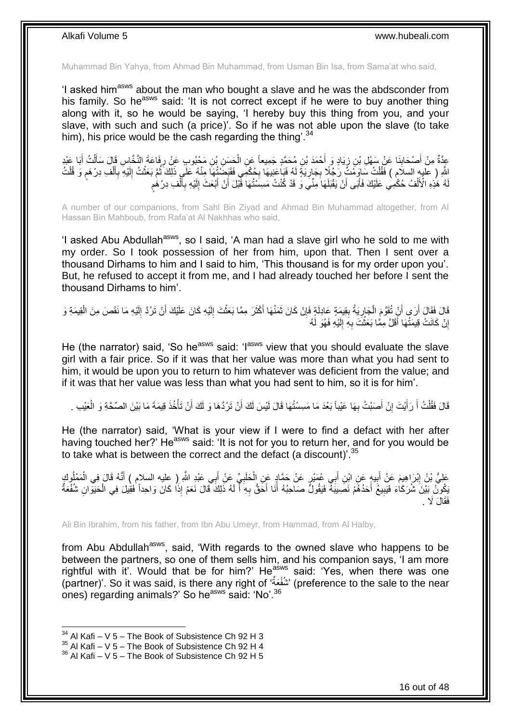Muhammad Bin Yahya, from Ahmad Bin Muhammad, from Usman Bin Isa, from Sama'at who said,

'I asked him<sup>asws</sup> about the man who bought a slave and he was the abdsconder from his family. So he<sup>asws</sup> said: 'It is not correct except if he were to buy another thing along with it, so he would be saying, 'I hereby buy this thing from you, and your slave, with such and such (a price)'. So if he was not able upon the slave (to take him), his price would be the cash regarding the thing'.<sup>34</sup>

عِدَّةٌ مِنْ أَصْحَابِنَا عَنْ سَهْلِ بْنِ زِيَادٍ وَ أَحْمَدَ بْنِ مُحَمَّدٍ جَمِيعاً عَنِ الْحَسَنِ بْنِ مَحْبُوبٍ عَنْ رِفَاعَةَ النَّخَاسِ قَالَ سَأَلْتُ أَبَا عَبْدِ ِ ْ َ ِ **∣** َ َ ْ َ ِ اللَّهِ ( عليهِ السلام ) فَقُلْتُ سَاوَمَتُ رَجُلًا بِجَارِيَةٍ لَهُ فَبَاعَنِيهَا بِجُكْمَى فَقَبَضَتْتُهَا مِنْهُ عَلَى ذَلِكَ َثُمَّ بَعَثْتُ إِلَيْهِ بِأَلْف دِرْهَم وَ قُلْتُ **ٍ ∶** ْ ْ ہ<br>پ ْ َ **∶** لَ ِ ْ ُ هُ هَٰذِهِ الْأَلْفُ حُكْمِي عَلَيْكَ فَأَبَى أَنْ يَقْبَلَهَا مِنِّيِّ وَ قَدْ كُنْتُ مَسِسْتُهَا فَّبْلَ أَنْ أَبْعَثَ إِلَيْهِ بِأَلْفِ دِرْهُم لَ ِ َ َ ر<br>ا ْ لَ ֧֧֚֓֝֝֓֝ ْ َ ِ

A number of our companions, from Sahl Bin Ziyad and Ahmad Bin Muhammad altogether, from Al Hassan Bin Mahboub, from Rafa'at Al Nakhhas who said,

'I asked Abu Abdullah<sup>asws</sup>, so I said, 'A man had a slave girl who he sold to me with my order. So I took possession of her from him, upon that. Then I sent over a thousand Dirhams to him and I said to him, 'This thousand is for my order upon you'. But, he refused to accept it from me, and I had already touched her before I sent the thousand Dirhams to him'.

قَالَ فَقَالَ أَرَى أَنْ تُقَوَّمَ الْجَارِيَةُ بِقِيمَةٍ عَادِلَةٍ فَإِنْ كَانَ ثَمَنُهَا أَكْثَرَ مِمَّا بَعَثْتَ إِلَيْهِ كَانَ عَلَيْكَ أَنْ تَرُدَّ إِلَيْهِ مَا نَقَصَ مِنَ الْقِيمَةِ وَ لَ ِ ْ َ َ َ ِ **∣** ِ ْ َ َ ْ لَ ِ َ إِنْ كَانَتْ قِيمَتُهَا أَقَلَّ مِمَّا بَعَثْتَ بِهِ إِلَيْهِ فَهُوَ لَهُ لَ ِ ِ ْ َ اٍ

He (the narrator) said, 'So he<sup>asws</sup> said: 'I<sup>asws</sup> view that you should evaluate the slave girl with a fair price. So if it was that her value was more than what you had sent to him, it would be upon you to return to him whatever was deficient from the value; and if it was that her value was less than what you had sent to him, so it is for him'.

قَالَ فَقُلْتُ أَ رَأَيْتَ إِنْ أَصَبْتُ بِهَا عَيْباً بَعْدَ مَا مَسِسْتُهَا قَالَ لَيْسَ لَكَ أَنْ تَرُدَّهَا وَ لَكَ أَنْ تَأْخُذَ قِيمَةَ مَا بَيْنَ الصِّحَّةِ وَ الْعَيْبِ . َ َ **∶** َ ِ َ َ ْ ْ ْ

He (the narrator) said, 'What is your view if I were to find a defact with her after having touched her?' He<sup>asws</sup> said: 'It is not for you to return her, and for you would be to take what is between the correct and the defact (a discount)<sup>35</sup>

عَلِيُّ بْنُ إِبْرَاهِيمَ عَنْ أَبِيهٍ عَنِ ابْنِ أَبِي عُمَيْرٍ عَنْ حَمَّادٍ عَنِ الْحَلَبِيِّ عَنْ أَبِي عَبْدِ اللَّهِ ( عِليه السلام ) أَنَّهُ قَالَ فِي الْمَمْلُوكِ<br>-َ ِ ْ َ **!**  ِ ُ ْ َ َكُونُ بَيْنَ شُرَكَاءَ فَيَبِيعُ أَحَدُهُمْ نَصَبِيَةٌ فَيَقُولُ صَاحِبُهُ أَنَا أَحَقُّ بِهِ أَ لَهُ ذَلِكَ قَالَ نَعَمْ إِذَا كَانَ وَاحِداً فَقِيلَ فِي الْحَيَوانِ شُفْعَةٌ َ **!** ْ لَ َ **∶** َ َ فَقَالَ لَا ِ

Ali Bin Ibrahim, from his father, from Ibn Abu Umeyr, from Hammad, from Al Halby,

from Abu Abdullah<sup>asws</sup>, said, 'With regards to the owned slave who happens to be between the partners, so one of them sells him, and his companion says, 'I am more rightful with it'. Would that be for him?' He<sup>asws</sup> said: 'Yes, when there was one (partner)'. So it was said, is there any right of 'شَفْعَةٌ' (preference to the sale to the near ones) regarding animals?' So he<sup>asws</sup> said: 'No'.<sup>36</sup>

 $34$  Al Kafi – V 5 – The Book of Subsistence Ch 92 H 3

 $35$  Al Kafi – V  $5$  – The Book of Subsistence Ch 92 H 4

 $36$  Al Kafi – V 5 – The Book of Subsistence Ch 92 H 5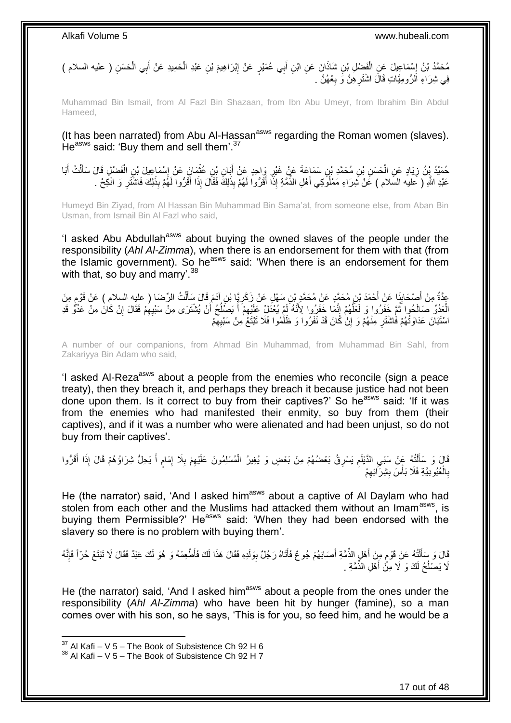مُحَمَّدُ بْنُ إِسْمَاعِيلَ عَنِ الْفَضْلِ بْنِ شَاذَانَ عَنِ ابْنِ أَبِي عُمَيْرٍ عَنْ إِبْرَاهِيمَ بْنِ عَبْدِ الْحَمِيدِ عَنْ أَبِي الْحَسَنِ ( عليه السلام ) ْ ِ َ ْ ِ ْ َ فِي شِرَاءِ اَلرُّومِيَّاتِ قَالَ اشْتَرِهِنَّ وَ بِعْهُنَّ . ِ **∶** 

Muhammad Bin Ismail, from Al Fazl Bin Shazaan, from Ibn Abu Umeyr, from Ibrahim Bin Abdul Hameed,

(It has been narrated) from Abu Al-Hassan<sup>asws</sup> regarding the Roman women (slaves). He<sup>asws</sup> said: 'Buy them and sell them'.<sup>37</sup>

حُمَيْدُ يِنُ زِيَادٍ عَنِ الْحَسَنِ بْنِ مُحَمَّدِ بْنِ سَمَاعَةَ عَنْ غَيْرِ وَاحِدٍ عَنْ أَبَانِ بْنِ عُثْمَانٍ عَنْ إِسْمَاعِيلَ بْنِ الْفَضْلِ قَالَ سَأَلْتُ أَبَا<br>وَمَيْدُ يِنْ زِيَادٍ عَنِ الْحَسَنِ بْنِ مُحَمَّدِ ب  $\frac{1}{2}$ **ٔ** َ ِ ْ ِ َ ْ َ ْ عَبْدِ اللَّهِ ( عَليه السَلام ) عَنْ نَيْرَاءِ مَمْلُوَكِي أَهْلِ الذِّمَّةِ إِذَا أَقَرُّوا لَهُمْ بِذَلِكَ أَقْرُّوا لَهُمْ بِذَلِكَ فَاشْتَرِ وَ انْكِحْ . َ ِ َ َ

Humeyd Bin Ziyad, from Al Hassan Bin Muhammad Bin Sama'at, from someone else, from Aban Bin Usman, from Ismail Bin Al Fazl who said,

'I asked Abu Abdullah<sup>asws</sup> about buying the owned slaves of the people under the responsibility (*Ahl Al-Zimma*), when there is an endorsement for them with that (from the Islamic government). So he<sup>asws</sup> said: 'When there is an endorsement for them with that, so buy and marry<sup>'.38</sup>

عِّدَّةٌ مِنْ أَصْحَابِنَا عَنْ أَحْمَدَ بْنِ مُحَمَّدٍ عَنْ مُحَمَّدٍ بْنِ سَهْلٍ عَنْ زَكَرِ يَّا بْنِ آدَمَ قَالَ سَأَلْتُ الرِّصَا ( عليه السلام ) عَنْ قَوْمٍ مِنَ ْ َ **ٍ** ِ **}** ِ لْعَدُوِّ صَالَحُوا ثُمَّ خَفِّرُوا وَ لَعَلَّهُمْ إِنَّمَا خَفَرُوا لِأَنَّهُ لَمْ يُعْدَلِ عَلَيْهِمْ أَ يَصَلُحُ أَنْ يُشْتَرَى مِنْ سَيْبِهِمْ فَقَالَ إِنْ كَانَ مِنْ عَذَوُّ قَدِّ ِ َّ ان<br>المقام العام العام العام العام العام العام العام العام العام العام العام العام العام العام العام العام العام ا ِ ِ َ ُ ا<br>أ اسْتَبَانَ عَدَاوَتُهُمْ فَاشْتَرِ مِنْهُمْ وَ إِنْ كَانَ قَدْ نَفَرُوا وَ ظَلَمُوا فَلَا تَبْتَغُ مِنْ سَبْيِهِمْ ِ ِ ِ

A number of our companions, from Ahmad Bin Muhammad, from Muhammad Bin Sahl, from Zakariyya Bin Adam who said,

'I asked Al-Reza<sup>asws</sup> about a people from the enemies who reconcile (sign a peace treaty), then they breach it, and perhaps they breach it because justice had not been done upon them. Is it correct to buy from their captives?' So he<sup>asws</sup> said: 'If it was from the enemies who had manifested their enmity, so buy from them (their captives), and if it was a number who were alienated and had been unjust, so do not buy from their captives'.

֧֖֖֖֖֖֖֖֧֧֧֧ׅ֧֧֧֧ׅ֧֧֧֧֛֪֧֛֪֧֚֚֚֚֚֚֚֚֚֚֚֚֚֚֚֚֚֚֚֚֚֚֚֚֚֓֝֝֬֝֝֓֝֓֝֓֜֝֓֜֓֜֓֞֡֝֬֜֜֡֜֡ قَالَ وَ سَأَلْتُهُ عَنْ سَبْيِ الدَّيْلَمِ يَسْرِقُ بَعْضُهُمْ مِنْ بَعْضٍ وَ يُغِيرُ الْمُسْلِمُونَ عَلَيْهِمْ بِلَا إِمَامٍ أَ يَحِلُّ شِرَاؤُهُمْ قَالَ إِذَا أَقَرُّوا ِ ِ ِ ْ ِ ِ **∶** ֺ֦֦֦֦֧֦֧֦֦֧֦֧֦֧֦֧֦֧֦֧֦֧֦֧֦֧֦֧֝֟֟֓֕֓֕֓֕֓֕֓֓֡֓֓֡֟֓֡֟֓֡֟֓֡֟֓֡֟֓֡֟֩֓֓֞֓֞֓֞֓֞֟֓֡֟֩֓֓֟֓֡֟֩֓֟֓֟֩֓<br>֧ׅ֧֧֪ׅ֧֖֧֦֧֦֧֜֘֩֞֟֘֩֞֩֞ َ َ َ بِالْعُبُودِيَّةِ فَلَا بَأْسَ بِشِرَائِهِمْ ِ **∣ ٔ** ْ **∶** 

He (the narrator) said, 'And I asked him<sup>asws</sup> about a captive of Al Daylam who had stolen from each other and the Muslims had attacked them without an Imam<sup>asws</sup>, is buying them Permissible?' He<sup>asws</sup> said: 'When they had been endorsed with the slavery so there is no problem with buying them'.

قَالَ وَ سَأَلْتُهُ عَنْ قَوْمِ مِنْ أَهْلِ الذِّمَّةِ أَصَابَهُمْ جُوعٌ فَأَتَاهُ رَجُلٌ بِوَلَدِهِ فَقَالَ هَذَا لَكَ فَأَطْعِمْهُ وَ هُوَ لَكَ عَبْدٌ فَقَالَ لَا تَبْتَعْ حُرّاً فَإِنَّهُ ِ َ َ َ ٍ ֺ֦֦֪֦֧֦֦֖֦֦֪֦֧֦֪֦֧֦֪֪֦֧֦֪֦֪֪֦֧֦֪֦֧֦֧֦֪֦֧֦֧֦֪֪֦֧֪֦֧֪֦֧֦֧֦֧֝֟֟֟֟֟֟֟֟֟֟֟֟֟֟֟֟֟֟֟֟֟֟֓֕֬֟֓֡֟֓֟֓֞֟֟֓֞֟֟֟֟֟֟֟֩֓֞֟֟֟֟֟֟ اا<br>ئ لَا يَصْلُحُ لَكَ وَ لَا مِنْۢ أَهْلِ الذِّمَّةِ . َ ٔ<br>ا

He (the narrator) said, 'And I asked him<sup>asws</sup> about a people from the ones under the responsibility (*Ahl Al-Zimma*) who have been hit by hunger (famine), so a man comes over with his son, so he says, 'This is for you, so feed him, and he would be a

 $37$  Al Kafi – V 5 – The Book of Subsistence Ch 92 H 6

 $38$  Al Kafi – V 5 – The Book of Subsistence Ch 92 H 7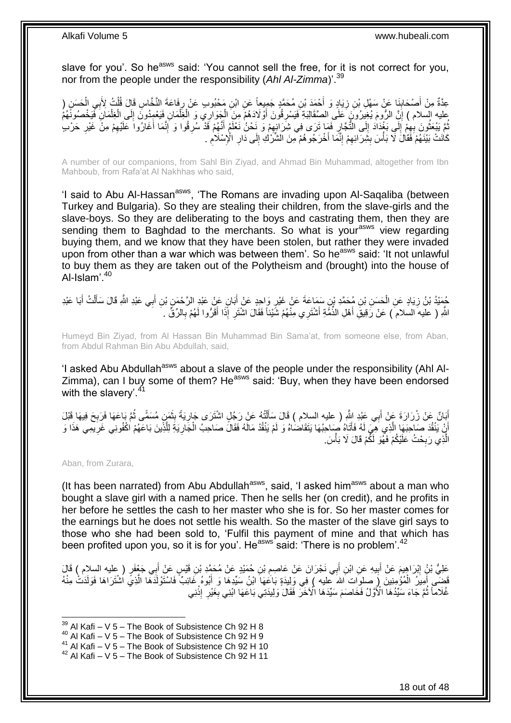slave for you'. So he<sup>asws</sup> said: 'You cannot sell the free, for it is not correct for you, nor from the people under the responsibility (*Ahl Al-Zimma*)'.<sup>39</sup>

عِدَّةٌ مِنْ أَصْحَابِنَا عَنْ سَهْلِ بْنِ زِيَادٍ وَ أَحْمَدَ بْنِ مُحَمَّدٍ جَمِيعاً عَنِ ابْنِ مَحْبُوبِ عَنْ رِفَاعَةَ النَّخَّاسِ قَالَ قُلْتُ لِأَبِي الْحَسَنِ ( ِ َ ِ ِ ْ ْ عليه السلام ) إِنَّ الرُّومَ يُغِيرُونَ عَلَى الصَّقَالِبَةِ فَيَسْرِقُونَ أَوْلَادَهُمْ مِنَ الْجَوَارِي وَ الْغِلْمَانِ فَيَعْمِدُونَ إِلَى الْغِلْمَانِ فَيَخْصُونََهُمْ<br>مُسِندُهُمْ مَسْلِماتِ الرَّومَ يُغِيرُونَ عَلَى **∶** ِ ْ ِ ْ ْ ِ نْمَ يَبْعَثُونَ بِهِمْ إِلَى بَغْدَادَ إِلَى النُّجَّارِ فَمَا تَرَى فِي شِرَائِهِمْ وَ نَحْنُ نَعْلَمُ أَنَّهُمْ قَذْ سُرِقُوا وَ إِنَّمَا أَغَارُوا عَلَيْهِمْ مِنْ غَيْرِ حَرْبِ َ ِ ِ  $\frac{1}{2}$ ِ ِ ُ ُ ِ ِ َ ِ كَانَتْ بَيْنَهُمْ فَقَالَ لَا بَأْسَ بِشَرَائِهِمْ إِنَّمَا أَخْرَجُوهُمْ مِنَ الشَّرَكِ إِلَى دَارِ الْإِسْلَامِ . ِ ِ ِ َ ِ ِ **∣ ٔ** 

A number of our companions, from Sahl Bin Ziyad, and Ahmad Bin Muhammad, altogether from Ibn Mahboub, from Rafa'at Al Nakhhas who said,

'I said to Abu Al-Hassan<sup>asws</sup>, 'The Romans are invading upon Al-Saqaliba (between Turkey and Bulgaria). So they are stealing their children, from the slave-girls and the slave-boys. So they are deliberating to the boys and castrating them, then they are sending them to Baghdad to the merchants. So what is your<sup>asws</sup> view regarding buying them, and we know that they have been stolen, but rather they were invaded upon from other than a war which was between them'. So he<sup>asws</sup> said: 'It not unlawful to buy them as they are taken out of the Polytheism and (brought) into the house of Al-Islam'. $40$ 

حُمِّئِدُ بْنُ زِيَادٍ عَنِ الْحَسَنِ بْنِ مُحَمَّدِ بْنِ سَمَاعَةَ عَنْ غَيْرِ وَاحِدٍ عَنْ أَبَانٍ عَنْ عَبْدِ الرَّحْمَنِ بْنِ أَبِي عَبْدِ الثَّهِ قَالَ سَأَلْتُ أَبَا عَبْدِ َ ِ ْ ِ َ ْ َ َ اللَّهِ ( عليه السَلام ) عَنْ رَقِيقِ أَهْلِ الذِّمَّةِ أَشْتَرِي مِنّْهُمْ شَيْئاً فَقَالَ اشْتَرِ إِّذَا أَقَرُّوا لَهُمْ بِالرِّقُّ . ِ َ **∶** َ

Humeyd Bin Ziyad, from Al Hassan Bin Muhammad Bin Sama'at, from someone else, from Aban, from Abdul Rahman Bin Abu Abdullah, said,

'I asked Abu Abdullah<sup>asws</sup> about a slave of the people under the responsibility (Ahl Al-Zimma), can I buy some of them? He<sup>asws</sup> said: 'Buy, when they have been endorsed with the slavery'.<sup>41</sup>

اَبَانٌ عَنْ زُرَارَةَ عَنْ أَبِي عَبْدِ اللَّهِ ( عليه السلام ) قَالَ سَأَلْتُهُ عَنْ رَجُلٍ اشْتَرَى جَارِيَةً بِثَمَنٍ مُسَمًّى ثُمَّ بَاعَهَا فَرَبِحَ فِيهَا قَبْلَ<br>أَيْنَ مُسَمًّى ثُمَّ بَاعَهَا فَرَبِحَ فِيهَا قَبْل َ ِ ر<br>: َ ِ ِ ْ َ ِ أَنِّ يَنْقُدَ صَاحِبَهَا الَّذِي هِيَ لَهُ فَأَتَاهُ صَاحِبُهَا يَتَقَاضَاهُ وَ لَمْ يَنْقُدْ مَالَهُ فَقَالَ صَاحِبُ الْجَارِيَةِ لِلَّذِينَ بَاعَهُمْ اكْفُونِي غَرِيمِي هَذَا وَ ْ َ َّ اً ِ الَّذِي رَبِحْتُ عَلَيْكُمْ فَهُوَ لَكُمْ قَالَ لَا بَأْسَ **∶** 

Aban, from Zurara,

1

(It has been narrated) from Abu Abdullah $a<sup>asws</sup>$ , said, 'I asked him $a<sup>asws</sup>$  about a man who bought a slave girl with a named price. Then he sells her (on credit), and he profits in her before he settles the cash to her master who she is for. So her master comes for the earnings but he does not settle his wealth. So the master of the slave girl says to those who she had been sold to, 'Fulfil this payment of mine and that which has been profited upon you, so it is for you'. He<sup>asws</sup> said: 'There is no problem'.<sup>42</sup>

عَلِيُّ نُنُ إِبْرَاهِيمَ عَنْ أَبِيهِ عَنِ ابْنِ أَبِي نَجْرَانَ عَنْ عَاصِمِ بْنِ جُمَيْدٍ عَنْ مُحَمِّدٍ بْنِ قَيْسٍ عَنْ أَبِي جَغْفَرٍ ( عِليه السلام ) قَالَ ِ َ **!** َ َ َ فَضَى أُمِيرُ الْمُؤْمِنِينَ ( صلوات الله عليه ) فِي وَلِيدَةٍ بَاعَهَا ابْنُ سَيِّدِهَا وَ أَبُوهُ غَائِبٌ فَاسْتَوْلَدَهَا الَّذِيَ اشْتَرَاهَا فَوَلَدَتْ مِنْهُ ْ َ َّ غُلاماً ثُمَّ جَاءَ سَيِّدُهَا الْأَوَّلُ فَخَاصَمَ سَيِّدَهَا الْاَخَرَ ۖ فَقَالَ وَلِيدَتِي بَاعَهَا الْنِي بِغَيْرِ ۖ إِذْنِي ْ **ٍ** ِ ُ

 $39$  Al Kafi – V 5 – The Book of Subsistence Ch 92 H 8

 $40$  Al Kafi – V 5 – The Book of Subsistence Ch 92 H 9

 $41$  Al Kafi – V 5 – The Book of Subsistence Ch 92 H 10

<sup>42</sup> Al Kafi – V 5 – The Book of Subsistence Ch 92 H 11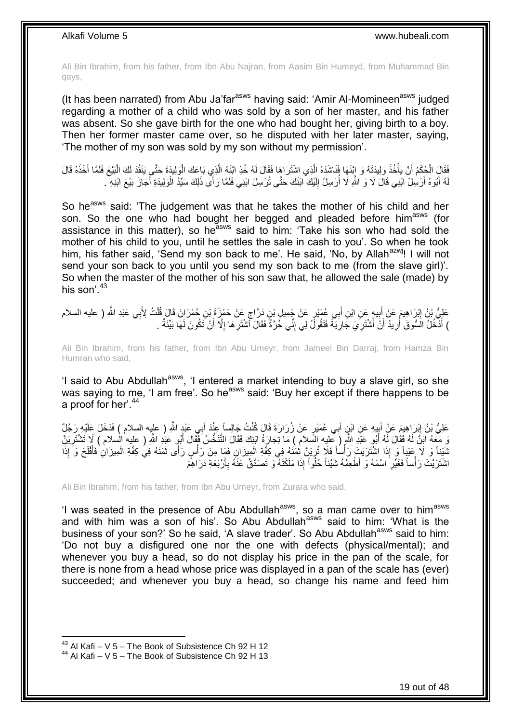Ali Bin Ibrahim, from his father, from Ibn Abu Najran, from Aasim Bin Humeyd, from Muhammad Bin qays,

(It has been narrated) from Abu Ja'far<sup>asws</sup> having said: 'Amir Al-Momineen<sup>asws</sup> judged regarding a mother of a child who was sold by a son of her master, and his father was absent. So she gave birth for the one who had bought her, giving birth to a boy. Then her former master came over, so he disputed with her later master, saying, 'The mother of my son was sold by my son without my permission'.

فَقَالَِ الْحُكْمُ أَنْ يَأْخُذَ وَلِيدَتَهُ وَ إِبْنَهَا فَنَاشَدَهُ الَّذِي اشْتَرَاهَا فَقَالَ لَهُ خُذِ ابْنَهُ الَّذِي بَاعَكَ الْوَلِيدَةَ حَتَّى يَنْقُدَ لَكَ الْبَيْعَ فَلَمَا أَخَذَهُ قَالَ َّ َّ :<br>.<br>. ْ َ ْ ْ لَهُ أَبُوهُ أَرْسِٰلٌ ابْنِي قَالَ لَا وَ اللَّهِ لَا أُرْسِلُ إِلَيْكَ ابْنَكَ حَتَّى تُرْسِلَ ابْنِي فَلَمَّا رَأَى ذَلِكَ سَيِّدُ الْوَلِيدَةِ أَجَازَ بَيْعَ ابْنِهِ ۖ ا<br>ا اً َ َ ْ لَ ِ

So he<sup>asws</sup> said: 'The judgement was that he takes the mother of his child and her son. So the one who had bought her begged and pleaded before him<sup>asws</sup> (for assistance in this matter), so he<sup>asws</sup> said to him: 'Take his son who had sold the mother of his child to you, until he settles the sale in cash to you'. So when he took him, his father said, 'Send my son back to me'. He said, 'No, by Allah<sup>azwj</sup>! I will not send your son back to you until you send my son back to me (from the slave girl)'. So when the master of the mother of his son saw that, he allowed the sale (made) by his son'  $43$ 

عَلِيُّ بْنُ إِبْرَاهِيمَ عَنْ أَبِيهٍ عَنِ ابْنِ أَبِي عُمَيْرٍ عَنْ جَمِيلٍ بْنِ دَرَّاحٍ عَنْ حَمْزَةَ بْنِ حُمْرَانَ قَالَ قُلْتُ لِأَبِي عَبْدِ اللَّهِ ( عليه السلام ٍ َ **!** َ ِ ْ ) أَذَّخُلُ الَسُّوقَ أُرِيدُ أَنَّ أَشْتَرِيَ جَارِيَةٌ فَتَقُولُ لِي إِنِّي خُرَّةٌ فَقَالَ أَشْتَرِ هَا إِلَّا أَنْ تَكُونَ لَهَا بَيِّنَةٌ . ِ ِ ِ َ ِ ُ َ ِ ِ

Ali Bin Ibrahim, from his father, from Ibn Abu Umeyr, from Jameel Bin Darraj, from Hamza Bin Humran who said,

'I said to Abu Abdullah<sup>asws</sup>, 'I entered a market intending to buy a slave girl, so she was saying to me, 'I am free'. So he<sup>asws</sup> said: 'Buy her except if there happens to be a proof for her'.<sup>44</sup>

عَلِيُّ بْنُ إِبْرَاهِيمَ عَنْ أَبِيهِ عَنِ ابْنِ أَبِي عُمَيْرٍ عَنْ زُرَارَةَ قَالَ كُنْتُ جَالِساً عِنْدَ أَبِي عَبْدٍ اللَّهِ ( عليه السلام ) فَدَخَلَ عَلَيْهِ رَجُلٌ َ َ  $\frac{1}{2}$ َ ֖֦֦֦֦֦֧֦֦֦֦֦֦֧ׅ֧֦֧֦֧֚֚֚֚֚֚֚֚֚֝֝֝֝֓֝֝֓֕֝֝֟֓֡֝֬֝֓֟֓֡֟֓֡֟֓֡֟֓֡֟֓֡֜֟֓֡ وَ مَعَهُ ابْنٌ لَهُ فَقَالَ لَهُ أَبُو عَبْدِ اللَّهِ (َ عليه السّلام ) مَا تِجَارَةُ ابْنِكَ فَقَالَ التَّنَخُسُ فَقَالَ أَبُو عَبْدِ اللَّهِ ( عليه السلام ) لَا تَشْتَرِيَنَّ َ َ ِ ِ ثَّبَيْناً وَ لَا عَيْداً وَ إِذَا اشْتَرَيْتَ رَأْساً فَلَا تُرِيَنَّ ثُمَنَهُ فِي كِفَّةِ الْمِيزَانِ فَمَا مِنْ رَأْسٍ رَأَى ثَمَنَهُ فِي كِفَّةِ الْمِيزَانِ فَأَفْلَحَ وَ إِذَا :<br>أ لَ َ ْ َ ْ َ اشْتَرَيْتَ رَأْساً فَغَيِّرٍ ۗ اسْمَهُ وَ ۖ أَطْعِمْهُ شَيْئاً حُلُّواً ۚ إِذَا مَلَكْتَهُ ۖ وَ تَصَدَّقْ عَنْهُ بِأَرْبَعَةِ دَرَاهِمَ َ ِ ِ :<br>ا

Ali Bin Ibrahim, from his father, from Ibn Abu Umeyr, from Zurara who said,

'I was seated in the presence of Abu Abdullah<sup>asws</sup>, so a man came over to him<sup>asws</sup> and with him was a son of his'. So Abu Abdullah<sup>asws</sup> said to him: 'What is the business of your son?' So he said, 'A slave trader'. So Abu Abdullah<sup>asws</sup> said to him: 'Do not buy a disfigured one nor the one with defects (physical/mental); and whenever you buy a head, so do not display his price in the pan of the scale, for there is none from a head whose price was displayed in a pan of the scale has (ever) succeeded; and whenever you buy a head, so change his name and feed him

 $43$  Al Kafi – V 5 – The Book of Subsistence Ch 92 H 12

<sup>44</sup> Al Kafi – V 5 – The Book of Subsistence Ch 92 H 13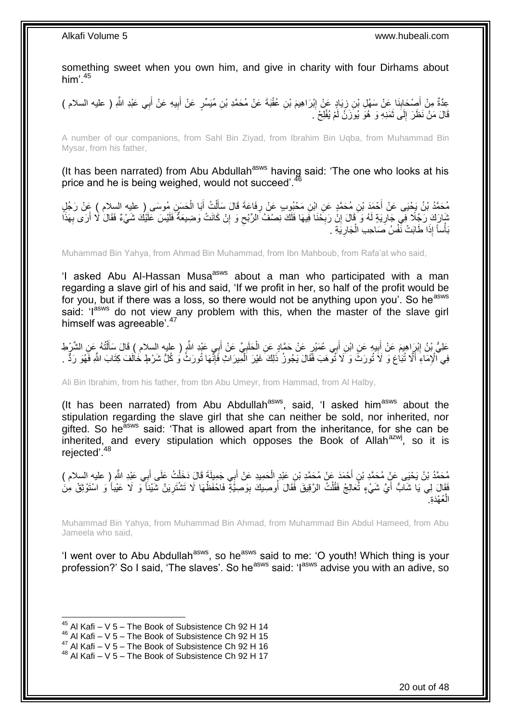something sweet when you own him, and give in charity with four Dirhams about him'.<sup>45</sup>

عِدَّةٌ مِنْ أَصِحْابِنَا عَنْ سَهْلِ بْنِ زِيَادٍ عَنْ إِبْرَاهِيمَ بْنِ عُقْبَةَ عَنْ مُحَمَّدِ بْنِ مُنِسِّرٍ عَنْ أَبِيهِ عَنْ أَبِي عَبْدِ اللَّهِ ( عليه السلام ) ِ **∣** َ َ ِ َ ِ قَالَ مَنْ نَظَرَ إِلَى ثَمَذِهِ وَ هُوَ يُوزَنَٰ لَمْ يُفْلِحْ َ. ٔ،  $\frac{1}{2}$ 

A number of our companions, from Sahl Bin Ziyad, from Ibrahim Bin Uqba, from Muhammad Bin Mysar, from his father,

(It has been narrated) from Abu Abdullah<sup>asws</sup> having said: 'The one who looks at his price and he is being weighed, would not succeed'.

مُحَمَّدُ بْنُ يَجْيَى عَنْ أَحْمَدَ بْنِ مُحَمَّدٍ عَنِ ابْنِ مَحْبُوبِ عَنْ رِفَاعَةَ قَالَ سَأَلْتُ أَبَا الْحَسَنِ مُوسَى ( عليه السلام ) عَنْ رَجُلٍ ِ َ ْ َ ْ Í نْبَارَكَ رَجُلًا فِي جَارِيَةٍ لَهُ وَ قَالَ إِنَّ رَبِحْنَا فَيهَا فَلَكَ نِصْفُ الرِّبْحِ وَ إِنْ كَانَتْ وَضِيعَةٌ فَلَيْسَ عَلَيْكَ شَيْءٌ فَقَالَ لَا أَرَى بِهَذَا ِ ِ **∶** ِ **∶** ِ َ بَأْساً إِذَا طَابَتْ نِّفْسُ صَبَاحِبِ الْجَارِيَةِ . ،<br>ا **ٍ** ْ

Muhammad Bin Yahya, from Ahmad Bin Muhammad, from Ibn Mahboub, from Rafa'at who said,

'I asked Abu Al-Hassan Musa<sup>asws</sup> about a man who participated with a man regarding a slave girl of his and said, 'If we profit in her, so half of the profit would be for you, but if there was a loss, so there would not be anything upon you'. So he<sup>asws</sup> said: 'l<sup>asws</sup> do not view any problem with this, when the master of the slave girl himself was agreeable'.<sup>47</sup>

َ عَلِيُّ بْنُ إِبْرِِاهِيمَ عَنْ أَبِيهِ عَنِ ابْنِ أَبِي عُمَيْرٍ عَنْ حَمَّادٍ عَنِ الْحَلَبِيِّ عَنْ أَبِي عَبْدِ الثَّهِرِ ( عليه السلام ) قَالَ سَأَلْتُهُ عَنِ الشَّرْطِ ِ ْ َ َ ¦ ْ فِي ٱلْإِمَاءِ أَلَّا تُبَاعَ وَ لَاَ تُورَثَ وَ لَا تُوهَبَ فَقَالَ يَجُوزُ ذَلِكَ غَيْرَ الْمِيرَاثِ فَإِنَّهَا تُورَثُ وَ كُلُّ شَرْطٍ خُلْفَ كِتَابَ اللَّهِ فَهُوَ رَدٌّ . ِ ْ

Ali Bin Ibrahim, from his father, from Ibn Abu Umeyr, from Hammad, from Al Halby,

(It has been narrated) from Abu Abdullah<sup>asws</sup>, said, 'I asked him<sup>asws</sup> about the stipulation regarding the slave girl that she can neither be sold, nor inherited, nor gifted. So he<sup>asws</sup> said: 'That is allowed apart from the inheritance, for she can be inherited, and every stipulation which opposes the Book of Allah $^{azwj}$ , so it is rejected'.<sup>48</sup>

مُحَمَّدُ بْنُ يَحْيَى عَنْ مُحَمَّدِ بْنِ أَحْمَدَ عَنْ مُحَمَّدِ بْنِ عَبْدٍ الْحَمِيدِ عَنْ أَبِي جَمِيلَةَ قَالَ دَخَلْتُ عَلَى أَبِي عَبْدِ اللَّهِ ( عليه السلام )<br>ِ َ ْ َ ْ َ فَقَالَ لِي يَا شُابُّ أَيَّ شَيْءٍ ثَّعَالِجُ فَقُلْتُ الرَّقِيقَ فََقَالَ أُوصِيكَ بِوَصِيَّةٍ فَاحْفَظْهَا لَا تَشْتَرِيَنَّ شَيْناً وَ لَا عَيْباً وَ اسْتَوْثِقْ مِنْ **!** ُ ْ ِ الْعُهْدَةِ. ْ

Muhammad Bin Yahya, from Muhammad Bin Ahmad, from Muhammad Bin Abdul Hameed, from Abu Jameela who said,

'I went over to Abu Abdullah<sup>asws</sup>, so he<sup>asws</sup> said to me: 'O youth! Which thing is your profession?' So I said, 'The slaves'. So he<sup>asws</sup> said: 'I<sup>asws</sup> advise you with an adive. so

 $45$  Al Kafi – V 5 – The Book of Subsistence Ch 92 H 14

 $46$  Al Kafi – V 5 – The Book of Subsistence Ch 92 H 15

<sup>&</sup>lt;sup>47</sup> Al Kafi – V 5 – The Book of Subsistence Ch 92 H 16

 $48$  Al Kafi – V 5 – The Book of Subsistence Ch 92 H 17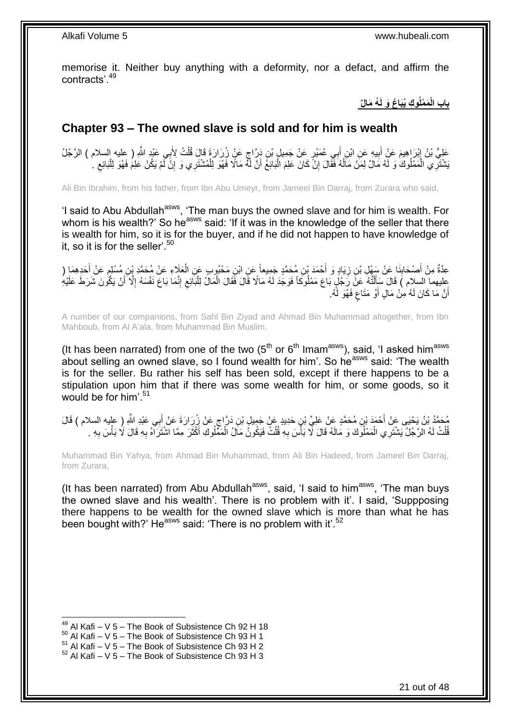memorise it. Neither buy anything with a deformity, nor a defact, and affirm the contracts'.<sup>49</sup>

**ُه َمال َم ْملُو ِك ُيَبا ُع َو لَ باب الْ**

## <span id="page-20-0"></span>**Chapter 93 – The owned slave is sold and for him is wealth**

**∶** عَلِيُّ بْنُ إِبْرَاهِيمَ عَنِْ أَبِيهِ عَنِ ابْنِ أَبِي عُمَيْرٍ عَنْ جَمِيلٍ بْنِ دَرَّاجٍ عَنٍْ زُرَارَةَ قَالَ قُلْتُ لِأَبِي عَبْدِ اللَّهِ ( عِليه السلام ) الرَّجُلُ ْ ٍ َ **!** َ ِ َنِشْتَرِي الْمَمْلُوكَ وَ لَهُ مَالٌ لِمَنْ مَالُهُ فَقَالَ إِنْ كَانَ عَلِمَ الْبَائِعُ أَنَّ لَّهٌ مَالًا فَهُوَ لِلْمُشْتَرِي وَ إِنَّ لَمْ يَكُنْ عَلِمَ فَهُوَ لِلْبَائِعِ لِ ا<br>ا ا<br>ا ِ ْ ِ ْ ْ ِ

Ali Bin Ibrahim, from his father, from Ibn Abu Umeyr, from Jameel Bin Darraj, from Zurara who said,

'I said to Abu Abdullah<sup>asws</sup>, 'The man buys the owned slave and for him is wealth. For whom is his wealth?' So he<sup>asws</sup> said: 'If it was in the knowledge of the seller that there is wealth for him, so it is for the buyer, and if he did not happen to have knowledge of it, so it is for the seller'.<sup>50</sup>

عِدَّةٌ مِنْ أَصْحَابِنَا عَنْ سَهْلِ بْنِ زِيَادٍ وَ أَحْمَدَ بْنِ مُحَمَّدٍ جَمِيعاً عَنِ ابْنِ مَحْبُوبٍ عَنِ الْعَلَاءِ عَنْ مُحَمَّدٍ بْنِ مُسْلِمٍ عَنْ أَحَدٍهِمَا ( ْ ِ **∣** َ َ ี<br>ผ عليهما السلام ) قَالَ سَأَلْتُهُ عَنَّ رَّجُلٍ بَاعَ مَمْلُوكاً فَوَجَدَ لَهُ مَالًا قَالَ فَقَالَ الْمَالُ لِلْبَائِعِ إِنَّمَا بَاعَ نَفْسَهُ إِلَّا أَنْ يَكُونَ شَرَطَ عَلَيْهِ<br>أَوَّ مَا يَرْبُهُمْ وَ اللَّهُ عَنْ رَجُ ْ َ ِ َّ ِ ْ ْ أَنَّ مَا كَانَ لَهُ مِنْ مَالٍ أَوْ مَثَاعِ فَهُوَ لَهُ. ٍ َ اً

A number of our companions, from Sahl Bin Ziyad and Ahmad Bin Muhammad altogether, from Ibn Mahboub, from Al A'ala, from Muhammad Bin Muslim,

(It has been narrated) from one of the two  $(5<sup>th</sup>$  or  $6<sup>th</sup>$  Imam<sup>asws</sup>), said, 'I asked him<sup>asws</sup> about selling an owned slave, so I found wealth for him'. So he<sup>asws</sup> said: 'The wealth is for the seller. Bu rather his self has been sold, except if there happens to be a stipulation upon him that if there was some wealth for him, or some goods, so it would be for him'.<sup>51</sup>

مُحَمَّدُ بْنُ يَحْيَى عَنْ أَحْمَدَ بْنِ مُحَمَّدٍ عَنْ عَلِيِّ بْنٍ حَدِيدٍ عَنْ جَمِيلٍ بْنِ دَرَّاجٍ عَنْ زُرِ َارَةَ عَنْ أَبِي عَبْدِ اللَّهِ ( علىه السلام ) قَالَ<br>لئو مَثَّدَ : يَعْنَ مَّنَّ مَّنَ أَحْمَدَ بْنِ مُح ֚֝֝׆<br>֚ َ قُلْتُ لَهُ الرَّجُلُ يَشْتَرِي الْمَمْلُوكَ وَ مَالَهُ قَالَ لَا بَأْسَ بِهِ قُلْتُ فَيَكُونُ مَالُ الْمَمَّلُوكِ أَكْثَرَ مِمَّا اشْتَرَاهُ بِهِ قَالَ لَا بَأْسَ بِهِ . ْ ِ ا<br>أ ْ ْ ِ ْ ِ َ َ ْ

Muhammad Bin Yahya, from Ahmad Bin Muhammad, from Ali Bin Hadeed, from Jameel Bin Darraj, from Zurara,

(It has been narrated) from Abu Abdullah $^{asws}$ , said, 'I said to him $^{asws}$ , 'The man buys the owned slave and his wealth'. There is no problem with it'. I said, 'Suppposing there happens to be wealth for the owned slave which is more than what he has been bought with?' He<sup>asws</sup> said: 'There is no problem with it'.<sup>52</sup>

<sup>1</sup>  $49$  Al Kafi – V 5 – The Book of Subsistence Ch 92 H 18

 $50$  Al Kafi – V 5 – The Book of Subsistence Ch 93 H 1

 $51$  Al Kafi – V  $5$  – The Book of Subsistence Ch 93 H 2

 $52$  Al Kafi – V 5 – The Book of Subsistence Ch 93 H 3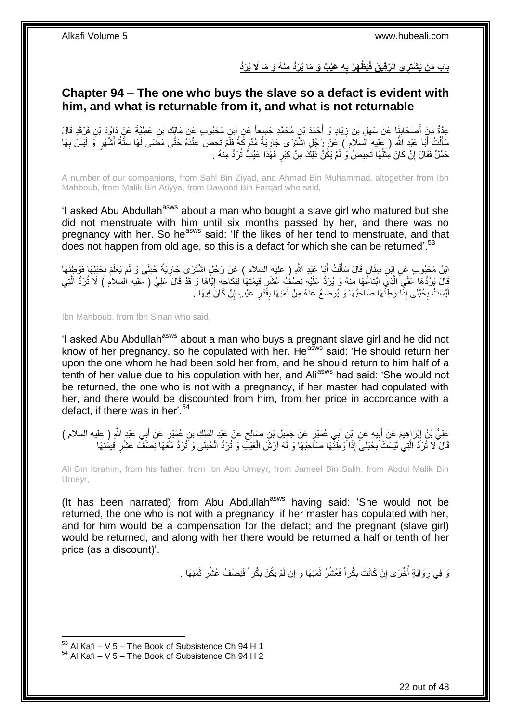### باب مَنْ يَشْتَرِي الرَّقِيقَ فَيَظْهَرُ بِهِ عَيْبٌ وَ مَا يُرَدُّ مِنْهُ وَ مَا لَا يُرَدُّ **ِ**

### <span id="page-21-0"></span>**Chapter 94 – The one who buys the slave so a defact is evident with him, and what is returnable from it, and what is not returnable**

عِدَّةٌ مِنْ أَصْحَابِنَا عَنْ سَهْلِ بْنِ زِيَادٍ وَ أَحْمَدَ بْنِ مُحَمَّدٍ جَمِيعاً عَنِ ابْنِ مَحْبُوبٍ عَنْ مَالِكِ بْنِ عَطِيَّةَ عَنْ دَاوُدَ بْنِ فَرْقَدٍ قَالَ **!** َ ِ مَأَلْتُ أَبَا عَبْدِ اللَّهِ ( عِليهِ الْسلاَمِ ) عَنْ رَجُلٍ اشْتَرَى جَارِيَةً مُدْرِكَةً فَلَّمْ تَحِضْ عِنْدَهُ حَتَّى مَضَى لَهَا سِتَّةُ أَشْهُرٍ وَ لَيْسَ بِهَا ِ ِ َ ْ َ ِ َ حَمْلٌ فَقَالَ إِنْ كَانَ مِثْلُهَا تَحِيضُ وَ لَمْ يَكُنْ ذَلِكَ مِنْ كِبَرٍ فَهَذَا عَيْبٌ تُرَدُّ مِنْهُ . ا<br>ا ْ ِ

A number of our companions, from Sahl Bin Ziyad, and Ahmad Bin Muhammad, altogether from Ibn Mahboub, from Malik Bin Atiyya, from Dawood Bin Farqad who said,

'I asked Abu Abdullah<sup>asws</sup> about a man who bought a slave girl who matured but she did not menstruate with him until six months passed by her, and there was no pregnancy with her. So he<sup>asws</sup> said: 'If the likes of her tend to menstruate, and that does not happen from old age, so this is a defact for which she can be returned'.<sup>53</sup>

ابْنُ مَحْبُوبٍ عَنِ إِبْنِ سِنَانٍ قَالَ سَأَلْتُ أَبَا عَيْدِ اللَّهِ ( عليه السلام ) عَنْ رَجُلٍ اشْتَرَى جَارِيَةً جُبْلَى وَ لَمْ يَعْلَمْ بِحَبَلِهَا فَوَطِئَهَا ِ َ ْ َ **∶** قَالَ يَرُدُّهَا عَلَيَ الَّذِيَ ابْتَاعََهَا مِنْهُ وَ يُرَدُّ عَلَيْهِ نِصْفُ عُشْرٍ قِيمَتِهَا لِنِكَاحِهِ إِيَّاهَا وَ قَدْ قَالَ عَلِيٌّ ( عليه السلام ) لَا تُرَدُّ الَّتِي ِ َّ َّ ֖֧֦֧֦֧֦֧֦֧֦֧֦֧ׅ֧֦֧֦֧֦֧֦֧֦֧֦֧֦֧֦֧֦֧֦֧֦֧֦֧֦֧֦֧֦֧֦֧֧֦֧ׅ֧֦֧֧֦֧֧֧֦֧֧֦֚֜֓֓֓֞֓֜֓֓֓֓֡֓֡֬ يْسَتْ بِحُبْلَى إِذَا وَطِّئُهَا صَاحِبُهَا وَ يُوضَعُ عَنْهُ مِنْ ثَمَنِهَا بِقَدْرِ عَيْبِ إِنْ كَانَ فِيهَا . ِ **∶ ∣** َ ِ لَ

Ibn Mahboub, from Ibn Sinan who said,

'I asked Abu Abdullah<sup>asws</sup> about a man who buys a pregnant slave girl and he did not know of her pregnancy, so he copulated with her. He<sup>asws</sup> said: 'He should return her upon the one whom he had been sold her from, and he should return to him half of a tenth of her value due to his copulation with her, and Ali<sup>asws</sup> had said: 'She would not be returned, the one who is not with a pregnancy, if her master had copulated with her, and there would be discounted from him, from her price in accordance with a defact, if there was in her'.<sup>54</sup>

عَلِيُّ بْنُ إِبْرَاهِيمَ عَنْ أَبِيهِ عَنِ ابْنِ أَبِي عُمَيْرٍ عَنْ جَمِيلٍ بْنِ صَالِحٍ عَنْ عَبْدِ الْمَلِكِ بْنِ عُمَيْرٍ عَنْ أَبِي عَبْدِ اللَّهِ ( عليه السلام )<br>-ْ ٍ َ ِ َ ِ َ اً قَالَ لَا تُرَدُّ الَّتِي لَيْسَتْ بِحُبْلَى إِذَا وَطِّفَها صَاحِبُهَا وَ لَهُ أَرْشُ الْعَيْبِّ وَ تُرَدُّ الْحُبْلَى وَ تُرَدُّ مَعَهَا نِصْفَ عُشُرِ قِيمَتِهَا **∶** َّ ِ ْ ْ

Ali Bin Ibrahim, from his father, from Ibn Abu Umeyr, from Jameel Bin Salih, from Abdul Malik Bin Umeyr,

(It has been narrated) from Abu Abdullah<sup>asws</sup> having said: 'She would not be returned, the one who is not with a pregnancy, if her master has copulated with her, and for him would be a compensation for the defact; and the pregnant (slave girl) would be returned, and along with her there would be returned a half or tenth of her price (as a discount)'.

> َرَ فِي رِوَايَةٍ أُخْرَى إِنْ كَانَتْ بِكْراً فَعُشْرُ ثَمَنِهَا وَ إِنْ لَمْ يَكُنْ بِكْراً فَنِصْفُ عُشُرٍ ثَمَنِهَا . َ ِ ِ ِ َ ِ יֲ<br>י .<br>ا **∶**

 $53$  Al Kafi – V 5 – The Book of Subsistence Ch 94 H 1

 $54$  Al Kafi – V  $5$  – The Book of Subsistence Ch 94 H 2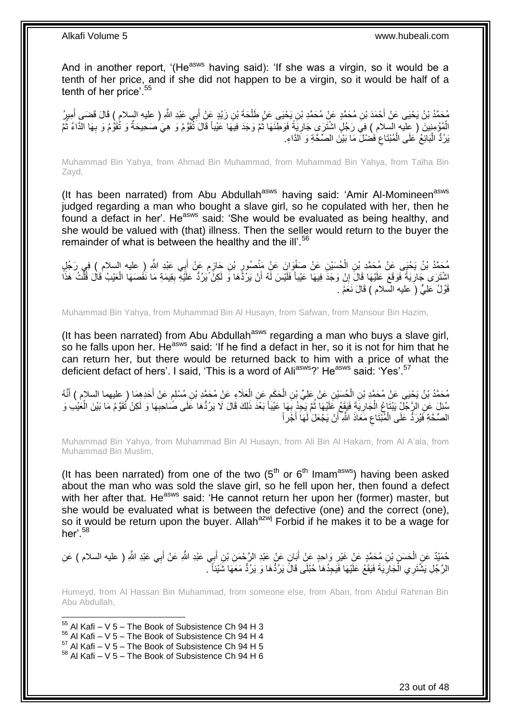And in another report, '(He<sup>asws</sup> having said): 'If she was a virgin, so it would be a tenth of her price, and if she did not happen to be a virgin, so it would be half of a tenth of her price<sup>'.55</sup>

مُحَمَّدُ بْنُ يَحْيَى عَنْ أَحْمَدَ بْنِ مُحَمَّدٍ عَنْ مُحَمَّدِ بْنِ يَحْيَى عَنْ طَلْحَةَ بْنِ زَيْدٍ عَنْ<br>وَمَعَاظِمَةِ السِّلامِ ) قَالَ قَضَمَعِ اللّهِ عَنْ مُحَمَّدِ بْنِ يَحْيَى عَنْ طَلْحَةَ بْنِ زَيْدٍ عَنْ أَب َ ْ أَ الْمُؤْمِنِينَ ( عِليه السلام ) فِيَ رَجُلٍ اشْتَرَى جَارِيَةً فَوَطِئَهَا ثُمَّ وَجَدَ فِيهَا عَيْباً قَالَ تُقَوَّمُ وَ هِيَ صَحِيحَةٌ وَ تُقَوَّمُ وَ بِهَا الدَّاءُ ثُمَّ ِ ان<br>المقامات ِ ا<br>-<br>-يَرُدُّ الْبَائِعُ عَلَى الْمُبْتَاعِ فَضْلٌ مَا بَيْنَ الصِّحَّةِ وَ الدَّاءِ. ِ ْ

Muhammad Bin Yahya, from Ahmad Bin Muhammad, from Muhammad Bin Yahya, from Talha Bin Zayd,

(It has been narrated) from Abu Abdullah<sup>asws</sup> having said: 'Amir Al-Momineen<sup>asws</sup> judged regarding a man who bought a slave girl, so he copulated with her, then he found a defact in her'. He<sup>asws</sup> said: 'She would be evaluated as being healthy, and she would be valued with (that) illness. Then the seller would return to the buyer the remainder of what is between the healthy and the ill'.<sup>56</sup>

مُحَمَّدُ بْنُ يَحْبَى عَنْ مُحَمَّدِ بْنِ الْحُسَيْنِ عَنْ صَفْوَانَ عَنْ مَنْصُورٍ بْنِ جَازِمٍ عَنْ أَبِي عَبْدِ اللَّهِ ( عليه السلام ) فِي رَجُلٍ<br>بِي مَنْ يَحْبَى عَنْ مُحَمَّدِ بْنِ الْحُسَيْنِ عَنْ صَفْوَانَ عَنْ غَ َ ֧֖֖֖֖֖֖֖֧֧֧֧ׅ֧֧֧֧ׅ֧֧֧֧֛֪֧֛֪֧֚֚֚֚֚֚֚֚֚֚֚֚֚֚֚֚֚֚֚֚֚֚֚֚֚֓֝֝֬֝֝֓֝֓֝֓֜֝֓֜֓֜֓֞֡֝֬֜֜֡֜֡ ِ ِ ْ اشْتَرَى جَارِيَةً فَوَقَعَ عَلَيْهَا قَالَ إِنْ وَجَدَ فِيهَا عَيْباً فَلَيْسَ لَهُ أَنْ يَرُدُّهَا وَ لَكِنَّ يَرُدُّ عَلَيْهِ بِقِيمَةِ مَا نَقُصَهَا الْعَيْبُ قَالَ قُلْتُ هَذَا اُ יִי (ֽו **∶** ْ ْ  $\frac{1}{2}$ قَةْ لُ عَلِيٍّ ( َعليه السلام ) قَالَ نَعَمْ

Muhammad Bin Yahya, from Muhammad Bin Al Husayn, from Safwan, from Mansour Bin Hazim,

(It has been narrated) from Abu Abdullah<sup>asws</sup> regarding a man who buys a slave girl, so he falls upon her. He<sup>asws</sup> said: 'If he find a defact in her, so it is not for him that he can return her, but there would be returned back to him with a price of what the deficient defact of hers'. I said, 'This is a word of Ali<sup>asws</sup>?' He<sup>asws</sup> said: 'Yes'.<sup>57</sup>

مُحَمَّدُ بْنُ يَحْيَى عَنْ مُحَمَّدِ بْنِ الْحُسَيْنِ عَنْ عَلِيٍّ بْنِ الْحَكَمِ عَنِ الْعَلَاءِ عَنْ مُحَمَّدِ بْنِ مُسْلِمٍ عَنْ أَحَدِهِمَا ( عليهما السلام ) أَنَّهُ<br>مُحَمَّدُ بْنُ يَحْيَى عَنْ مُحَمَّدِ بْنِ الْحُسَي ْ ِ ْ ْ َ َ ֧֖֧֦֧֦֧֦֧֦֚֝֝֝֝֝ سُئِلَ عَنِ الرَّجُلُ يَبْتَاعُ الْجَارِيَةَ فَيَقَعُ عَلَيْهَا ثُمَّ يَجِدُ بِهَا عَيْبَاً بَعْدَ ذَلِكَ قَالَ لَا يَرُدُّهَا عَلَى صُاحِبِهَا وَ لَكِنْ ثُقَوَّمُ مَا بَيْنَ الْعَيْبِ وَ **∶** ُ ِ ْ ْ **∶** الصِّحَّةِ فَيُرَدُّ عَلَى الْمُبْتَاعِ مَعَاذَ اللَّهِ أَنْ يَجْعَلَٰ لَهَاَ أَجْرِ أَ َ ِ ْ

Muhammad Bin Yahya, from Muhammad Bin Al Husayn, from Ali Bin Al Hakam, from Al A'ala, from Muhammad Bin Muslim,

(It has been narrated) from one of the two  $(5<sup>th</sup>$  or  $6<sup>th</sup>$  Imam<sup>asws</sup>) having been asked about the man who was sold the slave girl, so he fell upon her, then found a defect with her after that. He<sup>asws</sup> said: 'He cannot return her upon her (former) master, but she would be evaluated what is between the defective (one) and the correct (one), so it would be return upon the buyer. Allah<sup>azwj</sup> Forbid if he makes it to be a wage for her'.<sup>58</sup>

حُمَّدٌ عَنِ الْحَسَنِ بْنِ مُحَمَّدٍ عَنْ غَيْرِ وَاحِدٍ عَنْ أَبَانٍ عَنْ عَبْدِ الرَّحْمَنِ بْنِ أَبِي عَبْدِ اللَّهِ عَنْ أَبِي عَبْدِ اللَّهِ ( عليه السلام ) عَنِ<br>حَيَّدٌ عَنِ الْحَسَنِ بْنِ مُحَمَّدٍ عَنْ غَيْرِ وَاح َ َ ِ ْ َ الرَّجُلِ يَشْتَرِي الْجَارِيَةَ فَيَقَعُ عَلَيْهَا فَيَجِدُهَا حُبْلَى قَالَّ يَرُدُّهَا وَ يَرُدُّ مَعَهَا شَيْئاً ۖ ِ ْ

Humeyd, from Al Hassan Bin Muhammad, from someone else, from Aban, from Abdul Rahman Bin Abu Abdullah,

1 Al Kafi – V 5 – The Book of Subsistence Ch 94 H 3 Al Kafi – V 5 – The Book of Subsistence Ch 94 H 4 Al Kafi – V  $5$  – The Book of Subsistence Ch 94 H 5 Al Kafi – V 5 – The Book of Subsistence Ch 94 H 6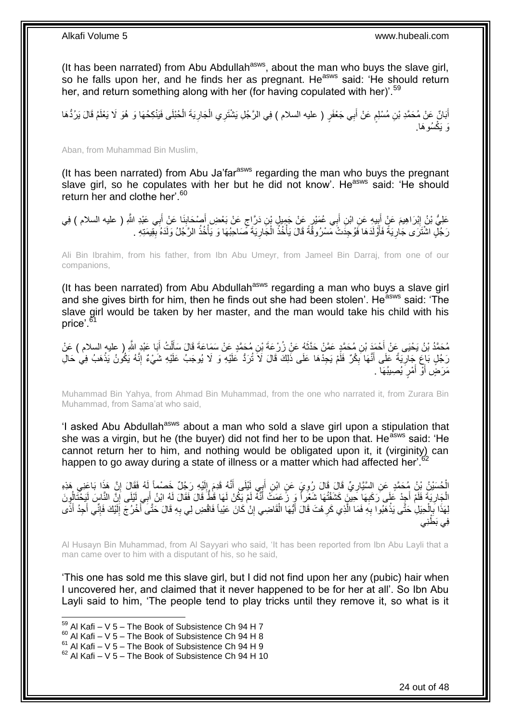(It has been narrated) from Abu Abdullah $a<sup>asws</sup>$ , about the man who buys the slave girl, so he falls upon her, and he finds her as pregnant. He<sup>asws</sup> said: 'He should return her, and return something along with her (for having copulated with her)<sup>'.59</sup>

أَبَانٌ عَنْ مُحَمَّدِ بْنِ مُسْلِمٍ عَنْ أَبِي جَعْفَرٍ ( عليه السلام ) فِي الرَّجُلِ يَشْتَرِي الْجَارِيَةَ الْحُبْلَى فَيَنْكِحُهَا وَ هُوَ لَا يَعْلَمُ قَالَ يَرُدُّهَا ْ ِ ْ ٍ رَ يَكْسُوهَا.

Aban, from Muhammad Bin Muslim,

(It has been narrated) from Abu Ja'far $a<sup>asws</sup>$  regarding the man who buys the pregnant slave girl, so he copulates with her but he did not know'. He<sup>asws</sup> said: 'He should return her and clothe her'.<sup>60</sup>

ِ عَلِيُّ بْنُ إِبْرَاهِيمَ عَنٍْ أَبِيهٍ عَنِ ابْنِ أَبِي عُمَيْرٍ عَنْ جَمِيلٍ بْنِ دَرَّاحٍ عَنْ بَعْضٍ أُصْحَابِنَا عَنْ أَبِي عَبْدِ اللَّهِ ( عليه السلام ) فِي َ **!** َ ٍ َ **⊥** َ ِ رَجُلِّ اشْتَرَى جَارِيَةً فَأَوَّلَدَهَا فَوُجِدَتْ مَسْرُوقَةً قَالَ يَأْخُذُ الْجَارِيَةَ صَاحِبُهَا وَ يَأْخُذُ الرَّجُلُ وَلَدَهُ بِقِيمَتِهِ . َ **∶**  $\frac{1}{2}$ ْ **ٍ** ْ ْ

Ali Bin Ibrahim, from his father, from Ibn Abu Umeyr, from Jameel Bin Darraj, from one of our companions,

(It has been narrated) from Abu Abdullah<sup>asws</sup> regarding a man who buys a slave girl and she gives birth for him, then he finds out she had been stolen'. He<sup>asws</sup> said: 'The slave girl would be taken by her master, and the man would take his child with his price'.<sup>61</sup>

مُحَمَّدُ بْنُ يَحْيَى عَنْ أَحْمَدَ بْنِ مُحَمَّدٍ عَمَّنْ حَدَّثَهُ عَنْ زُرْعَةَ بْنِ مُحَمَّدٍ عَنْ سَمَاعَةَ قَالَ سَأَلْتُ أَبَا عَبْدِ اللَّهِ ( عليه السلام ) عَنْ<br>. َ ْ ĺ َ رَجُلٍ بَاعٍ جَارِيَةً عَلَى أَنَّهَا بِكُرٌ فَلَمْ يَجِدْهَا عَلَى ذَلِكَ قَالَ لَا تُرَدُّ عَلَيْهِ وَ لَا يُوجَبُ عَلَيْهِ شَيْءٌ إِنَّهُ يَكُونُ يَذْهَبُ فِي حَالِ ِ َ **∶** ِ **ٔ** مَرَضٍ أَوْ أَمْرٍ يُصِيبُهَا <sub>.</sub> َ ا<br>ا

Muhammad Bin Yahya, from Ahmad Bin Muhammad, from the one who narrated it, from Zurara Bin Muhammad, from Sama'at who said,

'I asked Abu Abdullah<sup>asws</sup> about a man who sold a slave girl upon a stipulation that she was a virgin, but he (the buyer) did not find her to be upon that. He<sup>asws</sup> said: 'He cannot return her to him, and nothing would be obligated upon it, it (virginity) can happen to go away during a state of illness or a matter which had affected her'.<sup>4</sup>

الْحُسَيْنُ بِّنُ مُحَمَّدٍ عَنِ السَّيَّارِيِّ قَالَ قَالَ رُوِيَ عَنِ ابْنِ أَبِي لَيْلَى أَنَّهُ قَدِمَ إِلَيْهِ رَجُلٌ خَصْماً لَهُ فَقَالَ إِنَّ هَذَا بَاعَنِي هَذِهِ لَ ِ َ َ ِ ِ ِ لَ الْجَارِيَةَ فَلَمْ أَجِدْ عَلَى رَكَبِهَا خِينَ كَشَفْتُهَا شَعْرَاً وَ زَعَمَتُ أَنَّهُ لَمْ يَكُنْ لَهَا قَطْ قَالَ فَقَالَ لَهُ ابْنُ أَبِي لَيْلَى أَنَّ النَّاسَ لَيَحْتَالُونَ َ **∶** َ ِ ا<br>ا ِ َ لِمَذَا بِالْحِيَلِ حَتَّى يَذْهَبُوا بِهِ فَمَا الَّذِي كَرِ هْتَ قَالَ أَيُّهَا الْقَاضِي إِنْ كَانَ عَيْباً فَاقْضِ لِي بِهِ قَالَ حَتَّىَ أَخْرُجَ إِلَيْكَ فَإِنِّي أَجِدُ أَذًى ِ ِ ْ َ ِ َّ **∶** ْ ْ ِ لَ ِ َ ֪֪֪֦֧֪֪֦֪֪֦֖֪֪֦֖֪֪֦֖֞֟֟֟֟֟֟֟֟֟֟֟֟֟֟֟֟֟֟֟֟֟֟֟֟֟֟֝֟֟֝֟֝֟֝֟֝ َ َ ا∣<br>ِ∘ ْطِني ِفي َب

Al Husayn Bin Muhammad, from Al Sayyari who said, 'It has been reported from Ibn Abu Layli that a man came over to him with a disputant of his, so he said,

'This one has sold me this slave girl, but I did not find upon her any (pubic) hair when I uncovered her, and claimed that it never happened to be for her at all'. So Ibn Abu Layli said to him, 'The people tend to play tricks until they remove it, so what is it

 $59$  Al Kafi – V 5 – The Book of Subsistence Ch 94 H 7

 $60$  Al Kafi – V 5 – The Book of Subsistence Ch 94 H 8

 $61$  Al Kafi – V  $5$  – The Book of Subsistence Ch 94 H 9

 $62$  Al Kafi – V 5 – The Book of Subsistence Ch 94 H 10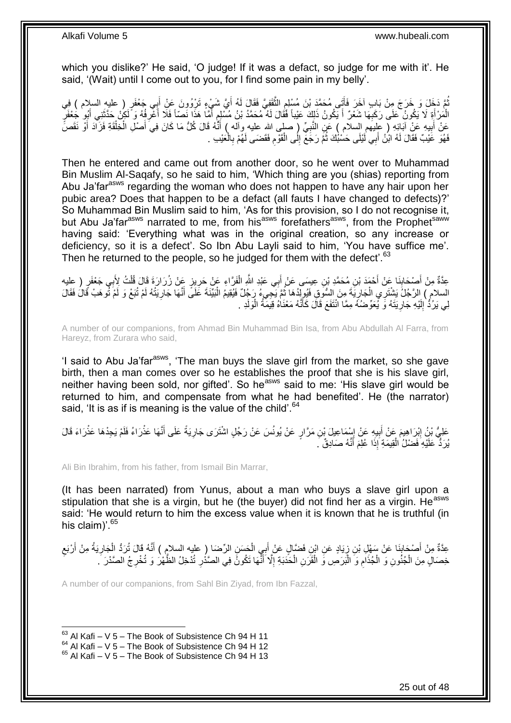which you dislike?' He said, 'O judge! If it was a defact, so judge for me with it'. He said, '(Wait) until I come out to you, for I find some pain in my belly'.

ثُمَّ دَخَلَ وَ خَرَجَ مِنْ بَابٍ آخَرَ فَأَتَى مُحَمَّدَ بْنَ مُسْلِمِ الثَّقَفِيَّ فَقَالَ لَهُ أَيَّ شَيْءٍ تَرِّوُونَ عَنْ أَبِي جَعْفَرٍ ( عليه السلام ) فِي<br>ثلم ذَكِّرَ بِي أَمْرَ بِينَ بِينَ بِينَ بِينَ أَمِي أَيِّ َ َ َّ َ الْمَرْ أَةِ لَا يَكُونُ عَلَى رَكَبِهَا شَعْرٌ أَ يَكُونُ ذَلِكَ عَيْباً فَقَالَ لَهُ مُحَمَّدُ بْنُ مُسْلِمٍ أَمَّا هَذَا نَصَّاً فَلَا أَغْرِفُهُ وَ لَكُنْ حَدَّثَنِي أَبُو جُعْفَرٍ َ **∶** َ ْ َ َ ِ َ َ ∶<br>° عَنْ أَبِيهِ عَنْ آبَائِهِ ( عِليهَم السلام ) عَنِ النَّبِيِّ ( صلى الله عليه وآله ) أَنَّهُ قَالَ كُلُّ مَا كَانَ فِيَ أَصْلِ الْخِلْقَةِ فَزَاّدَ أَوْ نَقَصَّ َ َ ِ **ِ** َ ْ ْ فَهُوَ عََيْبٌ فَقَالَ لَهُ ابْنُ أَبِي لَيْلَى حَسْبُكَ ثُمَّ رَجَعَ إِلَى الْقَوْمِ فَقَضَى لَهُمْ بِالْعَيْبِ . ْ **∶** ِ ْ ِ ُ َ

Then he entered and came out from another door, so he went over to Muhammad Bin Muslim Al-Saqafy, so he said to him, 'Which thing are you (shias) reporting from Abu Ja'far<sup>asws</sup> regarding the woman who does not happen to have any hair upon her pubic area? Does that happen to be a defact (all fauts I have changed to defects)?' So Muhammad Bin Muslim said to him, 'As for this provision, so I do not recognise it, but Abu Ja'far<sup>asws</sup> narrated to me, from his<sup>asws</sup> forefathers<sup>asws</sup>, from the Prophet<sup>saww</sup> having said: 'Everything what was in the original creation, so any increase or deficiency, so it is a defect'. So Ibn Abu Layli said to him, 'You have suffice me'. Then he returned to the people, so he judged for them with the defect'.<sup>63</sup>

عِدَّةٌ مِنْ أَصْحَابِنَا عَنْ أَحْمَدَ بْنِ مُحَمَّدِ بْنِ عِيسَى عَنْ أَبِي عَبْدِ اللَّهِ الْفَرَّاءِ عَنْ حَرِيزٍ عَنْ زُرَارَةَ قَالَ قُلْتُ لِأَبِي جَعْفَرٍ ( عِليه ِ ْ َ َ ِ َ ْ السلام ) الرَّجُلُّ يَشْتَرِي الْجَارِيَةَ مِنَ السُّوقِ فَيُولِدُهَا ثُمَّ يَجِيءُ رَجُلٌ فَيُقِيمُ الْبَيِّنَةَ عَلَى أَنَّهَا جَارِيَتُهُ لَمْ تُبَعْ وَ لَمْ تُوهَبْ قَالَ فَقَالَ ٔ.<br>ـ ِ ْ ِ َ ْ لِي يَرُدُّ إِلَيْهِ جَارِيَتَهُ وَ يُعَوِّضُهُ مِمَّا انْتَفَعَ قَالَ كَأَنَّهُ مَعْنَاهُ قِيمَةُ الْوَلَدِ . َ ِ لَ  $\frac{1}{2}$ ْ

A number of our companions, from Ahmad Bin Muhammad Bin Isa, from Abu Abdullah Al Farra, from Hareyz, from Zurara who said,

'I said to Abu Ja'far<sup>asws</sup>, 'The man buys the slave girl from the market, so she gave birth, then a man comes over so he establishes the proof that she is his slave girl, neither having been sold, nor gifted'. So he<sup>asws</sup> said to me: 'His slave girl would be returned to him, and compensate from what he had benefited'. He (the narrator) said, 'It is as if is meaning is the value of the child'. $64$ 

عَلِيُّ بْنُ إِبْرَاهِيمَ عَنْ أَبِيهِ عَنْ إِسْمَاعِيلَ بْنِ مَرَّارٍ عَنْ يُونُسَ عَنْ رَجُلٍ اشْتَرَى جَارِيَةً عَلَى أَنَّهَا عَذْرَاءُ فَلَمْ يَجِدْهَا عَذْرَاءَ قَالَ َ **∶** ِ **!** َ **ֽוּ ٔ ٔ** يُرَدُّ عَلَيْهِ فَضْلُ الْقِيمَةِ إِذَا عُلِمَ أَنَّهُ صَادِقٌ ۚ. َ ْ

Ali Bin Ibrahim, from his father, from Ismail Bin Marrar,

(It has been narrated) from Yunus, about a man who buys a slave girl upon a stipulation that she is a virgin, but he (the buyer) did not find her as a virgin. He<sup>asws</sup> said: 'He would return to him the excess value when it is known that he is truthful (in his claim)<sup>'.65</sup>

عِدَّةٌ مِنْ أَصْحَابِنَا عَنْ سَهْلِ بْنِ زِيَادٍ عَنِ ابْنِ فَضَّالٍ عَنْ أَبِي الْحَسَنِ الرِّضَا ( عليه السلام ) أَنَّهُ قَالَ تُرَدُّ الْجَارِيَةُ مِنْ أَرْبَعِ ْ َ ِ **∣** َ ِ َ ِ ْ َ خِصَالٍ مِنَ الْجُنُونِ وَ الْجُذَامِ وَ الْبَرَصِ وَ الْقَرَنِ الْحَدَبَةِ إِلَّا أَنَّهَا تَكُونُ فِي الصَّذُرِ تُذْخِلُ الظَّهْرُ وَ تُخْرِجُ الصَّدْرَ ـ ْ ِ ْ َ ِ ْ ْ ِ ِ

A number of our companions, from Sahl Bin Ziyad, from Ibn Fazzal,

 $63$  Al Kafi – V 5 – The Book of Subsistence Ch 94 H 11

 $^{64}$  Al Kafi – V 5 – The Book of Subsistence Ch 94 H 12

 $65$  Al Kafi – V 5 – The Book of Subsistence Ch 94 H 13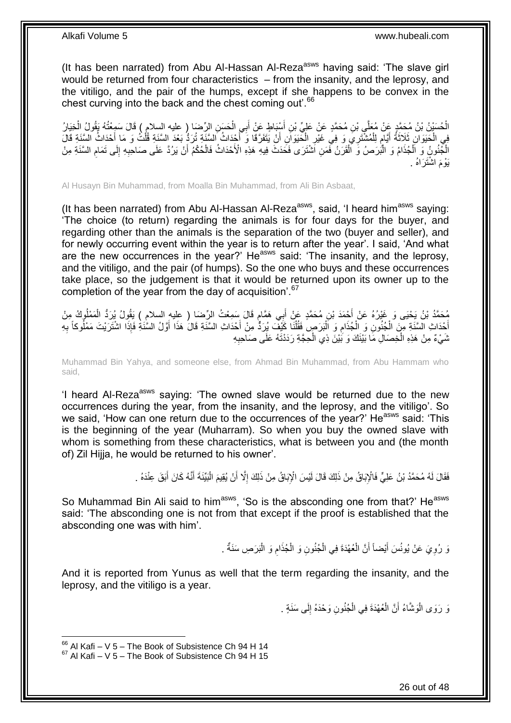(It has been narrated) from Abu Al-Hassan Al-Reza<sup>asws</sup> having said: 'The slave girl would be returned from four characteristics – from the insanity, and the leprosy, and the vitiligo, and the pair of the humps, except if she happens to be convex in the chest curving into the back and the chest coming out<sup>".66</sup>

الْحُسَيْنُ بْنُ مُحَمَّدٍ عَنْ مُعَلَّي بْنِ مُحَمَّدٍ عَنْ عَلِيِّ بْنِ أَسْنِطٍ عَنْ أَبِي الْحَسَنِ الرِّضَا ( عليه السلام ) قَالَ سَمِعْتُهُ يَقُولُ الْخِيَارُ.<br>يَعْمَّدُ بِيَّةٍ مَنْ مُحَمَّدٍ مَنْ أَسْمَعُ عَنْ عَلِ ْ ْ َ َ فِي الْحَيَوَانِ ثَلَاثَةُ أَيَّامٍ لِلْمُشْتَرِيَ وَ فِي غَيْرِ الْحَيَوَانِ أَنْ يَتَفَرَّقَا وَ أَجْدَاثُ السَّنَةِ أَرَبَّ السَّنَةِ قُلْتُ وَ مَا أَحْدَاثُ السَّنَةِ قَالَ َ َ ْ ِ ْ ٍ َ ٔ, ْ َ ْ الْجُنُونُ وَ الَّجُذَامُ وَ الْبُرَصُ وَّ الْقَرَنُ فَمَنِ اَشْتَرَى فَحَدَثَ فِيهِ هَذِهِ الْأَحْدَاثُ فَالْحُكْمُ أَنْ يَرُدَّ عَلَى صَاحِبِهِ إِلَى تَمَامِ السَّنَةِ مِنْ ْ ْ ِ ِ ِ َ ْ يَوْمَ اشْتَرَاهُ <sub>ـ</sub>

Al Husayn Bin Muhammad, from Moalla Bin Muhammad, from Ali Bin Asbaat,

(It has been narrated) from Abu Al-Hassan Al-Reza<sup>asws</sup>, said, 'I heard him<sup>asws</sup> saying: 'The choice (to return) regarding the animals is for four days for the buyer, and regarding other than the animals is the separation of the two (buyer and seller), and for newly occurring event within the year is to return after the year'. I said, 'And what are the new occurrences in the year?' He<sup>asws</sup> said: 'The insanity, and the leprosy, and the vitiligo, and the pair (of humps). So the one who buys and these occurrences take place, so the judgement is that it would be returned upon its owner up to the completion of the year from the day of acquisition'.<sup>67</sup>

مُحَمَّدُ بْنُ يَحْيَى وَ غَيْرُهُ عَنْ أَجْمَدَ بْنِ مُحَمَّدٍ عَنْ أَبِي هَمَّامٍ قَالَ سَمِعْتُ الرِّضَا ( عليه السلام ) يَقُولُ يُرَدُّ الْمَمْلُوكُ مِنْ<br>نَبِيتَ الْمَسْئَمَّةُ بِنُ يَحْيَى وَ مِنْ أَجْمَدَ بْنِ مُحَم ֧֧֧֧֚֓֝֝֓֝֓֝֬֝֓֓ َ ُ ْ أَحْدَاثِ السَّنَةِ مِنَ الْجُنُونِ وَ الْجُذَامِ وَ اَلْبَرَصٍ فَقُلْنَا كَيْفَ بُرَدُّ مِنْ أَحْدَاثِ السَّنَةِ قَالُ هَذَا أَوَّلُ السَّنَةِ فَإِذَا اشْتَرَيْتَ مَمْلُوكاً بِهِ<br>يَجْمَدُ السَّنَةِ مِنَ الْجُنُونِ وَ الْ ْ ْ ِ ْ ْ ِ َ نَبِّءٌ مِنْ هَذِهِ الْخِصَالِ مَا بَيْنَكَ وَ بَيْنَ ذِي الْحِجَّةِ رَدَدْتَهُ عَلَى صَاحِبِهِ ِ ْ ْ

Muhammad Bin Yahya, and someone else, from Ahmad Bin Muhammad, from Abu Hammam who said,

'I heard Al-Reza<sup>asws</sup> saying: 'The owned slave would be returned due to the new occurrences during the year, from the insanity, and the leprosy, and the vitiligo'. So we said. 'How can one return due to the occurrences of the year?' He<sup>asws</sup> said: 'This is the beginning of the year (Muharram). So when you buy the owned slave with whom is something from these characteristics, what is between you and (the month of) Zil Hijja, he would be returned to his owner'.

> فَقَالَ لَهُ مُحَمَّدُ بْنُ عَلِيٍّ فَالْإِبَاقُ مِنْ ذَلِكَ قَالَ لَيْسَ الْإِبَاقُ مِنْ ذَلِكَ إِلَّا أَنْ يُقِيمَ الْبَيِّنَةَ أَنَّهُ كَانَ أَبَقَ عِنْدَهُ . ْ َ ِ َ َ

So Muhammad Bin Ali said to him<sup>asws</sup>, 'So is the absconding one from that?' He<sup>asws</sup> said: 'The absconding one is not from that except if the proof is established that the absconding one was with him'.

> وَ رُوِيَ عَنْ يُونُسَ أَيْضاً أَنَّ الْعُهْدَةَ فِي الْجُنُونِ وَ الْجُذَامِ وَ الْبَرَصِ سَنَةٌ . ْ ِ ْ ْ ْ َ ِ

And it is reported from Yunus as well that the term regarding the insanity, and the leprosy, and the vitiligo is a year.

> نَ رَوَى الْوَشَّاءُ أَنَّ الْعُهْدَةَ فِي الْجُنُونِ وَحْدَهُ إِلَى سَنَةٍ . ∣∣<br>∶ ْ ْ اً ْ

1

26 out of 48

 $66$  Al Kafi – V 5 – The Book of Subsistence Ch 94 H 14

 $67$  Al Kafi – V 5 – The Book of Subsistence Ch 94 H 15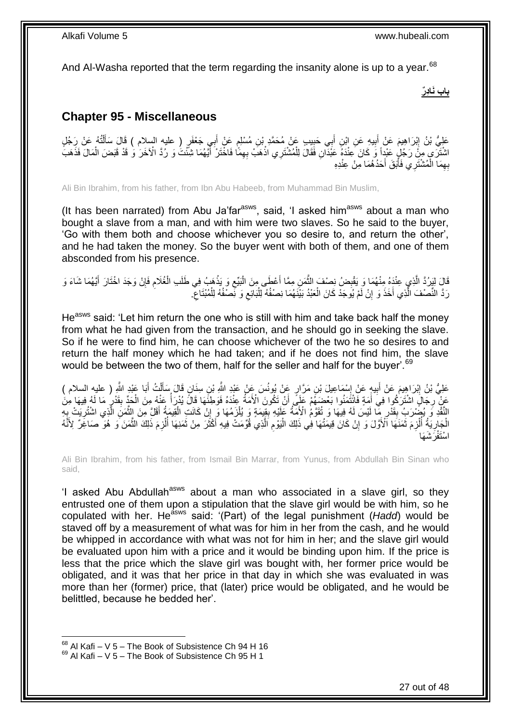And Al-Washa reported that the term regarding the insanity alone is up to a year.<sup>68</sup>

**باب َناِد ر**

### <span id="page-26-0"></span>**Chapter 95 - Miscellaneous**

عَلِيُّ بْنُ إِبْرَاهِيمَ عَنْ أُبِيهِ عَنِ ابْنِ أَبِي حَبِيبٍ عَنْ مُحَمَّدٍ بْنِ مُسْلِمٍ عَنْ أَبِي جَعْفَرٍ ( عليه السلام ) قَالَ سَأَلْتُهُ عَنْ رِجُلٍ َ م ِ َ **!** ْ َ اشْتَرَى مِنَّ رَجُلٍ عَبْداً وَ كَانَ عِنْدَهُ عَبْدَانِ فَقَالَ لِلْمُشْتَرِي اذْهَبْ بِهِمَّا فَاخْتَرْ أَيَّهُمَا شِئْتُ وَ رُدَّ الْأَخَرَ وَ قَدْ قَبَضَ الْمَالَ فَذَهَبَ **ٔ** ْ ْ َ ِ بِهِمَا الْمُشْتَرِي فَأَبَقَ أَحَدُهُمَا مِنْ عِنْدِهِ َ َ ْ ِ

Ali Bin Ibrahim, from his father, from Ibn Abu Habeeb, from Muhammad Bin Muslim,

(It has been narrated) from Abu Ja'far $a<sup>asws</sup>$ , said, 'I asked him $a<sup>asws</sup>$  about a man who bought a slave from a man, and with him were two slaves. So he said to the buyer, 'Go with them both and choose whichever you so desire to, and return the other', and he had taken the money. So the buyer went with both of them, and one of them absconded from his presence.

قَالَ لِيَرُدَّ الَّذِي عِنْدَهُ مِنْهُمَا وَ يَقْبِضُ نِصْفَ النُّصَنِ مِمَّا أَعْطَى مِنَ الْبَيِّعِ وَ يَذْهَبُ فِي طَلَب الْغُلَامِ فَإِنْ وَجَدَ اخْتَارَ أَيَّهُمَا شَاءَ وَ **ٔ** ِ ْ َ َّ ِ ٔ<br>ا َ ∣ļ ِ ْ رَدَّ النِّصْفَ الَّذِي أَخَذَ وَ إِنْ لَمْ يُوجَدْ كَانَ الْعَبْدُ بَيْنَهُمَا نِصْفُهُ لِلْبَائِعِ وَ نِّصفُهُ لِلْمُبْتَاعِ ْ ِ َ َّ ِ ْ ِ ا<br>ا

He<sup>asws</sup> said: 'Let him return the one who is still with him and take back half the money from what he had given from the transaction, and he should go in seeking the slave. So if he were to find him, he can choose whichever of the two he so desires to and return the half money which he had taken; and if he does not find him, the slave would be between the two of them, half for the seller and half for the buyer'.<sup>69</sup>

عَلِيُّ بْنُ إِبْرَاهِيمَ عَنْ أَبِيهٍ عَنْ إِسْمَاعِيلَ بْنِ مَرَّارٍ عَنْ يُونُسَ عَنْ عَبْدِ اللَّهِ بْنِ سِنَانٍ قَالَ سَأَلْتُ أَبَا عَبْدِ اللَّهِ ( عليهِ السلام ) **!** َ **ֽו** َ ْ َ ِ ُ عَنْ ۖ رِجَالٍ الشَّتَرَكُوا فِيَ أَمَةٍ فَائْتُمَنُوا بَعْضَهُمْ عَلِيٍّ أَنْ تَكُونَ الْأَمَةُ عِنْدَهُ فَوَطِئِّهَا فَالٍّ يُدْرَأُ عَنْهُ مِنَ الْحَدِّ بِقَدْرٍ مَا لَهُ فِيهَا مِنْ اُ َ ِ ِ **∶** ْ النَّقْدِ وَ يُضِّرَبِ بِقَدْرٍ مِّاۤ لَيْسَ لَهُ فِيهَا وَ تُقَوَّمُ الْأُمَةُ عَلَيْهِ بِقِيِّمَةٍ وَ يُلْزَمُهَا وَ إِنْ كَانَتِ الْقِيمَةُ أَقَلَّ مِنَ النَّمَلِ النُّنُو يَبِتَّ بِهِ ِ ْ **!** ِ **∣** ِ ِ َّ َّ َ ْ ٔ, الْجَارِيَةُ أُلْزِمَ ثَمَنَهَا الْأَوَّلَ وَ إِنْ كَانَ قِيمَتُهَا فِي ذَلِكَ الْيَوْمِ اَلَّذِي قُوِّمَتْ فِيه<br>وَجَارِبِ تَرَبَّدُ أُلْزِمَ ثَمَنَهَا الْأَوَّلَ وَ إِنْ كَانَ قِيمَتُهَا فِي ذَلِكَ الْيَوْمِ الَّذِي قُوِ ُ ِ ْ ُ َ َ َ َّ ِ ْ יֲ<br>י َّ َر َش َها اسْتَفْر

Ali Bin Ibrahim, from his father, from Ismail Bin Marrar, from Yunus, from Abdullah Bin Sinan who said,

'I asked Abu Abdullah<sup>asws</sup> about a man who associated in a slave girl, so they entrusted one of them upon a stipulation that the slave girl would be with him, so he copulated with her. He<sup>asws</sup> said: '(Part) of the legal punishment (*Hadd*) would be staved off by a measurement of what was for him in her from the cash, and he would be whipped in accordance with what was not for him in her; and the slave girl would be evaluated upon him with a price and it would be binding upon him. If the price is less that the price which the slave girl was bought with, her former price would be obligated, and it was that her price in that day in which she was evaluated in was more than her (former) price, that (later) price would be obligated, and he would be belittled, because he bedded her'.

<sup>1</sup>  $68$  Al Kafi – V 5 – The Book of Subsistence Ch 94 H 16

 $69$  Al Kafi – V 5 – The Book of Subsistence Ch 95 H 1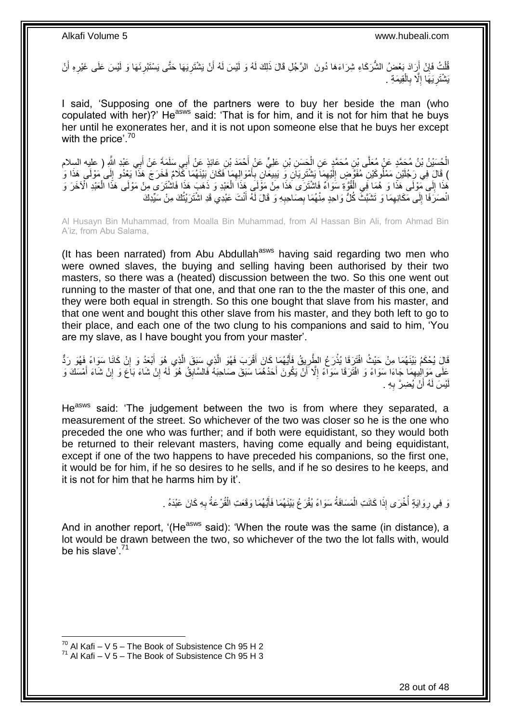ُفَلْتُ فَإِنْ أَرَادَ بَعْضُ الشَّرَكَاءِ شِرَاءَهَا دُونَ ۖ الرَّجُلِ قَالَ ذَلِكَ لَهُ وَ لَيْسَ لَهُ أَنْ يَشْتَرِيَهَا حَتَّى يَسْتَبْرِنَهَا وَ لَيْسَ عَلَى غَيْرِهِ أَنْ ِ اُ َ ِ ْ َ ِ ِ يَشْتَرِيَهَا إِلَّا بِالْقِيمَةِ . ْ ِ ِ **∶** 

I said, 'Supposing one of the partners were to buy her beside the man (who copulated with her)?' He<sup>asws</sup> said: 'That is for him, and it is not for him that he buys her until he exonerates her, and it is not upon someone else that he buys her except with the price'.<sup>70</sup>

الْحُسَيْنُ بْنُ مُحَمَّدٍ عَنْ مُعَلَّى بْنِ مُحَمَّدٍ عَنِ الْحَسَنِ بْنِ عَلِيٍّ عَنْ أَحْمَدَ بْنِ عَائِذٍ عَنْ أَبِي سَلَمَةَ عَنْ أَبِي عَبْدِ اللَّهِ ( عليه السِلام َ َ َ ْ ) قَالَ فِي رَِجُلَيْنِ مَمْلُوكَيْنِ مُفَوَّجِنٍ إِلَيْهِمَا يَشْتَرِيَانِ وَ يَبِيعَانِ بِأَمْوَالِهِمَا فَكَانَ بَيْنَهُمَا كَلَامٌ فَخَرَجَ هَذَا يَعْدُو إِلَى مَوْلَى هَذَا وَ ِ َ **∶** ِ **∶**  $\ddot{\xi}$ لَ ِ ِ هَذَا إِلَى مَوْلَى هَذَا وَ هُمَا فِي الْقُوَّةِ سَوَاءٌ فَاتْنْتَرَى هَذَا مِنْ مَوْلَى هِذَا الْعَبْدِ وَ ذَهَبَ هَذَا فَاتْنْتَرَى مِنْ مَوْلَى هَذَا الْعَبْدِ الْأَخَرَ وَ ْ ْ ׀<br>֧֓ ْ ِ انْصَرَفَا إِلَى مَكَانِهِمَا وَ تَشْبَثَ كُلُّ وَاحِدٍ مِنْهُمَا بِصَاحِبِهِ وَ قَالَ لَهُ أَنْتَ عَبْدِي قَدِ اشْتَرَيْتُكَ مِنْ سَيِّدِكَ ِ َ ِ ِ

Al Husayn Bin Muhammad, from Moalla Bin Muhammad, from Al Hassan Bin Ali, from Ahmad Bin A'iz, from Abu Salama,

(It has been narrated) from Abu Abdullah<sup>asws</sup> having said regarding two men who were owned slaves, the buying and selling having been authorised by their two masters, so there was a (heated) discussion between the two. So this one went out running to the master of that one, and that one ran to the the master of this one, and they were both equal in strength. So this one bought that slave from his master, and that one went and bought this other slave from his master, and they both left to go to their place, and each one of the two clung to his companions and said to him, 'You are my slave, as I have bought you from your master'.

قَالَ يُحْكَمُ بَيْنَهُمَا مِنْ حَيْثُ افْتَرَقَا يُذْرَعُ الطِّرِيقُ فَأَيُّهُمَا كَانَ أَقْرَبَ فَهُوَ الَّذِي سَبَقَ الَّذِي هُوَ أَبْعَدُ وَ إِنْ كَانَا سَوَاءً فَهُوَ رَدٌّ َّ َّ َ َ ِ ْ ِ عَلَى مَوَالِيهِمَا جَاءَا سَوَاءً وَ افْتَرَقَا سَوَاءً إِلَّا أَنْ يَكُونَ أَحَدُهُمَا سَبَقَ صَاحِبَهُ فَالسَّابِقُ هُوَ لَهُ إِنْ شَاءَ بَاعَ وَ إِنْ شَاءَ أَمْسَكَ وَ ِ َ اُ ِ  $\ddot{\cdot}$ َ ِ ِ يْسَ لَهُ أَنْ يُضِرَّ بِهِ . **∶** َ لَ

He<sup>asws</sup> said: 'The judgement between the two is from where they separated, a measurement of the street. So whichever of the two was closer so he is the one who preceded the one who was further; and if both were equidistant, so they would both be returned to their relevant masters, having come equally and being equidistant, except if one of the two happens to have preceded his companions, so the first one, it would be for him, if he so desires to he sells, and if he so desires to he keeps, and it is not for him that he harms him by it'.

> وَ فِي رِوَايَةٍ أُخْرَى إِذَا كَانَتِ الْمَسَافَةُ سَوَاءً يُقْرَعُ بَيْنَهُمَا فَأَيُّهُمَا وَقَعَتِ الْقُرْعَةُ بِهِ كَانَ عَبْدَهُ ـ ِ ْ َ ْ .<br>ا ِ

And in another report, '(He<sup>asws</sup> said): 'When the route was the same (in distance), a lot would be drawn between the two, so whichever of the two the lot falls with, would be his slave'.<sup>71</sup>

 $^{70}$  Al Kafi – V 5 – The Book of Subsistence Ch 95 H 2

 $71$  Al Kafi – V 5 – The Book of Subsistence Ch 95 H 3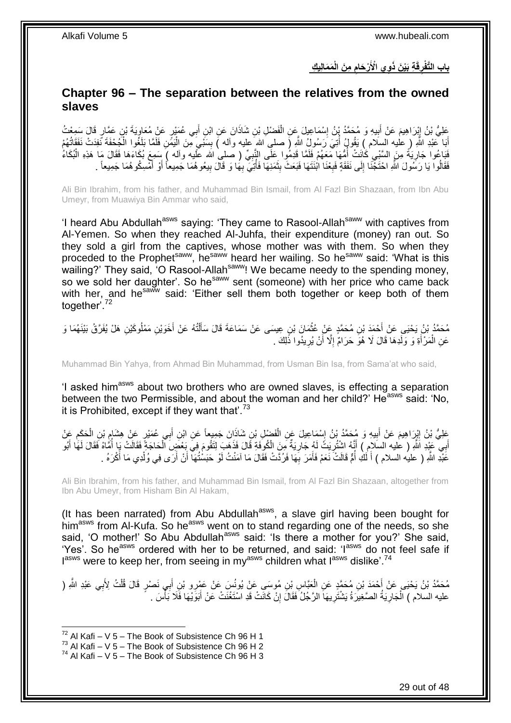**َم َمالِي ِك ِم َن الْ ْر َحام ِوي اْْلَ ِة َبْي َن ذَ قَ باب الَّتفْر ِ ِ**

### <span id="page-28-0"></span>**Chapter 96 – The separation between the relatives from the owned slaves**

عَلِيُّ بْنُ إِبْرَاهِيمَ عَنْ أَبِيهِ وَ مُحَمَّدُ بْنُ إِسْمَاعِيلَ عِنِ الْفَضْلِ بْنِ شَاذَانَ عَنِ ابْنِ أَبِي عُمَيْرٍ عَنْ مُعَاوِيَةَ بْنِ عَمَّارٍ قَالَ سَمِعْتُ **!** َ ِ ِ َ ْ ِ أَبَا عَبْدِ اللَّهِ ( عليه السَلام ) يَقُولُ أَنِيَ رَسُولُ اللَّهِ ( صلى الله عليه وآله ) بِسَنَبِيَ مِنَ الْيَمَّنِ فَلَمَّا بَلَغُوا الْجُحْفَةَ نَفِدَتْ نَفَقَاتُهُمْ<br>يَرْبُدُ عَبْدِ اللَّهِ ( عليه السَلام ) وَ أَنِّ ْ ِ َ ْ فَبَاعُوا جَارِيَةً مِنَ السَّبْيِ كَانَتْ أُمُّهَا مَعَهُمْ فَلَمَّا قَدِمُوا عَلَى النَّبِيِّ ( صلى الله عليه وأله ) سَمِعَ بُكَاءَهَا فَقَالَ مَا هَذِهِ الْبُكَاءُ ِ ان<br>ا ِ ¦ ْ فَقَالُوا يَا رَسُولَ اللَّهِ احْتَجْنَا إِلَى نَفَقَةٍ فَبِعْنَا ابْنَتَهَا فَبَعَثَ بِثَمَنِهَا فَأُتِيَ بِهُا وَ قَالَ بِيعُوهُمَا جَمِيعاً أَوْ أَمْسِكُوهُمَا جَمِيعاً .  $\frac{1}{2}$ َ َ ِ **∶** ا<br>ا َ ِ

Ali Bin Ibrahim, from his father, and Muhammad Bin Ismail, from Al Fazl Bin Shazaan, from Ibn Abu Umeyr, from Muawiya Bin Ammar who said,

'I heard Abu Abdullah<sup>asws</sup> saying: 'They came to Rasool-Allah<sup>saww</sup> with captives from Al-Yemen. So when they reached Al-Juhfa, their expenditure (money) ran out. So they sold a girl from the captives, whose mother was with them. So when they proceded to the Prophet<sup>saww</sup>, he<sup>saww</sup> heard her wailing. So he<sup>saww</sup> said: 'What is this wailing?' They said, 'O Rasool-Allah<sup>saww</sup>! We became needy to the spending money, so we sold her daughter'. So he<sup>saww</sup> sent (someone) with her price who came back with her, and he<sup>saww</sup> said: 'Either sell them both together or keep both of them together'.<sup>72</sup>

مُحَمَّدُ بْنُ يَحْيَىِ عَنْ أَحْمَدَ بْنِ مُحَمَّدٍ عَنْ عُثْمَانَ بْنِ عِيسَى عَنْ سَمَاعَةَ قَالَ سَأَلْتُهُ عَنْ أَخَوَيْنِ مَمْلُوكَيْنِ هَلْ يُفَرَّقُ بَيْنَهُمَا وَ َ ْ َ **ٔ** عَنِ الْمَرْأَةِ وَ وَلَدِهَا قَالَ لَا هُوَ حَرَامٌ إِلَّا أَنْ يُرِيدُوا ذَلِكَ . َ ْ **∶** َ ِ

Muhammad Bin Yahya, from Ahmad Bin Muhammad, from Usman Bin Isa, from Sama'at who said,

'I asked him<sup>asws</sup> about two brothers who are owned slaves, is effecting a separation between the two Permissible, and about the woman and her child?' He<sup>asws</sup> said: 'No, it is Prohibited, except if they want that  $7^{73}$ 

عَلِيُّ بْنُ اِيْرَاهِيمَ عَنْ أَبِيهِ وَ مُحَمَّدُ بْنُ إِسْمَاعِيلَ عَنِ الْفَضْلِ بْنِ شَاذَانَ جَمِيعاً عَنِ ابْنِ أَبِي عُمَيْرٍ عَنْ هِشَامٍ بْنِ الْحَكَمِ عَنْ َ ْ **!** َ ِ ِ ْ ِ أَبِي ۖ عَبْدِ اللَّهِ ( عليه السَلامِ ) أَنَّهُ اشْتُرِيَتُ لَهُ جَارِيَةٌ مِنَ الْكُوفَةِ قَالَ فَذَهَبَ لِتَقُومَ فِي بَعْضَ الْحَاجَةَ فَقَالَتْ يَا أُمَّاهُ فَقَالَ لَهَا أَبُو **∶ ∶** َ َ ا<br>ا ْ عَبْدِ اللَّهِ ( عليه السلام ) أَ لَكِ أُمَّ قَالَتْ نَعَمْ فَأَمَرَ بِهَا فَرُدَّتْ فَقَالَ مَا آمَنْتُ لَوْ حَبَسْتُهَا أَنْ أَرَى فِي وُلْدِي مَا أَكْرَهُ . ا<br>ا لَ َ َ ْ َ َ ِ اُ

Ali Bin Ibrahim, from his father, and Muhammad Bin Ismail, from Al Fazl Bin Shazaan, altogether from Ibn Abu Umeyr, from Hisham Bin Al Hakam,

(It has been narrated) from Abu Abdullah<sup>asws</sup>, a slave girl having been bought for him<sup>asws</sup> from Al-Kufa. So he<sup>asws</sup> went on to stand regarding one of the needs, so she said, 'O mother!' So Abu Abdullah<sup>asws</sup> said: 'Is there a mother for you?' She said, 'Yes'. So he<sup>asws</sup> ordered with her to be returned, and said: 'l<sup>asws</sup> do not feel safe if l<sup>asws</sup> were to keep her, from seeing in my<sup>asws</sup> children what l<sup>asws</sup> dislike'.<sup>74</sup>

مُحَمَّدُ بْنُ يَحْيَى عَنْ أَحْمَدَ بْنِ مُحَمَّدٍ عَنِ الْعَبَّاسِ بْنِ مُوسَى عَنْ يُونُسَ عَنْ عَمْرِو بْنِ أَبِي نَصْرٍ قَالَ قُلْتُ لِأَبِي عَبْدِ اللَّهِ ( ْ ْ َ عليه السلام ) الْجَارِيَةُ الصَّغِيرَةُ يَشْتَرِيهَاَ الرَّجُلُ فَقَالَ إِنْ كَانَتْ قَدِ اسْتَغْنَتْ عَنْ أَبَوَّيْهَا فَلَا بَأْسَ . َ ֧<u>׀</u> ِ **∶** ْ ا<br>ا

 $72$  Al Kafi – V 5 – The Book of Subsistence Ch 96 H 1

 $73$  Al Kafi – V  $5$  – The Book of Subsistence Ch 96 H 2

 $74$  Al Kafi – V 5 – The Book of Subsistence Ch 96 H 3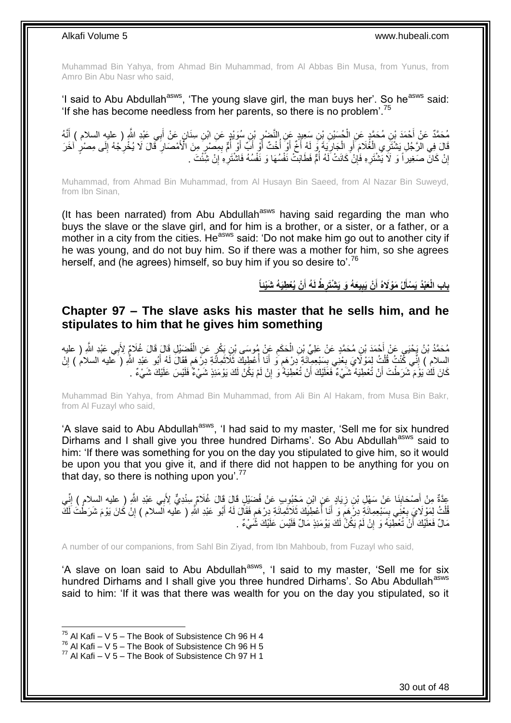Muhammad Bin Yahya, from Ahmad Bin Muhammad, from Al Abbas Bin Musa, from Yunus, from Amro Bin Abu Nasr who said,

'I said to Abu Abdullah<sup>asws</sup>, 'The young slave girl, the man buys her'. So he<sup>asws</sup> said: 'If she has become needless from her parents, so there is no problem'.<sup>75</sup>

مُحَمَّدٌ عَنْ أَحْمَدَ بْنِ مُحَمَّدٍ عَنِ الْجُسَيْنِ بْنِ سَعِيدٍ عَنِ النَّصْبِرِ بْنِ سُوَيْدٍ عَنِ ابْنِ سِنَانٍ عَنْ أَبِي عَبْدِ اللَّهِ ( عليه السلام ) أَنَّهُ<br>يُرْضِعَكُمْ عَنْ أَحْمَدَ بْنِ مُحَمَّدٍ عَنِ الْجُ َ َ َ ¦ ْ َالَ فِي الْزَّجُلِ يَشْتَرِي الْغُلَامَ أَوِ الْجَارِيَةَ وَّ لَهُ أَخٌ أَوْ أُخْتٌ أَوْ أَبٌّ لَوْ أُمٌّ بِمِصْرٍ مِنَ الْأَمْصَارِ قَالَ لَا يُخْرِجُهُ إِلَى مِصْرٍ ٰ آخَرَ ِ ا<br>ا َ َ َ ا<br>أ َ ِ ْ ِ َ ْ ِ ِ ِ إِنْ كَانَ صَغِيراً وَ لَاَ يَشْتَرِهِ فَإِنْ كَانَتْ لَهُ أُمٌّ فَطَابَتْ نَفْسُهَا وَ نَفْسُهُ فَاسْتَرِهِ إِنْ شِّئْتَ . ِ ِ ا<br>ا ِ ِ اٍ

Muhammad, from Ahmad Bin Muhammad, from Al Husayn Bin Saeed, from Al Nazar Bin Suweyd, from Ibn Sinan,

(It has been narrated) from Abu Abdullah<sup>asws</sup> having said regarding the man who buys the slave or the slave girl, and for him is a brother, or a sister, or a father, or a mother in a city from the cities. He<sup>asws</sup> said: 'Do not make him go out to another city if he was young, and do not buy him. So if there was a mother for him, so she agrees herself, and (he agrees) himself, so buy him if you so desire to'.<sup>76</sup>

> باب الْعَبْدُ يَسْأَلُ مَوْلَاهُ أَنْ يَبِيعَهُ وَ يَشْتَرِطُ لَهُ أَنْ يُعْطِيَهُ شَيْئاً **َ ِ ِ َ**

### <span id="page-29-0"></span>**Chapter 97 – The slave asks his master that he sells him, and he stipulates to him that he gives him something**

مُحَمَّدُ بْنُ يَجْيَى عَنْ أَحْمَدَ بْنِ مُحَمَّدٍ عَنْ عَلِيِّ بْنِ الْحَكَمِ عَنْ مُوسَى بْنِ بَكْرٍ عَنِ الْفُضِّيْلِ قَالَ قَالَ غُلَامٍّ لِأَبِي عَبْدِ اللَّهِ ( عليه ْ ِ ْ ِ السلام ) إِنِّي كَنْتُ قُلْتُ إِمَوْلَايَ بِعْنِي بِسَبْعِمِّآئَةٍ دِرْهَمٍ وَ أَنَا أُعْطِيلَةَ ثَلَاثَمِائَةِ دِرْهَمٍ فَقَالَ لَهُ أَبُو عَبْدِ اللَّهِ (َ عليه السلام ) إِنْ ֧֖֖֖֖֖֧֧֚֚֚֚֚֚֓֝֝֬֝֝֟֓֝֓֝֓֟֓֝֬֝֓֝ ة<br>أ ا<br>أ َ ֧֧֖֧֖֧֖֧֧֧֧֧֧֧֧֧֧֧֧֚֚֚֓֝֝֝֝֝֟֓֝֓֬֝֓֝֬֟֓֟֓֝֬֟֓֟֓֝֬֝֬֝֓֟֓֝֬֜֝֬֝֓֝֬֝֓ **∶** ِ ْ יִי י ِ َ لَ كَانَ لَكَ يَوْمَ شَرَطْتَ أَنْ تُعْطِّيَهُ شَيْءٌ فَعََلَيْكَ أَنْ تُعْطِّيَهُ وَ إِنْ لَمْ يَكُنْ لَكَ يَوْمَئِذٍ شَيْءٌ فَلَيْسَ عَلَيْكَ شَيْءٌ . ِ

Muhammad Bin Yahya, from Ahmad Bin Muhammad, from Ali Bin Al Hakam, from Musa Bin Bakr, from Al Fuzayl who said,

'A slave said to Abu Abdullah<sup>asws</sup>, 'I had said to my master, 'Sell me for six hundred Dirhams and I shall give you three hundred Dirhams'. So Abu Abdullah<sup>asws</sup> said to him: 'If there was something for you on the day you stipulated to give him, so it would be upon you that you give it, and if there did not happen to be anything for you on that day, so there is nothing upon you'. $77$ 

عِدَّةٌ مِنْ أَصْحَابِنَا عَنْ سَهْلِ بْنِ زِيَادٍ عَنِ ابْنِ مَجْبُوِبٍ عَنْ فُضَيْلٍ قَالَ قَالَ غُلَامٌ سِنْدِيٍّ لِأَبِي عَبْدِ اللَّهِ ( عليه السلام ) إِنِّي ِ ِ َ ِ **∶** قُلْتُ لِمَوْْلَايَ بِعْنَى بِسَّبْعِمِائَةِ دِرْهُمٍّ وَ أَنَا أُعْطِيَكَ ثَلِاَثُمِائَةِ دِرْهُمٍ فَقَالَ لَهُ أَبُو عَبْدِ اللَّهِ ( عَليه السلام ) إِنْ كَانَ يَوْمَ شَرَطْتُ لَكَ ْ ِ َ ֖֖֦֚֚֚֚֝֝֝֝֝֝֝֟֝֝֬֝֓֟֓֟׆<br>֧֪֘ َ ا<br>ا َ ٍ ِ مَالٌ فَعَلَيْكَ أَنْ تُعْطِّيَهُ وَ إِنْ لَمْ يَكُنُّ لَكَ يَوْمَئِذٍ مَالٌ فَلَيْسَ عَلَيْكَ شَّيْءٌ . ِ

A number of our companions, from Sahl Bin Ziyad, from Ibn Mahboub, from Fuzayl who said,

'A slave on loan said to Abu Abdullah<sup>asws</sup>, 'I said to my master, 'Sell me for six hundred Dirhams and I shall give you three hundred Dirhams'. So Abu Abdullah<sup>asws</sup> said to him: 'If it was that there was wealth for you on the day you stipulated, so it

 $^{75}$  Al Kafi – V 5 – The Book of Subsistence Ch 96 H 4

 $^{76}$  Al Kafi – V 5 – The Book of Subsistence Ch 96 H 5

 $77$  Al Kafi – V 5 – The Book of Subsistence Ch 97 H 1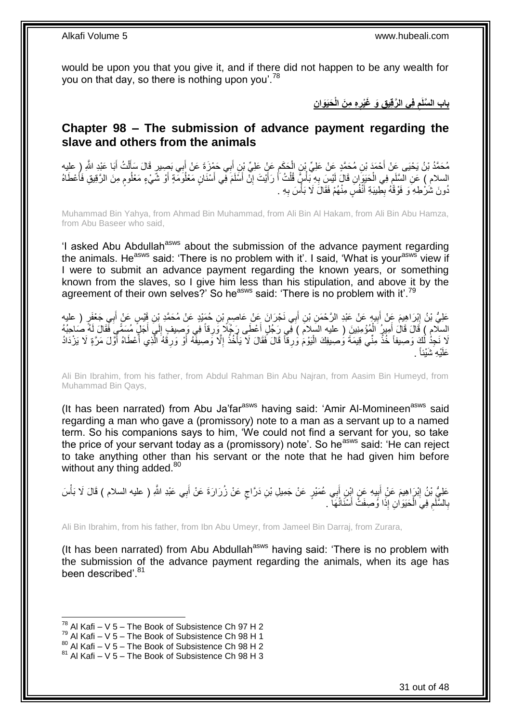would be upon you that you give it, and if there did not happen to be any wealth for you on that day, so there is nothing upon you'.<sup>78</sup>

> **ِق َو َغ فِي ال َّر ِقي ِن باب ال َّسلَم َحَيَوا ِه ِم َن الْ ْير ِ ِ**

### <span id="page-30-0"></span>**Chapter 98 – The submission of advance payment regarding the slave and others from the animals**

مُحَمَّدُ بْنُ يَحْيَى عَنْ أَحْمَدَ بْنِ مُحَمَّدٍ عَنْ عَلِيِّ بْنِ الْحَكَمِ عَنْ عَلِيٍّ بْنِ أَبِي حَمْزَةَ عَنْ أَبِي بَصِيرٍ قَالَ سَأَلْتُ أَبَا عَبْدِ اللَّهِ رِ عِلِيهِ َ ِ ْ َ ْ ĺ السلامِ ) عَنِ السَّلَمِ فِي الْحَبَوَانِ قَالَ لَيْسِ بِهِ بَأْسٍ ۖ قُلْتُ أَ رَأَيْتَ إِنْ أَسَلَمَ فِي أَسْنَانٍ مَعْلُومَةٍ أَوْ شَيْءٍ مَعْلُومٍ مِنَ الرَّقِيقِ فَأَعْطَاهُ َ َ ِ َ َ ْ .<br>ا ِ ْ ِ َ َ **ื** نُونَ شُرُطِهِ َوَ فَوْقَهُ بِطِيبَةِ أَنْفُسٍ مِنْهُمْ فَقَالَ لَا بَأْسَ بِهِ . َ ِ ِ **ٔ** 

Muhammad Bin Yahya, from Ahmad Bin Muhammad, from Ali Bin Al Hakam, from Ali Bin Abu Hamza, from Abu Baseer who said,

'I asked Abu Abdullah<sup>asws</sup> about the submission of the advance payment regarding the animals. He<sup>asws</sup> said: 'There is no problem with it'. I said, 'What is your<sup>asws'</sup> view if I were to submit an advance payment regarding the known years, or something known from the slaves, so I give him less than his stipulation, and above it by the agreement of their own selves?' So he<sup>asws</sup> said: 'There is no problem with it'.<sup>79</sup>

عَلِيُّ بْنُ إِبْرَاهِيمَ عَنْ أَبِيهِ عَنْ عَبْدِ الرَّحْمَنِ بْنِ أَبِي نَجْرَانَ عَنْ عَاصِمٍ بْنِ حُمَيْدٍ عَنْ مُحَمَّدِ بْنِ قَيْسٍ عَنْ أَبِي جَعْفَرٍ ( عليه ِ َ **!** َ ِ َ ْ السلام ) قَالَ قَالَ أَمِيزُ الْمُؤْمِنِينَ ( عليه السلامَ ) فِي رَجُلٍ أَعْطَى رَجُلًا وَرِقاً فِي وَصِيفٍ إِلَيَ أَجَلٍّ مُسَمَّىَ فَقَالَ لَهُ صَاحِبُهُ َ َ ِ ِ َ ِ َلا نَجِدُٰ لَكَ وَصِيفاً خُذٌ مِنًّى قِيمَةَ وَُصِيفِكَ الْيَوْمَ وَرِقاً قَالَ فَقَالَ لَا يَأْخُذُ إِلَّا وَصيبةً ۖ أَوْ وَرِقَهُ الَّذِي أَعْطَاهُ أَوَّلَ مَرَّةٍ لَا يَزْدَادُ َ ِ ْ **ٍ** :<br>ا .<br>.<br>. َ َ عَلَيْهِ شَيْئاً .

Ali Bin Ibrahim, from his father, from Abdul Rahman Bin Abu Najran, from Aasim Bin Humeyd, from Muhammad Bin Qays,

(It has been narrated) from Abu Ja'far<sup>asws</sup> having said: 'Amir Al-Momineen<sup>asws</sup> said regarding a man who gave a (promissory) note to a man as a servant up to a named term. So his companions says to him, 'We could not find a servant for you, so take the price of your servant today as a (promissory) note'. So he<sup>asws</sup> said: 'He can reject to take anything other than his servant or the note that he had given him before without any thing added. $80$ 

عَلِيُّ بْنُ إِبْرَاهِيمَ عَنْ أَبِيهِ عَنِ إِبْنِ أَبِي عُمَيْرٍ عَنْ جَمِيلِ بْنِ دَرَّاحٍ عَنْ زُرَارَةَ عَنْ أَبِي عَبْدِ اللَّهِ ( عليه السلام ) قَالَ لَا بَأْسَ َ ٍ َ ِ َ ِ ْ بِالسَّلَمِ فِيَ الْحَيَوَانِ إِذَا وَصِفَتَّ أَسْنَانُهَا ۚ ـ َ ْ ِ **∶** 

Ali Bin Ibrahim, from his father, from Ibn Abu Umeyr, from Jameel Bin Darraj, from Zurara,

(It has been narrated) from Abu Abdullah<sup>asws</sup> having said: 'There is no problem with the submission of the advance payment regarding the animals, when its age has been described'.<sup>81</sup>

 $^{78}$  Al Kafi – V 5 – The Book of Subsistence Ch 97 H 2

 $79$  Al Kafi – V 5 – The Book of Subsistence Ch 98 H 1

 $80$  Al Kafi – V  $5$  – The Book of Subsistence Ch 98 H 2

 $81$  Al Kafi – V 5 – The Book of Subsistence Ch 98 H 3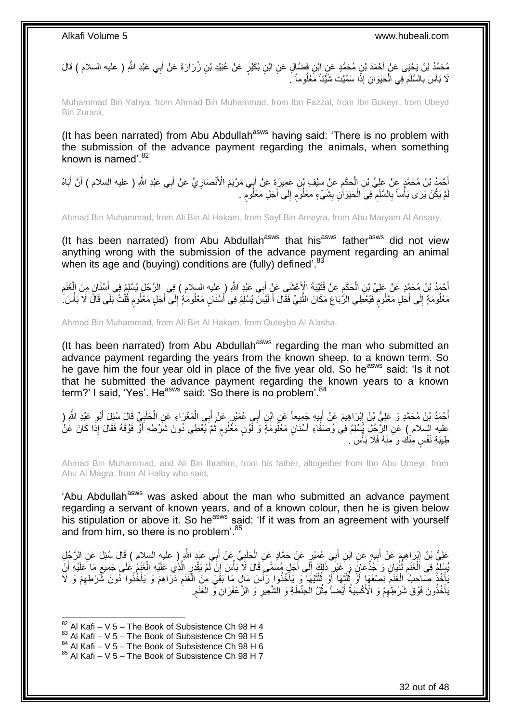مُحَمَّدُ بْنُ يَجْيَى عَنْ أَحْمَدَ بْنِ مُحَمَّدٍ عَنِ ابْنِ فَضَّالٍ عَنِ ابْنِ بُكَيْرٍ عَنْ عُبَيْدِ بْنِ زُرَارَةَ عَنْ أَبِي عَبْدِ اللَّهِ ( عليه السلام ) قَالَ لَا بَأْسَ بِالسَّلَمِ فِي الْحَيَوَانِ إِذًا سَمَّيْتَ شَيِّئاً مَعْلُوماً ۗ. ْ ِ **∶ ٔ** 

Muhammad Bin Yahya, from Ahmad Bin Muhammad, from Ibn Fazzal, from Ibn Bukeyr, from Ubeyd Bin Zurara,

(It has been narrated) from Abu Abdullah<sup>asws</sup> having said: 'There is no problem with the submission of the advance payment regarding the animals, when something known is named<sup>'82</sup>

أَحْمَدُ بْنُ مُحَمَّدٍ عَنْ عَلِيِّ بْنِ الْحَكَمِ عَنْ سَيْفِ بْنِ عَمِيرَةَ عَنْ أَبِي مَرْيَمَ الْأَنْصَارِيِّ عَنْ أَبِي عَبْدِ اللَّهِ ( عليه السلام ) أَنَّ أَبَاهُ<br>أَحْمَدُ بْنُ مُحَمَّدٍ عَنْ عَلِيِّ بْنِ الْحَكَم َ ِ َ ِ ْ َ َ نْم يَكُنْ يَرَى بَأْساً بِالسَّلَمِ فِيَ الْحَيَوَالِ بِشَيْءٍ مَعْلُومٍ إِلَى أَجَلٍ مَعْلُومٍ . **∣** ْ ِ **∶** ْ ֧֖֖֖֖֧֧֧ׅ֧֧ׅ֧֚֚֚֚֚֚֚֚֚֓֝֝֬֝֟֓֝֓֝֓֝֓֜֟֓֟֓֟֓֝֬֜֝ َ ِ ֧֧֧֧֧֧֧֧֓֝֓֝֓֝֓֝֬֟֓֟֓֓֓֟֓֓֟֓֓<del>֛</del>

Ahmad Bin Muhammad, from Ali Bin Al Hakam, from Sayf Bin Ameyra, from Abu Maryam Al Ansary,

(It has been narrated) from Abu Abdullah<sup>asws</sup> that his<sup>asws</sup> father<sup>asws</sup> did not view anything wrong with the submission of the advance payment regarding an animal when its age and (buying) conditions are (fully) defined<sup>'.83</sup>

أَحْمَدُ بْنُ مُحَمَّدٍ عَنْ عَلِيِّ بْنِ الْحَكَمِ عَنْ قُتَنِيَةَ الْإِعْشَى عَنْ أَبِي عَبْدِ اللَّهِ ( عِليه السلام ) فِي الرَّجُلِ يُسْلِمُ فِي أَسْنَانٍ مِنَ الْغَذَمِ ِ ْ َ ِ ْ َ َ مَعْلُومَةٍ إِلَى أَجَلٍ مَعْلُومٍ فَيُعْطِي الرِّبَاعَ مَكَانَ الثَّنِيِّ فَقَالَ أَ لَيْسَ يُسْلِمُ فِي أَسْنَانٍ مَعْلُومَةٍ ٰإِلَى أَجَلٍ مَعْلُومٍ قُلْتُ بَلَى قَالَ لَا بَأْسَ َ لَ َ َّ ٍ ِ ْ ٍ َ ِ ْ

Ahmad Bin Muhammad, from Ali Bin Al Hakam, from Quteyba Al A'asha,

(It has been narrated) from Abu Abdullah<sup>asws</sup> regarding the man who submitted an advance payment regarding the years from the known sheep, to a known term. So he gave him the four year old in place of the five year old. So he<sup>asws</sup> said: 'Is it not that he submitted the advance payment regarding the known years to a known term?' I said, 'Yes'. He<sup>asws</sup> said: 'So there is no problem'.<sup>84</sup>

أَحْمَدُ بْنُ مُحَمَّدٍ وَ عَلِيُّ بْنُ إِبْرَاهِيمَ عَنْ أَبِيهِ جَمِيعاً عَنِ ابْنِ أَبِي عُمَيْرٍ عَنْ أَبِي الْمَغْرَاءِ عَنِ الْحَلَبِيِّ قَالَ سُئِلَ أَبُو عَنْدِ اللَّهِ (<br>- يَمْسَمُ بَنْ مُحَمَّدٍ وَ عَلِيُّ بْنُ إ َ َ ِ ْ ْ َ َ **∣** َ <u>֖֓</u> عليه السلام ) عَنِ الرَّجُلِ نَسْلِمُ فِي وُصَفَاءِ أَسْنَانٍ مَعْلُومَةٍ وَ لَّوْنٍ مَعْلُومٍ ثُمَّ يُعْطِي دُونَ شَرْطِهِ أَوْ فَوْقَهُ فَقَالَ إِذَا كَانَ عَنْ ُ م َ ِ َ طِيبَةِ نَفْسٍ مِنْكَ وَ مِنْهُ فَلَا بَأْسَ ۚ ا<br>ا

Ahmad Bin Muhammad, and Ali Bin Ibrahim, from his father, altogether from Ibn Abu Umeyr, from Abu Al Magra, from Al Halby who said,

'Abu Abdullah<sup>asws</sup> was asked about the man who submitted an advance payment regarding a servant of known years, and of a known colour, then he is given below his stipulation or above it. So he<sup>asws</sup> said: 'If it was from an agreement with yourself and from him, so there is no problem'.<sup>85</sup>

عَلِيُّ بْنُ إِبْرَاهِيمَ عَنْ أَبِيهٍ عَنِ ابْنِ أَبِي عُمَيْرٍ عَنْ حَمَّادٍ عَنِ الْحَلَبِيِّ عَنْ أَبِي عَبْدِ اللَّهِ ( عليه السلام ) قَالَ سُئِلَ عَنِ الرَّجُلِ َ ِ ْ َ **!** َ ∣l<br>∶ ُمِبِيْلِمُ فِي اَلْغَنَمِ ثُنُيَانٍ وَ جُذْعَانٍ وَ غَيْرٍ ذَلِكَ إِلَى أَجَلٍ مُسَمًّى قَالَ لَآ بَأْسَ إِنَّ لَمْ يَقْدِرٍ الَّذِي عَلَيْهِ الْغَنَمُ عَلَى جَمِيعِ مَا عَلَيْهِ أَنْ ∣∣<br>∶ ِ **ٔ** ُ ِ َ ِ ْ َّ ِ ِ ْ يَأْخُذُ صَاحِبُ الْغَنَمِّ نِصْفَهَا أَوْ تُٰلَئِّهَا أَوْ تُٰلَٰئِّيْهَا ۖ وَ يَأْخُذُوا رَأْسَ مَالٍ مَا بَقِيَ مِنَ الْغَنَمِ دَرَاهِمَ وَ يَأْخُذُوا دُونَ شَّرْطِهِمْ وَ لَا ِ ْ ا<br>ا َ ا<br>ا ُ َ ٔ, ُ ُ ِ ْ ة<br>أ ِ ْ **∶** َبَأْخُذُونَ فَوْقَ شَرْطَهِمْ وَ الْأَكْسِيَةُ أَيْضاً مِثْلُ الْحِنْطَةِ وَ الْشَّعِيرِ وَ الزَّعْفَرَانِ وَّ الْغَنَمِ ْ ْ َ ِ ة<br>أ ِ ْ

 $82$  Al Kafi – V 5 – The Book of Subsistence Ch 98 H 4

 $83$  Al Kafi – V 5 – The Book of Subsistence Ch 98 H 5

 $^{84}$  Al Kafi – V 5 – The Book of Subsistence Ch 98 H 6

 $85$  Al Kafi – V 5 – The Book of Subsistence Ch 98 H 7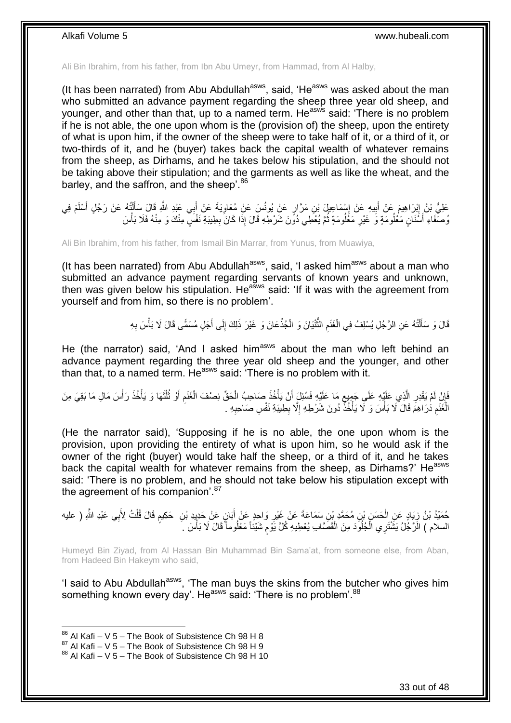Ali Bin Ibrahim, from his father, from Ibn Abu Umeyr, from Hammad, from Al Halby,

(It has been narrated) from Abu Abdullah<sup>asws</sup>, said, 'He<sup>asws</sup> was asked about the man who submitted an advance payment regarding the sheep three year old sheep, and younger, and other than that, up to a named term. He<sup>asws</sup> said: 'There is no problem if he is not able, the one upon whom is the (provision of) the sheep, upon the entirety of what is upon him, if the owner of the sheep were to take half of it, or a third of it, or two-thirds of it, and he (buyer) takes back the capital wealth of whatever remains from the sheep, as Dirhams, and he takes below his stipulation, and the should not be taking above their stipulation; and the garments as well as like the wheat, and the barley, and the saffron, and the sheep'. 86

عَلِيُّ بْنُ إِبْرَاهِيمَ عَنْ أَبِيهِ عَنْ إِسْمَاعِيلَ بْنِ مَرَّارٍ عَنْ يُونُسَ عَنْ مُعَاوِيَةَ عَنْ أَبِي عَبْدِ اللَّهِ قَالَ سَأَلَتُهُ عَنْ رَجُلٍ أَسْلَمَ فِي ֧֦֧֦֧֦֧֦֧֦֧֦֧֦֧֦֧ׅ֦֧֦֧֦֧֦֧֦֧֦֧֦֧֦֧֦֧֦֧֦֧֦֧֦֧֦֧֧֦֧֧֦֚֬֝֜֓֡֜֜ ِ َ َ ْ َ َ **∶** ُوصَفَاءِ أَسَّنَانٍ مَعْلُومَةٍ وَ غَيْرِ مَغَلُومَةٍ ثُمَّ يُعْطِي دُوَّنَ شَرْطِهِ قَالَ إِذَا كَانَ بِطِيبَةِ نَفْسٍ مِنْكَ وَ مِنْهُ فَلَا بَأْسَ ِ ُ **∶** ْ

Ali Bin Ibrahim, from his father, from Ismail Bin Marrar, from Yunus, from Muawiya,

(It has been narrated) from Abu Abdullah<sup>asws</sup>, said, 'I asked him<sup>asws</sup> about a man who submitted an advance payment regarding servants of known years and unknown, then was given below his stipulation. He<sup>asws</sup> said: 'If it was with the agreement from yourself and from him, so there is no problem'.

> قَالَ وَ سَأَلْتُهُ عَنِ الرَّجُلِ يُسْلِفُ فِي الْغَنَمِ الثَّنْيَانَ وَ الْجُذْعَانَ وَ غَيْرَ ذَلِكَ إِلَى أَجَلٍ مُسَمًّى قَالَ لَا بَأْسَ بِهِ َ ِ **ٔ** ْ ُمُّ ا ِ ْ ֦֧֦֧֧֦֧֦֧֦֧֦֧֦֧֦֧֧֦֧֦֪֧֪֦֪֦֧֧֧֧֧֧֧֟֟֟֓֕֟֓֕֝֓֟֓֡֟֓֡֟֓֡֟֓֡֟֓֡֟֟֓֡֟֓֡֟֟֩֓֞֟֓֞֟֓֡֟֓֞֟֓֟֓֝֬֝֓֟֝֓֟֝֬֝֬֝֬֝֬֝֬֝֬֝֬<br>֧֪֪֧֪֧֪֪֪֪֦֧֪֧֪֪֪֪֪֦֧֝֝֝֬֝֝֬֝ َ ِ ْ

He (the narrator) said, 'And I asked him<sup>asws</sup> about the man who left behind an advance payment regarding the three year old sheep and the younger, and other than that, to a named term. Heasws said: 'There is no problem with it.

فَإِنْ لَمْ يَقْدِرِ الَّذِي عَلَيْهِ عَلَى جَمِيعِ مَا عَلَيْهِ فَسُئِلَ أَنْ يَأْخُذَ صَاحِبُ الْحَقِّ نِصْفَ الْغَنَمِ أَوْ ثُلُثَهَا وَ يَأْخُذَ رَأْسَ مَالِ مَا بَقِيَ مِنَ ر<br>إ ِ ِ **ٔ** ْ َ ا<br>ا ُ اُ ِ ْ ْ ْ اُ ِ الْغَفَمِ دَٰرَاهِمَ قَالَ َلَا بَأْسَ وَ لَا يَأْخُذُ دُونَ شَرْطِهِ إِلَّا بِطِيبَةِ نَفْسِ صَاحِبِهِ بِ ِ ِ ِ ْ ا<br>أ ِ ا<br>ا

(He the narrator said), 'Supposing if he is no able, the one upon whom is the provision, upon providing the entirety of what is upon him, so he would ask if the owner of the right (buyer) would take half the sheep, or a third of it, and he takes back the capital wealth for whatever remains from the sheep, as Dirhams?' He<sup>asws</sup> said: 'There is no problem, and he should not take below his stipulation except with the agreement of his companion'.<sup>87</sup>

ِ حُمَيْدُ بْنُ زِيَادٍ عَنِ الْحَسَنِ بْنِ مُحَمَّدِ بْنِ سَمَاعَةَ عَنْ غَيْرِ وَاحِدٍ عَنْ أَبَانٍ عَنْ حَدِيدِ بْنِ حَكِيمٍ قَالَ قُلْتُ لِأَبِي عَبْدِ اللَّهِ ( عليه ْ ِ ْ ֧֖֧֦֧֦֧֦֧֚֚֝֝֝֝֬֝֓֝֓֝֓**֓** َ السلام ) الَرَّجُلُ يَشْتَرِي الْجُلُوَدَ مِنَ الْقَصَّابِ يُعْطِيهِ كُلَّ يَوْمٍ شَيْئاً مَعْلُوماً قَالَ لَا بَأْسَ  $\,$ ْ ٍ ْ ْ

Humeyd Bin Ziyad, from Al Hassan Bin Muhammad Bin Sama'at, from someone else, from Aban, from Hadeed Bin Hakeym who said,

'I said to Abu Abdullah<sup>asws</sup>, 'The man buys the skins from the butcher who gives him something known every day'. He<sup>asws</sup> said: 'There is no problem'.<sup>88</sup>

 $86$  Al Kafi – V 5 – The Book of Subsistence Ch 98 H 8

 $87$  Al Kafi – V 5 – The Book of Subsistence Ch 98 H 9

 $88$  Al Kafi – V 5 – The Book of Subsistence Ch 98 H 10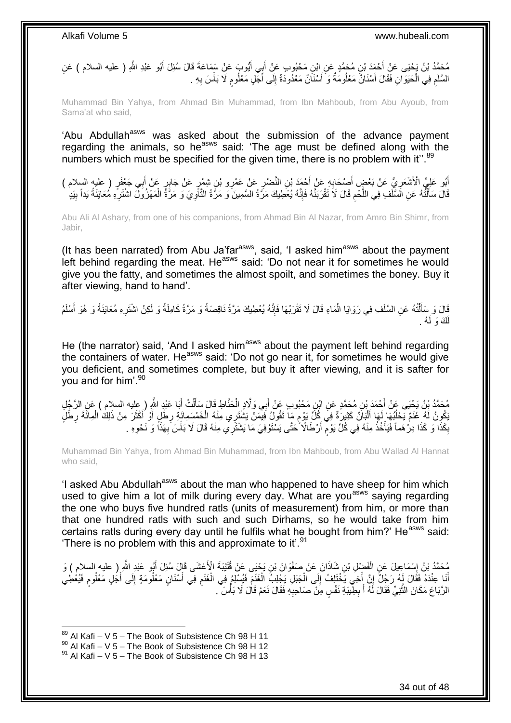مُحَمَّدُ بْنُ يَحْيَى عَنِْ أَحْمَدَ بْنِ مُحَمَّدٍ عَنِ ابْنِ مَحْبُوبٍ عَنْ أَبِي أَيُّوبٍ عَنْ سَمَاعَةَ قَالَ سُئِلَ أَبُو عَبْدِ اللَّهِ ( عليه السلام ) عَنِ<br>محَمَّدُ بْنُ يَحْيَى عَنِْ أَحْمَدَ بْنِ مُحَمَّدٍ عَنِ َ َ َ السَّلَمِ فِي الْحَيَوَانِ فَقَالَ أَسْنَانٌ مَعْلُومَةٌ وَ أَسْنَانٌ مَعْدُودَةٌ إِلَى أَجَلٍ مَعْلُومٍ لَا بَأْسَ بِهِ . ِ ْ ֧֧֖֧֖֧֖֧֧֧֧֧֧֧֧֧֧֧֧֚֚֚֓֝֝֝֝֝֟֓֝֓֬֝֓֝֬֟֓֟֓֝֬֟֓֟֓֝֬֝֬֝֓֟֓֝֬֜֝֬֝֓֝֬֝֓ َ ِ َ َ ْ ِ

Muhammad Bin Yahya, from Ahmad Bin Muhammad, from Ibn Mahboub, from Abu Ayoub, from Sama'at who said,

'Abu Abdullah<sup>asws</sup> was asked about the submission of the advance payment regarding the animals, so he<sup>asws</sup> said: 'The age must be defined along with the numbers which must be specified for the given time, there is no problem with it".<sup>89</sup>

أَبُو عَلِيٍّ الْأَشْعَرِيُّ عَنْ بَعْضٍ أَصْحَابِهِ عَنْ أَحْمَدَ بْنِ النَّصْرِ عَنْ عَمْرِو بْنِ شِهْرٍ عَنْ جَابِرٍ عَنْ أَبِي جَعْفَرٍ ( عليه السلام )<br>أَبُو عَلِيٍّ الْأَشْعَرِيُّ عَنْ بَعْضٍ أَصْحَابِهِ عَنْ أَجْمَدَ ِ **∶** َ ¦ َ َ قَالَ سَأَلْتُهُ عَنِ الَمَّلُفِ فِي اللَّحْمِ قَالَ لَا تَقْرَبَنَّهُ فَإِنَّهُ يُعْطِيكَ مَرَّةً السَّمِينَ وَ مَرَّةً الثَّأَوِيَ وَ مَرَّةً الْمَهْزُولَ اشْتَرِهِ مُعَايَنَةً يَداً بِيَدِ ْ َ ِ ׀ו<br>ِי ِ َّ ِ ِ ْ

Abu Ali Al Ashary, from one of his companions, from Ahmad Bin Al Nazar, from Amro Bin Shimr, from Jabir,

(It has been narrated) from Abu Ja'far $a$ <sup>asws</sup>, said, 'I asked him $a<sup>asws</sup>$  about the payment left behind regarding the meat. He<sup>asws</sup> said: 'Do not near it for sometimes he would give you the fatty, and sometimes the almost spoilt, and sometimes the boney. Buy it after viewing, hand to hand'.

قَالَ وَ سَأَلْتُهُ عَنِ السَّلَفِ فِي رَوَايَا الْمَاءِ قَالَ لَا تَقْرَبْهَا فَإِنَّهُ يُعْطِيكَ مَرَّةً نَاقِصَةً وَ مَرَّةً كَامِلَةً وَ لَكِنْ اشْتَرِهِ مُعَايَنَةً وَ هُوَ أَسْلَم ِ ْ ْ َ َ ِ ُه َك َو لَ لَ

He (the narrator) said, 'And I asked him<sup>asws</sup> about the payment left behind regarding the containers of water. He<sup>asws</sup> said: 'Do not go near it, for sometimes he would give you deficient, and sometimes complete, but buy it after viewing, and it is safter for you and for him'.<sup>90</sup>

مُحَمَّدُ بِنُ يَحْيَى عَنْ أَحْمَدَ بْنِ مُحَمَّدٍ عَنِ الْزِي مَحْبُوبِ عَنْ أَبِي وَلَّادٍ الْحَنَّاطِ قَالَ سَأَلْتُ أَبَا عَبْدٍ اللَّهِ ( عِليه السلام ) عَنِ الرَّجُلِ َ ْ ĺ ْ َبَعُونُ لَهُ غَنَمٌ يَحْلُبُهَا لَمَا أَلْبَاَنٌ كَثِيرَةٌ فِي كُلِّ يَوْمٍ مَا تَقُولُ فِيمَنْ يَشْتَرِي مِنْهُ الْخَمْسَمِائَةِ رِطْلٍ أَوْ أَكْثَرَ مِنْ ذَلِكَ الْمِائَةَ رِطْلٍ ْ َ اً<br>ا ِ ْ َ َ َ ِ ْ ֧֧֧֧֧֧֧֧֧֓֝֓֝֓֝֓֝֬֟֓֓֝֓֓֝֬֓֝֓<del>֛</del> بِكَذَا ۖ وَ كَذَا دِرْهُماً فَيَأْخُذُ مِنْهُ فِي كُلِّ يَوْمٍ ۖ أَرْطَالًا ۖ حَتَّى يَسْتَوْفِيَ مَا يَشْتَرِي مِنْهُ قَالَ لَا بَأْسَ بِهَذَا وَ نَحْوِهِ ۚ . اُ ֧֖֧֚֚֓֝֝֝ ة<br>أ ِ ِ ْ ِ

Muhammad Bin Yahya, from Ahmad Bin Muhammad, from Ibn Mahboub, from Abu Wallad Al Hannat who said,

'I asked Abu Abdullah<sup>asws</sup> about the man who happened to have sheep for him which used to give him a lot of milk during every day. What are you<sup>asws</sup> saying regarding the one who buys five hundred ratls (units of measurement) from him, or more than that one hundred ratls with such and such Dirhams, so he would take from him certains ratls during every day until he fulfils what he bought from him?' He<sup>asws</sup> said: 'There is no problem with this and approximate to it'.<sup>91</sup>

مُحَمَّدُ بْنُ إِسْمَاعِيلَ عَنِ الْفَضْلِ بْنِ شَاذَانَ عَنْ صَفْوَانَ بْنِ يَحْيَى عَنْ قُتَيْبَةَ الْأَعْشَى قَالَ سُئِلَ أَبُو عَبْدِ اللَّهِ ( عليه السلام ) وَ ْ ِ َ اَبَا عِنْدَهُ فَقَالَ لَهُ رَجُلٌ إِنَّ إَخِي يَخْتَلِفُ إِلَى الْجَبَلِ يَجِّلِبُ الْغَنَمِ فَيُسْلِمُ فِي الْغَنَمِ فِي أَسْنَانِ مَعْلُومَةٍ إِلَى أَجَلِ مَعْلُومٍ فَيُعْطِي لَ ِ َ ِ ْ ْ ْ ِ َ ِ **ื** َ الرَّبَاعَ مَكَانَ النَّنِيِّ فَقَالَ لَهُ أَ بِطِّيبَةِ نَفْسٍ مِنْ صَاحِبِهِ فَقَالَ نَعَمْ قَالَ لَا بَأْسَ ِ ِ َ َّ ْ

 $89$  Al Kafi – V 5 – The Book of Subsistence Ch 98 H 11

 $^{90}$  Al Kafi – V 5 – The Book of Subsistence Ch 98 H 12

 $91$  Al Kafi – V 5 – The Book of Subsistence Ch 98 H 13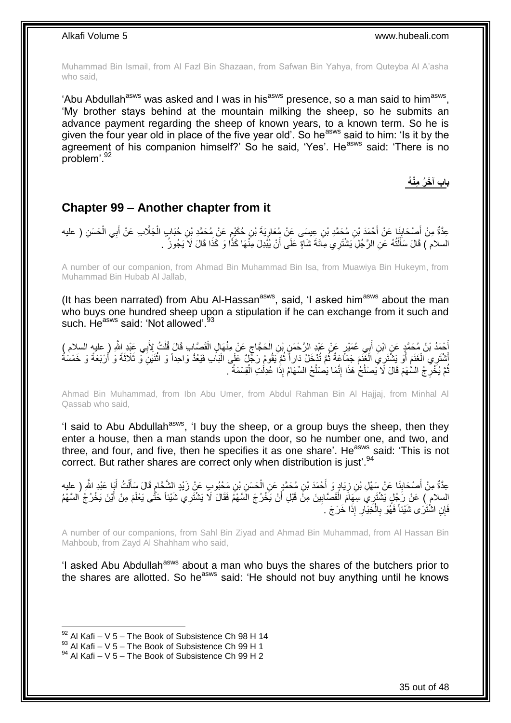Muhammad Bin Ismail, from Al Fazl Bin Shazaan, from Safwan Bin Yahya, from Quteyba Al A'asha who said,

'Abu Abdullah<sup>asws</sup> was asked and I was in his<sup>asws</sup> presence, so a man said to him<sup>asws</sup>, 'My brother stays behind at the mountain milking the sheep, so he submits an advance payment regarding the sheep of known years, to a known term. So he is given the four year old in place of the five year old'. So he<sup>asws</sup> said to him: 'Is it by the agreement of his companion himself?' So he said, 'Yes'. He<sup>asws</sup> said: 'There is no problem'.<sup>92</sup>

**باب آ َخ ُر ِمْن ُه**

### <span id="page-34-0"></span>**Chapter 99 – Another chapter from it**

عِدَّةٌ مِنْ أَصْحَابِنَا عَنْ أَحْمَدَ بْنِ مُحَمَّدِ بْنِ عِيسَى عَنْ مُعَاوِيَةَ بْنِ حُكَيْمٍ عَنْ مُحَمَّدِ بْنِ جُبَابٍ الْجَلَّابِ عَنْ أَبِي الْحَسَنِ ( عليه ֧֖֚֚֓֝֬֝֬֝ ِ ।<br>ॄ َ ْ َ ْ السلام ) قَالَ سَأَلْتُهُ عَنِ الرَّجُلِ َيشْتَرِي مِاَئَةَ شَاةٍ عَلَى أَنْ يُّئِدِلَ مِنَّهَا كَذَّا وَ كَذَا قَالَ لَا يَجُوزُ ۚ . ֺ֦֦֪֦֧֦֦֖֦֦֪֦֧֦֪֦֧֦֪֪֦֧֦֪֦֪֪֦֧֦֪֦֧֦֧֦֪֦֧֦֧֦֪֪֦֧֪֦֧֪֦֧֦֧֦֧֝֟֟֟֟֟֟֟֟֟֟֟֟֟֟֟֟֟֟֟֟֟֟֓֕֬֟֓֡֟֓֟֓֞֟֟֓֞֟֟֟֟֟֟֟֩֓֞֟֟֟֟֟֟ َ

A number of our companion, from Ahmad Bin Muhammad Bin Isa, from Muawiya Bin Hukeym, from Muhammad Bin Hubab Al Jallab,

(It has been narrated) from Abu Al-Hassan $^{asws}$ , said, 'I asked him<sup>asws</sup> about the man who buys one hundred sheep upon a stipulation if he can exchange from it such and such. He<sup>asws</sup> said: 'Not allowed'.<sup>93</sup>

أَحْمَدُ بْنُ مُحَمَّدٍ عَنِ ابْنِ أَبِي عُمَيْرٍ عَنْ عَيْدِ الرَّحْمَنِ بْنِ الْحَجَّاجِ عَنْ مِنْهَالٍ الْقَصَّابِ قَالَ قُلْتُ لِأَبِي عَيْدِ اللَّهِ ( عليه السلام )<br>يَبْتُ الْمَرَّسَمَةِ عَنِّ اللَّهِ اللَّهُ فَيَّام َ َ ْ ْ ِ ْ ْشَتَرِي الْغَذَمِّ أَوْ يَشْتَرِيَ الْغَذَمَ جَمَاعَةٌ ثُمَّ تُدْخَلُ دَاراً ثُمَّ يَقُومُ رَجِّلٌ عَلَى الْبَاٰبِ فَيَعُدُّ وَاحِداً وَ اثْنَيْنِ وَ ثَلَاثَةً وَ أَرْبَعَةً وَ خَمْسَةُ<br>نُستَرِي البِّنفَةُ وَأَوْ يَشْتَر ْ ان<br>المقامات ُ ْ ر<br>ا ْ َ َ **ٔ** َ ِّمَّ يُخْرِجُ السَّهْمَ قَالَ لَا يَصَلُّحُ هَذَا إِنَّمَا يَصْلُحُ السِّهَامُ إِذَا عُدِلَٰتِ الْقِسْمَةُ . ْ ا<br>ـا ِ ا<br>ا ِ ُ

Ahmad Bin Muhammad, from Ibn Abu Umer, from Abdul Rahman Bin Al Hajjaj, from Minhal Al Qassab who said,

'I said to Abu Abdullah<sup>asws</sup>, 'I buy the sheep, or a group buys the sheep, then they enter a house, then a man stands upon the door, so he number one, and two, and three, and four, and five, then he specifies it as one share'. He<sup>asws</sup> said: 'This is not correct. But rather shares are correct only when distribution is just'. <sup>94</sup>

عِدَّةٌ مِنْ أَصْحَابِنَا عَنْ سَهْلِ بْنِ زِيَادٍ وَ أَحْمَدَ بْنِ مُحَمَّدٍ عَنِ الْحَسَنِ بْنِ مَحْبُوبِ عَنْ زَيْدٍ الشَّحَامِ قَالَ سَأَلْتُ أَبَا عَبْدِ اللَّهِ ( عليه ْ َ **∶** ِ َ ْ َ ِ السلام ) عَنْ رَجُلٍ يَشْتَرِي سِهَامَ الْقَصَّابِينَ مِنْ قَبْلِ أَنْ يَخْرُجَ الْسَّهْمُ فَقَالَ لَا يَشْتَرِي شَيْئاً حَتَّى يَعْلَمَ مِنْ أَيْنَ يَخْرُجُ السَّهْمُ َ َ **!** ْ فَإِنِ الشُّتَرَى شَيْئاً فَهُوَ بِالْخِيَارِ إِذَا خَرَجَ لَم ِ ْ ِ

A number of our companions, from Sahl Bin Ziyad and Ahmad Bin Muhammad, from Al Hassan Bin Mahboub, from Zayd Al Shahham who said,

'I asked Abu Abdullah<sup>asws</sup> about a man who buys the shares of the butchers prior to the shares are allotted. So he<sup>asws</sup> said: 'He should not buy anything until he knows

 $92$  Al Kafi – V 5 – The Book of Subsistence Ch 98 H 14

 $^{93}$  Al Kafi – V 5 – The Book of Subsistence Ch 99 H 1

 $94$  Al Kafi – V 5 – The Book of Subsistence Ch 99 H 2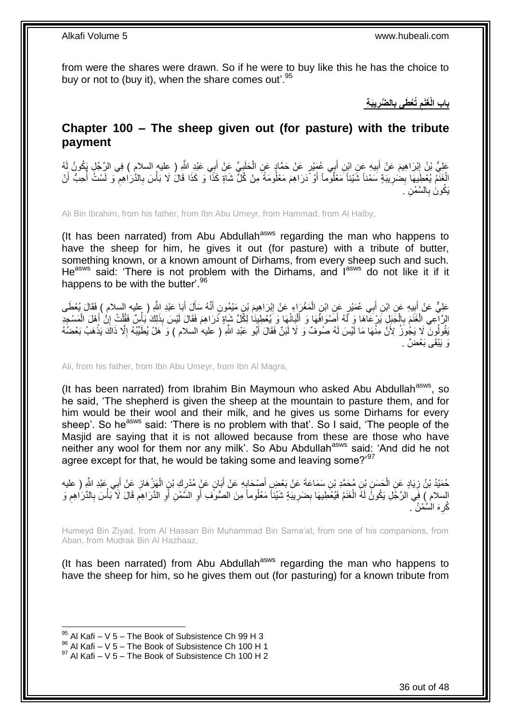from were the shares were drawn. So if he were to buy like this he has the choice to buy or not to (buy it), when the share comes out'.<sup>95</sup>

> **يَب ِة ال َّضر ُتْع َطى ب باب الْ َغَنم ِ ِ ِ**

### <span id="page-35-0"></span>**Chapter 100 – The sheep given out (for pasture) with the tribute payment**

عَلِيُّ بْنُ إِبْرَاهِيمَ عَنْ أَبِيهِ عَنِ ابْنِ أَبِي عُمَيْرٍ عَنْ حَمَّادٍ عَنِ الْحَلَيِيِّ عَنْ أَبِي عَبْدِ اللَّهِ ( عِليه السلامِ ) فِي الرَّجُلِ يَكُونُ لَهُ ِ َ ِ ْ َ **!** َ الْغَنَمُ يُعْطِيهَا بِضُرِيبَةٍ سَمْناً شَيْئاً مَعْلُوماً أَوْ دَرَاهِمَ مَعْلُومَةً مِنْ كُلِّ شَاةٍ كَذَا وَ كَذَا قَالَ لَا بَأْسَ بِالذَّرَاهِمِ وَ لَسْتُ أُحِبُّ أَنْ اُ **∶ ِ** َ ر<br>ا ِ ِ ْ يَكُونَ بِالسَّمْنِ َ ِ

Ali Bin Ibrahim, from his father, from Ibn Abu Umeyr, from Hammad, from Al Halby,

(It has been narrated) from Abu Abdullah<sup>asws</sup> regarding the man who happens to have the sheep for him, he gives it out (for pasture) with a tribute of butter, something known, or a known amount of Dirhams, from every sheep such and such. He<sup>asws</sup> said: 'There is not problem with the Dirhams, and l<sup>asws</sup> do not like it if it happens to be with the butter<sup>'.96</sup>

عَلِيٌّ عَنْ أَبِيهِ عَنِ ابْنِ أَبِي عُمَيْرٍ عَنِ ابْنِ الْمَغْرَاءِ عَنْ إِبْرَاهِيمَ بْنِ مَيْمُونٍ أَنَّهُ سَأَلَ أَبَا عَبْدِ اللَّهِ ( عِليه السلام ) فَقَالَ يُعْطَى َ َ َ ِ ْ َ ِ الرَّآعِي الْغَنَمَ بِالْجَبَلِ يَرْعَاهَا وَ لَهُ أَصْوَافُهَا وَ أَلْبَانُهَا وَ يُعْطِينَا لِكُلِّ شَاةٍ دَرَاهِمَ فَقَالَ لَيْسَ بِذَلِكَ بَأْسٌ فَقُلْتُ إِنَّ أَهْلَ الْمَسْجِدِ :<br>ا َ َ ْ **∶** ْ َ ِ ْ ْ يَقُولُونَّ لَا يَجُوزُ لِأَنَّ مِنْْهَا مَا لَّيْسَ لَهُ صُوفٌ وَ لَا لَبَنٌ فَقَالَ أَبُو عَبْدِ اللَّهِ ( عليه السلام ) وَ هَلْ يُطَيِّبُهُ إِلَّا ذَاكَ يَذْهَبُ بَعْضُهُ َ ِ **ٔ** وَ يَبْقَى بَعْضٌ .

Ali, from his father, from Ibn Abu Umeyr, from Ibn Al Magra,

(It has been narrated) from Ibrahim Bin Maymoun who asked Abu Abdullah<sup>asws</sup>, so he said, 'The shepherd is given the sheep at the mountain to pasture them, and for him would be their wool and their milk, and he gives us some Dirhams for every sheep'. So he<sup>asws</sup> said: 'There is no problem with that'. So I said, 'The people of the Masjid are saying that it is not allowed because from these are those who have neither any wool for them nor any milk'. So Abu Abdullah<sup>asws</sup> said: 'And did he not agree except for that, he would be taking some and leaving some?'<sup>97</sup>

حُمَّيْدُ بْنُ زِيَادٍ عَنِ الْحَسَنِ بْنِ مُحَمَّدِ بْنِ سَمَاعَةَ عَنْ بَعْضٍ أَصْحَابِهِ عَنْ أَبَانٍ عَنْ مُدْرِكِ بْنِ الْهَزْهَازِ عَنْ أَبِي عَبْدِ اللَّهِ ( عليه َ ِ َ ْ **∶** َ ِ ْ ِ السلام ) فَي الرَّجُلِ يَكُونُ لَهُ الْغَنَمُ فَيُعْطِيهَا بِضَرِيبَةٍ شَيْئاً مَعْلُوماً مِنَ الصُّوْفِ أَوِ السَّمْنِ أَوِ الذَّرَاهِمِ قَالَ لَا بَأْسَ بِالذَّرَاهِمِ وَ ِ اً ِ َ **∶** ِ ْ ِ ِ ْ ِ كُرِ هَ الْسَّمْنُ ۚ.. **∶** 

Humeyd Bin Ziyad, from Al Hassan Bin Muhammad Bin Sama'at, from one of his companions, from Aban, from Mudrak Bin Al Hazhaaz,

(It has been narrated) from Abu Abdullah<sup>asws</sup> regarding the man who happens to have the sheep for him, so he gives them out (for pasturing) for a known tribute from

 $95$  Al Kafi – V 5 – The Book of Subsistence Ch 99 H 3

 $^{96}$  Al Kafi – V 5 – The Book of Subsistence Ch 100 H 1

 $97$  Al Kafi – V 5 – The Book of Subsistence Ch 100 H 2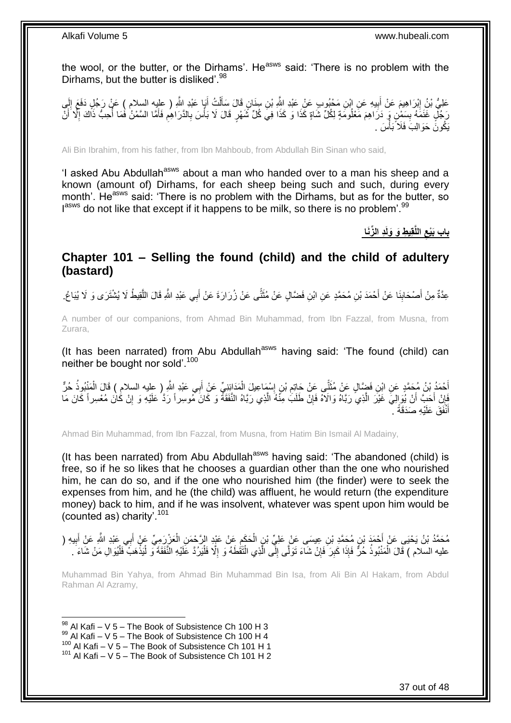the wool, or the butter, or the Dirhams'. He<sup>asws</sup> said: 'There is no problem with the Dirhams, but the butter is disliked'.<sup>98</sup>

عَلِيُّ بْنُ إِبْرَاهِيمَ عَنْ أَبِيهِ عَنِ إِبْنِ مَحْبُوبٍ عَنْ عَبْدِ اللَّهِ بْنِ سِنَانٍ قَالَ سَأَلْتُ أَيَا عَبْدِ اللَّهِ ( عِليه السلام ) عَنْ رَجُلٍ دَفَعَ إِلَى **!** َ ِ لَ ِ َ ْ َ َرَجُٰلٍ غَنَمَهُ بِسَمْنٍ وَ دَرَاهِمَ مَعْلُومَةٍ لِكُلِّ شَاةٍ كَذَا وَ كَذَا فِي كُلِّ شَهْرٍ قَالَ لَا بَأْسَ بِالذَّرَاهِمِ فَأَمَّا السَّمْنُ فَمَا أُحِبُّ ذَاكَ إِلَّا أَنْ ِ ْ **∣** َ ِ ا<br>ا َ ِ يَكُونََ حَوَالِبَ فَلَا َبَأْسَ . ا<br>أ

Ali Bin Ibrahim, from his father, from Ibn Mahboub, from Abdullah Bin Sinan who said,

'I asked Abu Abdullah<sup>asws</sup> about a man who handed over to a man his sheep and a known (amount of) Dirhams, for each sheep being such and such, during every month'. He<sup>asws</sup> said: 'There is no problem with the Dirhams, but as for the butter, so lasws do not like that except if it happens to be milk, so there is no problem'. <sup>99</sup>

> **ِد ال ِّزَنا اللَّقِي ِط َو َولَ باب َبْيع ِ**

<span id="page-36-0"></span>**Chapter 101 – Selling the found (child) and the child of adultery (bastard)**

عِدَّةٌ مِنْ أَصْحَابِنَا عَنْ أَحْمَدَ بْنِ مُحَمَّدٍ عَنِ ابْنِ فَضَّالٍ عَنْ مُثَنَّى عَنْ زُرَارَةَ عَنْ أَبِي عَبْدِ اللَّهِ قَالَ اللَّقِيطُ لَا يُشْتَرَى وَ لَا يُبَاعُ. َ **...** َ **∣** َ َّ

A number of our companions, from Ahmad Bin Muhammad, from Ibn Fazzal, from Musna, from Zurara,

(It has been narrated) from Abu Abdullah $a<sup>asws</sup>$  having said: 'The found (child) can neither be bought nor sold'.<sup>100</sup>

أَحْمَدُ بْنُ مُحَمَّدٍ عَنِ ابْنِ فَضَّالٍ عَنْ مُثَنًّى عَنْ جَاتِمِ بْنِ إِسْمَاعِيلَ الْمَدَائِنِيِّ عَنْ أَبِي عَبْدِ اللَّهِ ( عليه السلام ) قَالَ الْمَنْبُوذُ حُرٌّ<br>ِ ِ ِ ً َ ْ َ ْ فَإِنْ أَحَبَّ أَنْ يُوَالِيَ غَيْرَ الَّذِي رَبَّاهُ وَالَاهُ فَإِنْ طَلَبَ مِنَّهُ الَّذِي رَبَّاهُ النَّفَقَةُ وَ كَانَ مُوسِراً رَدَّ عَلَيْهِ وَ إِنْ كَانَ مُعْسِراً كَانَ مَا َّ ِ ئ<br>إ َ َ ِ ِ أَنْفَقَ عَلَيْهِ صَدَقَةً . ۖ َ

Ahmad Bin Muhammad, from Ibn Fazzal, from Musna, from Hatim Bin Ismail Al Madainy,

(It has been narrated) from Abu Abdullah<sup>asws</sup> having said: 'The abandoned (child) is free, so if he so likes that he chooses a guardian other than the one who nourished him, he can do so, and if the one who nourished him (the finder) were to seek the expenses from him, and he (the child) was affluent, he would return (the expenditure money) back to him, and if he was insolvent, whatever was spent upon him would be (counted as) charity'.<sup>101</sup>

مُحَمَّدُ بْنُ يَحْيَى عَنْ أَحْمَدَ بْنِ مُحَمَّدِ بْنِ عِيسَى عَنْ عَلِيِّ بْنِ الْحَكَمِ عَنْ عَيْدِ الرَّحْمَنِ الْعَزْرِرَمِيِّ عَنْ أَبِيهِ (( مَنْ أَبِيهِ ) ْ ِ ْ َ ِ َ َ عليه السلام ) قَالَ الْمَنْبُوذُ حُرٌّ فَإِنَّا كَبِرَ فَإِنْ شَآءَ تَوَلَّى إِلَّى الَّذِي الْتَقَطَهُ وَ إِلَّا فَلْيَرُدَّ عَلَيْهِ النَّفَقَةَ وَ لْيَذْهَبَّ فَلْيُوَالِ مَنْ شَاءَ ْ ْ **ٔ** ْ ِ ْ َّ ِ ِ ِ َ ِ **المعامل** 

Muhammad Bin Yahya, from Ahmad Bin Muhammad Bin Isa, from Ali Bin Al Hakam, from Abdul Rahman Al Azramy,

1 Al Kafi – V 5 – The Book of Subsistence Ch 100 H 3 Al Kafi – V 5 – The Book of Subsistence Ch 100 H 4 Al Kafi – V 5 – The Book of Subsistence Ch 101 H 1 Al Kafi – V 5 – The Book of Subsistence Ch 101 H 2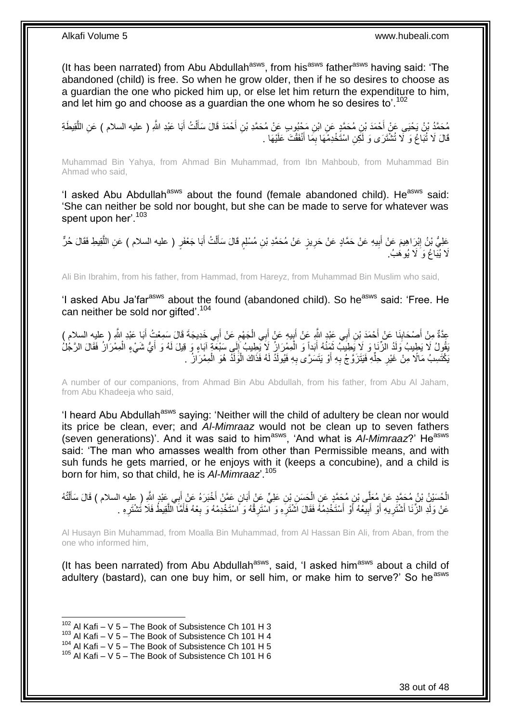(It has been narrated) from Abu Abdullah<sup>asws</sup>, from his<sup>asws</sup> father<sup>asws</sup> having said: 'The abandoned (child) is free. So when he grow older, then if he so desires to choose as a guardian the one who picked him up, or else let him return the expenditure to him, and let him go and choose as a guardian the one whom he so desires to'.<sup>102</sup>

مُحَمَّدُ بْنُ يَحْيَى عَنْ أَحْمَدَ بْنِ مُحَمَّدٍ عَنِ ابْنِ مَحْبُوبِ عَنْ مُحَمَّدِ بْنِ أَحْمَدَ قَالَ سَأَلْتُ أَبَا عَبْدِ اللَّهِ ( عليه السلام ) عَنِ اللَّقِيطَةِ<br>يَهْدَمَنُ بَنُ يَحْيَى مَنْ َ ْ ĺ َ َّ قَالَ لَا نُنباعُ وَ لَا نُتْشَتَرَى وَ لَكِنِ اسْتَخْدِمُهَا بِمَا أَنْفَقْتَ عَلَيْهَا . َ ِ

Muhammad Bin Yahya, from Ahmad Bin Muhammad, from Ibn Mahboub, from Muhammad Bin Ahmad who said,

'I asked Abu Abdullah<sup>asws</sup> about the found (female abandoned child). He<sup>asws</sup> said: 'She can neither be sold nor bought, but she can be made to serve for whatever was spent upon her'.<sup>103</sup>

عَلِيُّ بْنُ إِبْرَاهِيمَ عَنْ أَبِيهِ عَنْ حَمَّادٍ عَنْ حَرِيزٍ عَنْ مُحَمَّدِ بْنِ مُسْلِمٍ قَالَ سَأَلْتُ أبَا جَعْفَرٍ ( عليه السلام ) عَنِ اللَّقِيطِ فَقَالَ حُرٌّ َ ْ اً ا ٍ **ٍ !** َ ِ َّ َلَا يُبَاعُ وَ َلَا يُوهَبُ.

Ali Bin Ibrahim, from his father, from Hammad, from Hareyz, from Muhammad Bin Muslim who said,

'I asked Abu Ja'far<sup>asws</sup> about the found (abandoned child). So he<sup>asws</sup> said: 'Free. He can neither be sold nor gifted'.<sup>104</sup>

عِدَّةٌ مِنْ أَصْحَابِنَا عَنْ أَحْمَدَ بْنِ أَبِي عَبْدِ اللَّهِ عَنْ أَبِيهِ عَنْ أَبِي الْجَهْمِ عَنْ أَبِي خَدِيجَةَ قَالَ سَمِعْتُ أَبَا عَبْدِ اللَّهِ ( عليه السلام )<br>مِنْ أَصْحَابِنَا عَنْ أَحْمَدَ بْنِ أَبِي عَبْدِ َ ِ ْ َ ِ َ َ َ **∣** َ ُقُولُ لَا يَطِيبُ وَلَدُ الزَّنَا وَ لَا يَطِيبُ ثَمَنُهُ أَبَداً وَ الْمِمْرَازُ لَا يَطِيبُ إِلَى سَبْعَةٍ آبَاءٍ وَ قِيلَ لَهُ وَ أَيُّ شَيْءٍ الْمِمْرَازُ فَقَالَ الرَّجُلُ َ َ َ ِ ا<br>ا ْ َكْتَسِبُ مَالًا مِنْ غَيْرِ حِلِّهِ فَيَتَزَوَّجُ بِهِ أَوْ يَتَسَرَّى بِهِ فَيُولَدُ لَهُ فَذَاكَ الْوَلَدُ هُوَ الْمِمْرَانُ . ْ ْ **∶** َ ِ ِّ ِ

A number of our companions, from Ahmad Bin Abu Abdullah, from his father, from Abu Al Jaham, from Abu Khadeeja who said,

'I heard Abu Abdullah<sup>asws</sup> saying: 'Neither will the child of adultery be clean nor would its price be clean, ever; and *Al-Mimraaz* would not be clean up to seven fathers (seven generations)'. And it was said to him<sup>asws</sup>, 'And what is *Al-Mimraaz*?' He<sup>asws</sup> said: 'The man who amasses wealth from other than Permissible means, and with suh funds he gets married, or he enjoys with it (keeps a concubine), and a child is born for him, so that child, he is *Al-Mimraaz*'.<sup>105</sup>

ِ الْحُسَيْنُ بْنُ مُحَمَّدٍ عَنْ مُعَلِّي بْنِ مُحَمَّدٍ عَنِ الْحَسَنِ بْنِ عَلِيٍّ عَنْ أَبَانٍ عَمَّنْ أَخْبَرَهُ عَنْ أَبِي عَبْدٍ اللَّهِ ( عِليه السلام ) قَالَ سَأَلْتُهُ َ َ َ ْ ْ َ عَنْ وَلَدِ الزِّنَا أَشْتَرِيهِ أَوْ أَبِيعُهُ أَوْ أَسْتَخْدِمُهُ فَقَالَ آشْتَرِهِ وَ آَسْتَرِقَّهُ وَ أَسْتَخْدِمْهُ وَ بِعْهُ فَأَمَّا اللَّقِيطُ فَلَا تُشْتَرِهِ . َّ َ ِ ِ ِ َ ِ َ َ ِ َ ِ

Al Husayn Bin Muhammad, from Moalla Bin Muhammad, from Al Hassan Bin Ali, from Aban, from the one who informed him,

(It has been narrated) from Abu Abdullah<sup>asws</sup>, said, 'I asked him<sup>asws</sup> about a child of adultery (bastard), can one buy him, or sell him, or make him to serve?' So he<sup>asws</sup>

<sup>1</sup>  $102$  Al Kafi – V 5 – The Book of Subsistence Ch 101 H 3

 $103$  Al Kafi – V 5 – The Book of Subsistence Ch 101 H 4

 $104$  Al Kafi – V 5 – The Book of Subsistence Ch 101 H 5

 $105$  Al Kafi – V 5 – The Book of Subsistence Ch 101 H 6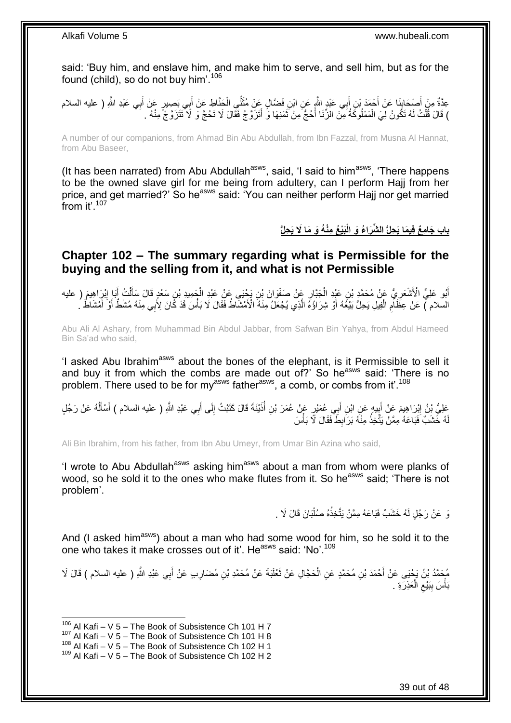said: 'Buy him, and enslave him, and make him to serve, and sell him, but as for the found (child), so do not buy him'.<sup>106</sup>

عِدَّةٌ مِنْ أَصْحَابِنَا عَنْ أَجْمَدَ بْنِ أَبِي عَبْدِ اللَّهِ عَنِ ابْنِ فَضَّالٍ عَنْ مُثَنَّى الْحَنَّاطِ عَنْ أَبِي بَصِيرٍ عَنْ أَبِي عَبْدِ اللَّهِ ( عليه السلام<br>عَدَّةٌ مِنْ مَّذَبَّدَ بِّنَّ أَجْمَدُ بِّنِ أَبِي َ ْ ..**.** .. َ َ َ ِ َ ) قَالَ قُلْتُ لَهُ تَكُونُ لِيَ الْمَمْلُوكَةُ مِنَ الزِّنَا أَحُجُّ مِنْ نَّمَنِهَا وَ أَتَزَوَّجُ فَقَالَ لَا تَحُجَّ وَ لَا تَتَزَوَّجُ مِنْهُ . ْ ْ َ  $\ddot{\phantom{0}}$ َ

A number of our companions, from Ahmad Bin Abu Abdullah, from Ibn Fazzal, from Musna Al Hannat, from Abu Baseer,

(It has been narrated) from Abu Abdullah<sup>asws</sup>, said, 'I said to him<sup>asws</sup>, 'There happens to be the owned slave girl for me being from adultery, can I perform Hajj from her price, and get married?' So he<sup>asws</sup> said: 'You can neither perform Hajj nor get married from it' $107$ 

باب جَامِعٌ فِيمَا يَحِلُّ الشِّرَاءُ وَ الْبَيْعُ مِنْهُ وَ مَا لَا يَحِلُّ

<span id="page-38-0"></span>**Chapter 102 – The summary regarding what is Permissible for the buying and the selling from it, and what is not Permissible**

أَبُو عَلِيٍّ الْأَشْعَرِيُّ عَنْ مُحَمَّدٍ بْنِ عَيْدِ الْجَبَّارِ عَنْ صَفْوَانَ بْنِ يَجْيَي عَنْ عَبْدِ الْجَمِيدِ بْنِ سَعْدٍ قَالَ سَأَلْتُ أَبَا إِبْرَاهِيمَ ( عليه<br>. ِ ْ ِ ِ َ ْ َ ْ السلام ) عَنْ عِظَّامِ الْفِيلِ يَحِلُّ بَيْعُهُ أَوْ شِرَاؤُهُ الَّذِي يُجْعَلُ مِنْهُ الْأَمْشَاطُ فَقَالَ لَا بَأْسَ قَدْ كَّانَ لِأُبِي مِنْهُ مُشْطٌ أَوْ أَمْشَاطٌ . ْ َّ َ ْ ِ َ َ َ

Abu Ali Al Ashary, from Muhammad Bin Abdul Jabbar, from Safwan Bin Yahya, from Abdul Hameed Bin Sa'ad who said,

'I asked Abu Ibrahimasws about the bones of the elephant, is it Permissible to sell it and buy it from which the combs are made out of?' So he<sup>asws</sup> said: 'There is no problem. There used to be for my<sup>asws</sup> father<sup>asws</sup>, a comb, or combs from it'.<sup>108</sup>

عَلِيُّ بِنُ إِبْرَاهِيمَ عَنْ أَبِيهِ عَنِ ابْنِ أَبِي عُمَيْرٍ عَنْ عُمَرَ بْنِ أُذَيْنَةَ قَالَ كَتَبْتُ إِلَى أَبِي عَبْدِ اللَّهِ ( عليه السلام ) أَسْأَلُهُ عَنْ رَجُلٍ َ ِ ُ ِ َ ُ َ َ هُ خَّشَبٌّ فَبَاعَهُ مِمَّنٌ يَتَّخِذُ مِنّْهُ بَرَابِطَ فَقَالَ لَاَّ بَأْسَ ْ ِ لَ

Ali Bin Ibrahim, from his father, from Ibn Abu Umeyr, from Umar Bin Azina who said,

'I wrote to Abu Abdullah<sup>asws</sup> asking him<sup>asws</sup> about a man from whom were planks of wood, so he sold it to the ones who make flutes from it. So he<sup>asws</sup> said: 'There is not problem'.

> نَ عَنْ رَجُلٍ لَهُ خَشَبٌ فَبَاعَهُ مِمَّنْ يَتَّخِذُهُ صُلْبَانَ قَالَ لَا . ْ

And (I asked him<sup>asws</sup>) about a man who had some wood for him, so he sold it to the one who takes it make crosses out of it'. Heasws said: 'No'.<sup>109</sup>

مُحَمَّدُ بْنُ يَجْيَى عَنْ أَحْمَدَ بْنِ مُحَمَّدٍ عَنِ الْحَجَّالِ عَنْ ثَعْلَبَةَ عَنْ مُحَمَّدِ بْنِ مُضَارِبِ عَنْ أَبِي عَبْدِ اللَّهِ ( عليه السلام ) قَالَ لَا َ ِ َ ْ َ بَأْسَ بِبَيْعِ الْعَذِرَةِ . **ٔ** ْ ِ **∣** 

 $106$  Al Kafi – V 5 – The Book of Subsistence Ch 101 H 7

 $107$  Al Kafi – V 5 – The Book of Subsistence Ch 101 H 8

 $108$  Al Kafi – V 5 – The Book of Subsistence Ch 102 H 1

 $109$  Al Kafi – V 5 – The Book of Subsistence Ch 102 H 2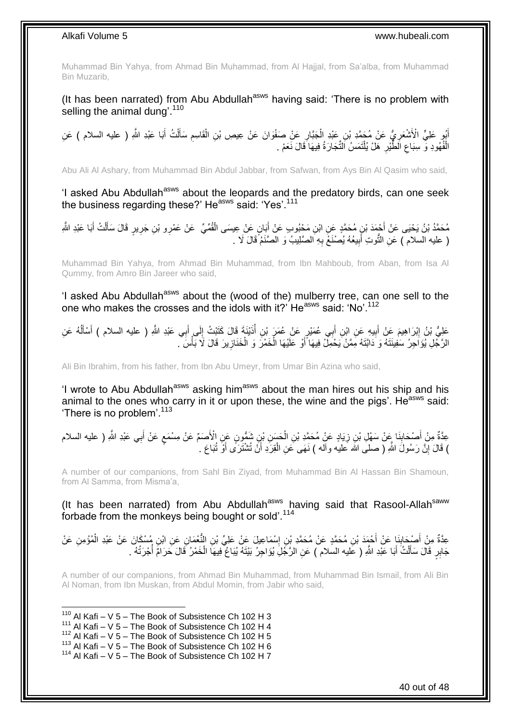Muhammad Bin Yahya, from Ahmad Bin Muhammad, from Al Hajjal, from Sa'alba, from Muhammad Bin Muzarib,

(It has been narrated) from Abu Abdullah<sup>asws</sup> having said: 'There is no problem with selling the animal dung'.<sup>110</sup>

أُبُو عَلِيٍّ الْأَشْعَرِيُّ عَنْ مُحَمَّدِ بْنِ عَبْدِ الْجَبَّارِ عَنِْ صَفْوَانَ عَنْ عِيصِ بْنِ الْقَاسِمِ سَأَلْتُ أَبَا عَبْدِ اللَّهِ ( عليه السلام ) عَنِ<br>أُبُو عَلِيٍّ الْأَشْعَرِيُّ عَنْ مُحَمَّدِ بْنِ عَبْدِ الْ َ َ ْ َ ِ ْ ِ ْ ِ الْفُهُودِ وَّ سِبَاعِ الَطُّيْرِ ۚ هَلْ يُلْتَمَسُ اَلتِّجَارَةُ فِيهَا َقَالَ نَعَمْ . ֦֖֖֖֦֦֖֦֧֦֦֖֧֦֦֧֦֧֦֧֦֪֪֦֧֦֧֦֪֪֦֧֦֧֦֧֦֧֦֧֦֧֦֧֪֪֧֧֪֧֧֝֟֟֟֟֟֟֟֟֟֟֟֟֟֟֟֟֟֟֟֟֟֟֟֟֟֟֟֩֕֞֟֟֓֞֟֟֟֓֞֟֟֩֓֞֟֓֞֟֟֩֓֞֟֟֞֟֝֟֝ **∶** ِ ْ

Abu Ali Al Ashary, from Muhammad Bin Abdul Jabbar, from Safwan, from Ays Bin Al Qasim who said,

'I asked Abu Abdullah<sup>asws</sup> about the leopards and the predatory birds, can one seek the business regarding these?' He<sup>asws</sup> said: 'Yes'.<sup>111</sup>

مُحَمَّدُ بْنُ يَحْيَى عَنْ أَجْمَدَ بْنِ مُحَمَّدٍ عَنِ ابْنِ مَخْبُوبٍ عَنْ أَبَانٍ عَنْ عِيسَى الْقُمِّيِّ ۚ عَنْ عَمْرِو بْنِ جَرِيرٍ قَالَ سَأَلْتُ أَبَا عَبْدِ الثَّهِ<br>مُحَمَّدُ بْنُ يَحْيَى عَنْ أَجْمَدَ بْنِ مُحَمَ َ ْ َ ِ ْ ( عليه السلام ) عَنِ النُّوتِ أَبِيعُهُ يُصْنَعُ بِهِ الصَّلِيبُ وَ الصَّنَمُ قَالَ لَا . **∶ !** َ

Muhammad Bin Yahya, from Ahmad Bin Muhammad, from Ibn Mahboub, from Aban, from Isa Al Qummy, from Amro Bin Jareer who said,

'I asked Abu Abdullah<sup>asws</sup> about the (wood of the) mulberry tree, can one sell to the one who makes the crosses and the idols with it?' He<sup>asws</sup> said: 'No'.<sup>112</sup>

عَلِيُّ بْنُ إِبْرَاهِيمَ عَنْ أَبِيهِ عَنِ ابْنِ أَبِي عُمَيْرٍ عَنْ عُمَرَ بْنِ أُذَيْنَةَ قَالَ كَتَبْتُ إِلَى أَبِي عَبْدِ اللَّهِ ( عليه السلام ) أَسْأَلُهُ عَنِ ِ َ **!** َ ا<br>ا َ َ َ ِ ا<br>ا الرَّجُلِ يُؤَاجِرُ سَفِينَتَهُ وَ دَابَّتَهُ مِمَّنْ يَحْمِلْ فِيهَا أَوْ عَلَيْهَا الْخَمْرَ وَ الْخَنَازِيرَ قَالَ لَا بَأْسَ ۖ. **∶** ْ ْ َ ْ

Ali Bin Ibrahim, from his father, from Ibn Abu Umeyr, from Umar Bin Azina who said,

'I wrote to Abu Abdullah<sup>asws</sup> asking him<sup>asws</sup> about the man hires out his ship and his animal to the ones who carry in it or upon these, the wine and the pigs'. Heasily said: 'There is no problem'.<sup>113</sup>

ٍ عِدَّةٌ مِنْ أَصْحَابِنَا عِنْ سَهْلِ بْنِ زِيَادٍ عَنْ مُحَمَّدِ بْنِ الْحَسَنِ بْنِ شَمُّونٍ عَنِ الْأَصَمِّ عَنْ مِسْمَعٍ عَنْ أَبِي عَبْدِ اللَّهِ ( عليه السلام ْ ِ ِ َ َ ) قَالَ إِنَّ رَسُولَ اللَّهِ ( صلى الله عليه وأله ) نَهَى عَنِ الْقِرَدِ أَنَّ تُشْتَرَى أَوْ تُبَاعَ . ِ َ اُ ْ

A number of our companions, from Sahl Bin Ziyad, from Muhammad Bin Al Hassan Bin Shamoun, from Al Samma, from Misma'a,

(It has been narrated) from Abu Abdullah<sup>asws</sup> having said that Rasool-Allah<sup>saww</sup> forbade from the monkeys being bought or sold'.<sup>114</sup>

عِدَّةٌ مِنْ أَصْحَابِذَا عَنْ أُحْمَدَ بْنِ مُحَمَّدٍ عَنْ مُحَمَّدِ بْنِ إِسْمَاعِيلَ عَنْ عَلِيٍّ بْنِ النَّعْمَانِ عَنِ ابْنِ مُسْكَانَ عَنْ عَبْدِ الْمُؤْمِنِ عَنْ<br>وَيَمْ الْمَسْمَلِكَ الْمَسْمَلِينَ عَنْ الْجَمَعَةِ ِ **∣** َ ْ جَابِرٍ قَالَ سَأَلْتُ أَبَا عَبْدِ اللَّهِ ( عَليه السلام ) عَنِ الرَّجُلِّ يُوَاجِرُ بَيْتَهُ يُبَاعٌ فِيهَا الْخَمْرُ قَالَ حَرَامٌ أُجْرَتُهُ ـ َ ْ َ :<br>ا ْ

A number of our companions, from Ahmad Bin Muhammad, from Muhammad Bin Ismail, from Ali Bin Al Noman, from Ibn Muskan, from Abdul Momin, from Jabir who said,

 $110$  Al Kafi – V 5 – The Book of Subsistence Ch 102 H 3

- $111$  Al Kafi V 5 The Book of Subsistence Ch 102 H 4
- $112$  Al Kafi V 5 The Book of Subsistence Ch 102 H 5
- 113 Al Kafi V 5 The Book of Subsistence Ch 102 H 6

<sup>114</sup> Al Kafi – V 5 – The Book of Subsistence Ch 102 H 7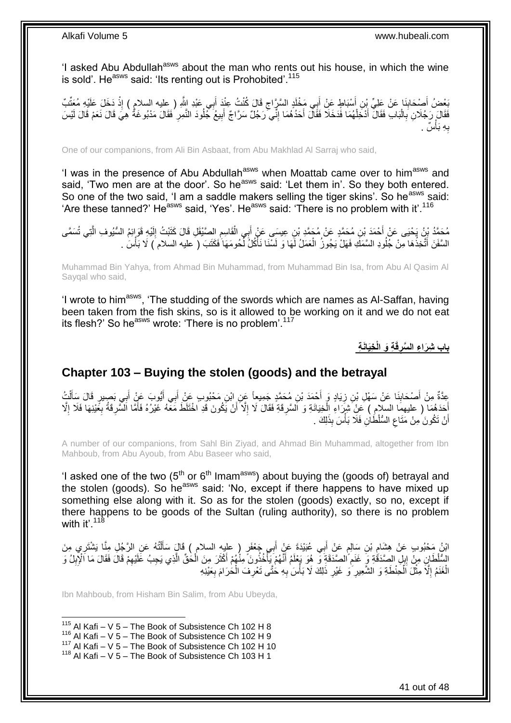'I asked Abu Abdullah<sup>asws</sup> about the man who rents out his house, in which the wine is sold'. He<sup>asws</sup> said: 'Its renting out is Prohobited'.<sup>115</sup>

**∶** ِّدْمَنُ أَصِدَانِنَا عَنْ عَلِيِّ بِنِ أَسْبَاطٍ عَنْ أَبِي مَخْلَدٍ السَّرَّاجِ قَالَ كُنْتُ عِنْدَ أَبِي عَبْدِ اللَّهِ ( عليه السلام ) إِذْ دَخَلَ عَلَيْهِ مُعَتِّبٌ َ ِ َ َ ِ **ٔ** فَقَالَ رَجُلانِ بِالْبَابِ فَقَالٌ أَدْخِلْهُمَا فَدَخَلَا فَقَالٌ أَحَدُهُمَا إِنِّي َرَجُلٌ سَرَّاجٌ أَبِيعُ جُلُودَ النَّمِرِ فَقَالَ مَدْبُوغَةٌ هِيَ قَالَ نَعَمْ قَالَ لَيْسَ **!** َ ِ ْ َ ا.<br>ا **∶** ِ ٌس ؚ<br>֦֧֡֩֟֓֟֓֟֘<u>֛</u> ِه َبأ **∶** بِهِ بَأْسٌ .

One of our companions, from Ali Bin Asbaat, from Abu Makhlad Al Sarraj who said,

'I was in the presence of Abu Abdullah<sup>asws</sup> when Moattab came over to him<sup>asws</sup> and said, 'Two men are at the door'. So he<sup>asws</sup> said: 'Let them in'. So they both entered. So one of the two said, 'I am a saddle makers selling the tiger skins'. So he<sup>asws</sup> said: 'Are these tanned?' He<sup>asws</sup> said, 'Yes'. He<sup>asws</sup> said: 'There is no problem with it'.<sup>116</sup>

َ مُحَمَّدُ بِنُ يَحْيَى عَنْ أَحْمَدَ بْنِ مُحَمَّدٍ عَنْ مُحَمَّدِ بْنِ عِيسَى عَنْ أَبِي الْقَاسِمِ الصَّيْقَلِ قَالَ كَتَبْتُ إِلَيْهِ قَوَائِمُ السُّيُوفِ الَّتِي تُسَمَّى<br>مُحَمَّدُ بْنُ يَحْيَى عَنْ أَحْمَدَ بْنِ مُحَ َّ لَ ِ ِ ْ السَّفَنَ أَتَّخِذُهَا مِنْ جُلُودِ السَّمَكِ فَهَلْ يَجُورُ الْعَمَلُ لَّهَا وَ لَسْنَا نَأْكُلُ لَّحُومَهَا فَكَتَبَ ( عليه السلام ) لَا بَأْسَٰ . ا<br>ا ْ ْ َ ْ

Muhammad Bin Yahya, from Ahmad Bin Muhammad, from Muhammad Bin Isa, from Abu Al Qasim Al Sayqal who said,

'I wrote to him<sup>asws</sup>, 'The studding of the swords which are names as Al-Saffan, having been taken from the fish skins, so is it allowed to be working on it and we do not eat its flesh?' So he<sup>asws</sup> wrote: 'There is no problem'.<sup>117</sup>

> **ِخَياَن ِة ِة َو الْ قَ باب ِشَرا ِء ال َّسر ِ**

### <span id="page-40-0"></span>**Chapter 103 – Buying the stolen (goods) and the betrayal**

عِدَّةٌ مِنْ أَصْحَابِذَا عَنْ سَهْلِ بْنِ زِيَادٍ وَ أَحْمَدَ بْنِ مُحَمَّدٍ جَمِيعاً عَنِ ابْنِ مَحْبُوبِ عَنْ أَبِي أَيُوبَ عَنْ أَبِي بَصِبِيرٍ قَالَ سَأَلْتُ<br>يَجِدَّةُ مِنْ أَصْحَابِذَا عَنْ سَهْلِ بْنِ زِيَادٍ وَ أَح َ ِ ِ ْ َ َ ا<br>ا َ أَحَدَهُمَا ( عليهمَا السلام ) عَنْ شِرَاءِ الْخِيَانَةِ وَ اَلسَّرِقَةِ فَقَالَ لَا إِلَّا أَنْ يَكُونَ قَدِ اخْتَلَطَ مَعَهُ غَيْرُهُ فَأَمَّا اَلسَّرِقَةُ بِعَيْنِهَا فَلَا إِلَّا َ ِ **∶** ْ َ ِ ِ ِ َ أَنْ تَكُونَ مِنْ مَتَاعِ السُّلْطَاٰنِ فَلَا بَأْسَ بِذَلِكَ . اً ْ ِ

A number of our companions, from Sahl Bin Ziyad, and Ahmad Bin Muhammad, altogether from Ibn Mahboub, from Abu Ayoub, from Abu Baseer who said,

'I asked one of the two ( $5<sup>th</sup>$  or  $6<sup>th</sup>$  Imam<sup>asws</sup>) about buying the (goods of) betrayal and the stolen (goods). So he<sup>asws</sup> said: 'No, except if there happens to have mixed up something else along with it. So as for the stolen (goods) exactly, so no, except if there happens to be goods of the Sultan (ruling authority), so there is no problem with it'. <sup>118</sup>

اْبِنُ مَعْبُوبٍ عَنْ هِشَامٍ بْنِ سَالِمٍ عَنْ أَبِي عُبَيْدَةَ عَنْ أَبِي جَعْفَرٍ ( عليه السلام ) قَالَ سَأَلْتُهُ عَنِ الرَّجُلِ مِنَّا يَشْتَرِي مِنَ ْ َ َ َ ٍ ِ ِ السِّلْطَانِ مِنْ إِبِلِّ الصَدَقَٰةِ وَ خَفَجِ الصِّدَقَةِ وَ ۖ هُوَ يَعْلَمُ أَنَّهُمْ يَأْخُذُونَ مِنْهُمْ أَكْثَرَ مِنَ الْحُقِّ الَّذِي يَجِبُ عَلَيْهِمْ قَالَ مَا أَلْإِبِلُ وَ ِ ِ ِ ِ َّ ْ َ َ ة<br>أ َ الْغَنَمُ إِلَّا مِثْلَ اَلْحِنْطَةِ وَ الشَّعِيرِ ۚ وَ غَيْرِ ذَلِكَ لَا بَأْسَ ٰبِهِ حَتَّى تَعْرِفَ الْحُرَامَ بِعَيْنِهِ ِ ْ **ٍ** ِ **∶** ِ ْ ْ ِ ْ

Ibn Mahboub, from Hisham Bin Salim, from Abu Ubeyda,

1  $115$  Al Kafi – V 5 – The Book of Subsistence Ch 102 H 8

 $116$  Al Kafi – V 5 – The Book of Subsistence Ch 102 H 9

<sup>117</sup> Al Kafi –  $V$  5 – The Book of Subsistence Ch 102 H 10

 $118$  Al Kafi – V 5 – The Book of Subsistence Ch 103 H 1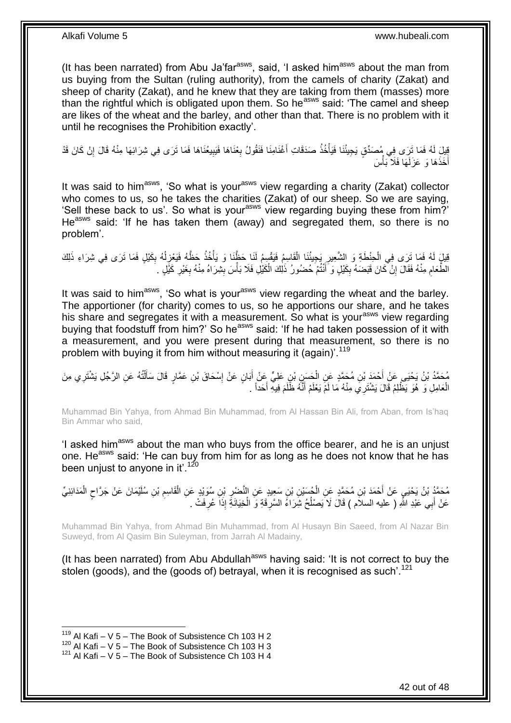(It has been narrated) from Abu Ja'far $a_{\text{sws}}$ , said, 'I asked him $a_{\text{sws}}$  about the man from us buying from the Sultan (ruling authority), from the camels of charity (Zakat) and sheep of charity (Zakat), and he knew that they are taking from them (masses) more than the rightful which is obligated upon them. So he<sup>asws</sup> said: 'The camel and sheep are likes of the wheat and the barley, and other than that. There is no problem with it until he recognises the Prohibition exactly'.

نِّيلِ لَهُ فَمَا تَرِي فِي مُصَدِّقٍ يَجِيئُنَا فَيَأْخُذُ صَدَقَاتِ أَغْنَامِنَا فَنَقُولُ بِعْنَاهَا فَيَبِيعُنَاهَا فَمَا تَرَى فِي شِرَائِهَا مِنْهُ قَالَ إِنْ كَانَ قَدْ ِ **∶** َ ْ ِ أَخَذَهَا وَ عَزَلَهَا فَلَا بَأْسَ ٔ<br>: َ

It was said to him<sup>asws</sup>, 'So what is your<sup>asws</sup> view regarding a charity (Zakat) collector who comes to us, so he takes the charities (Zakat) of our sheep. So we are saying, 'Sell these back to us'. So what is your<sup>asws</sup> view regarding buying these from him?' He<sup>asws</sup> said: 'If he has taken them (away) and segregated them, so there is no problem'.

قِيلَ لَهُ فَمَا تَرَى فِي الْحِنْطَةِ وَ الشَّعِيرِ يَجِيئُنَا الْقَاسِمُ فَيَقْسِمُ لَنَا حَظَّنَا وَ يَأْخُذُ حَظَّهُ فَيَعْزِلْهُ بِكَيْلٍ فَمَا تَرَى فِي شِرَاءِ ذَلِكَ ْ ْ ِ ْ ِ ُ ِ الطَّعَامِ مِنْهُ فَقَالَ إِنْ كَانَ قَبَضَهُ بِكَيْلٍ وَ َأَنْتُمْ حُضُورُ ذَلِكَ الْكَيْلِ فَلَا بَأْسَ بِشِرَاهُ مِنْهُ بِغَيْرِ كَيْلٍ . יִי, ِ ِ **∶ ∣ ٔ** ْ ِ

It was said to him<sup>asws</sup>, 'So what is your<sup>asws</sup> view regarding the wheat and the barley. The apportioner (for charity) comes to us, so he apportions our share, and he takes his share and segregates it with a measurement. So what is your<sup>asws</sup> view regarding buying that foodstuff from him?' So he<sup>asws</sup> said: 'If he had taken possession of it with a measurement, and you were present during that measurement, so there is no problem with buying it from him without measuring it (again)'.<sup>119</sup>

مُحَمَّدُ بْنُ يَحْيَى عَنْ أَحْمَدَ بْنِ مُحَمَّدٍ عَنِ الْحَسَنِ بْنِ عَلِيٍّ عَنْ إِنَّانٍ عَنْ إِسْحَاقَ بْنِ عَمَّارٍ قَالَ سَأَلْتُهُ عَنِ الرَّجُلِ يَشْتَرِي مِنَ<br>\* ِ َ ْ ِ ْ َ الْعَامِلِ وَ هُوَ يَظْلِمُ قَالَ يَشْتَرِيَ مِنْهُ مَا لَمْ يَعْلَمْ أَنَّهُ ظَلَمَ فِيهِ أَحَداً . ْ َ َ

Muhammad Bin Yahya, from Ahmad Bin Muhammad, from Al Hassan Bin Ali, from Aban, from Is'haq Bin Ammar who said,

'I asked him<sup>asws</sup> about the man who buys from the office bearer, and he is an unjust one. He<sup>asws</sup> said: 'He can buy from him for as long as he does not know that he has been uniust to anyone in it'.<sup>120</sup>

Muhammad Bin Yahya, from Ahmad Bin Muhammad, from Al Husayn Bin Saeed, from Al Nazar Bin Suweyd, from Al Qasim Bin Suleyman, from Jarrah Al Madainy,

(It has been narrated) from Abu Abdullah<sup>asws</sup> having said: 'It is not correct to buy the stolen (goods), and the (goods of) betrayal, when it is recognised as such<sup>'.121</sup>

مُحَمَّدُ بْنُ يَحْيَيِ عَنْ أَحْمَدَ بْنِ مُحَمَّدٍ عِنِ الْجُسَيْنِ بْنِ سَعِيدٍ عَنِ النَّصْبِرِ بْنِ سُوَيْدٍ عَنِ الْقَاسِمِ بْنِ سُلَيْمَانَ عَنْ جَرَّاحٍ الْمَدَائِنِيِّ ْ ِ ْ ْ ٍ ِ عَنْ أَبِي عَبْدِ اللَّهِ ( عليه السلاَم ) قَالَ لَا يَصْلُحُ شَِرَاءُ السَّرِقَةِ وَ الْخِيَانَةِ إِذَاَ عُرِفَتْ . ِ ْ ِ ُ َ

 $119$  Al Kafi – V 5 – The Book of Subsistence Ch 103 H 2

 $120$  Al Kafi – V 5 – The Book of Subsistence Ch 103 H 3

 $121$  Al Kafi – V 5 – The Book of Subsistence Ch 103 H 4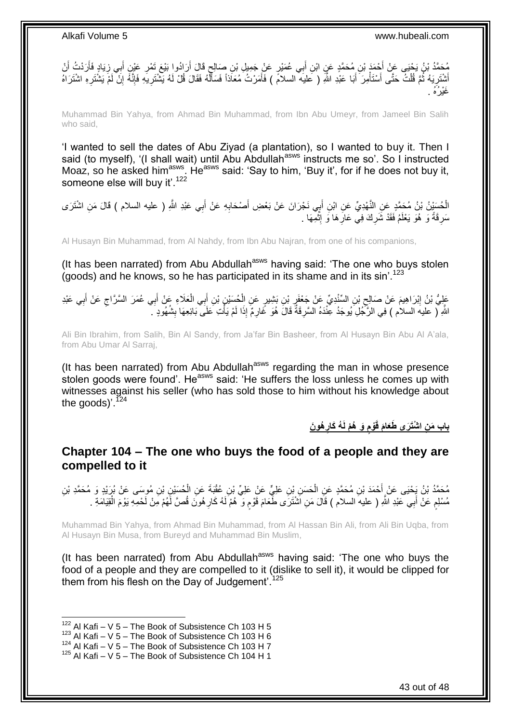مُحَمَّدُ بْنُ يَجْيَى عَنْ أَحْمَدَ بْنِ مُحَمَّدٍ عَنِ ابْنِ أَبِي عُمَيْرٍ عَنْ جَمِيلٍ بْنِ صَالِحٍ قَالَ أَرَادُوا بَيْعَ تَمْرِ عَيْنٍ أَبِي زِيَادٍ فَأَرَدْتُ أَنْ<br>يُسْتَمَدُّ بْنُ يَجْيَى عَنْ أَجِمَةٍ بْنِ مُحَمَ ِ َ ِ َ ֚֚֚֚֚֚֚֚֚֚֚֝֡֝֓֡׆֞ َ َ َ أَشْتَرِيَهُ ثُمَّ قُلْتُ حَتَّى أَسْتَأْمِرَ ۖ أَبَا عَبْدِ اللَّهِ ( عَليَه ۖ السلامَ ) فَأَمَرْتُ مُعَاذاً فَسَأَلْهُ فَقَالَ قُلْ لَهُ يَشْتَرِيَهِ فَإِنَّهُ إِنَّ لَمْ يَشْتَرِهِ اشْتَرَاهُ لَ َ َ َ ْ َ ْ ُ ¦ َ ِ ِ  $\frac{1}{2}$ ِ غَيْرُهُ .

Muhammad Bin Yahya, from Ahmad Bin Muhammad, from Ibn Abu Umeyr, from Jameel Bin Salih who said,

'I wanted to sell the dates of Abu Ziyad (a plantation), so I wanted to buy it. Then I said (to myself), '(I shall wait) until Abu Abdullah<sup>asws</sup> instructs me so'. So I instructed Moaz, so he asked him<sup>asws</sup>. He<sup>asws</sup> said: 'Say to him, 'Buy it', for if he does not buy it, someone else will buy it'.<sup>122</sup>

الْحُسِيْنُ بْنُ مُحَمَّدٍ عَنِ النَّهْدِيِّ عَنِ ابْنِ أَبِي نَجْرَانَ عَنْ بَعْضِ أَصْحَابِهِ عَنْ أَبِي عَبْدِ اللَّهِ ( عليه السلام ) قَالَ مَنِ اشْتَرَى َ ِ َ َ سَرِقَةً وَ هُوَ يَعْلَمُ فَقَدْ شَرِكَ فِي عَارِهَا وَ إِثْمِهَا . **ٔ** ِ **∶ ∶** ِ

Al Husayn Bin Muhammad, from Al Nahdy, from Ibn Abu Najran, from one of his companions,

(It has been narrated) from Abu Abdullah<sup>asws</sup> having said: 'The one who buys stolen (goods) and he knows, so he has participated in its shame and in its sin'.<sup>123</sup>

ِ عَلِيُّ بْنُ إِبْرَاهِيمَ عَنْ صَالِحٍ بْنِ السِّنْدِيِّ عَنْ جَعْفَرٍ بْنِ بَشِيرٍ عَنِ الْكُسِيْنِ بْنِ أَبِي الْعَلَاءِ عَنْ أَبِي عُمَرَ السَّرَّاجِ عَنْ أَبِي عَبْدِ ِ ِ ِ َ ِ َ ْ َ ْ اللَّهِ لَّ عليهَ السلام ) فِي الرَّجُلِ يُوجَدُ عِنْدَهُ السَّرِقَةُ قَالَ هُوَ غَارِمٌ إِذَا لَمْ يَأْتِ عَلَى ٓبَائِعِهَا بِشُهُودٍ ۗ ۚ ِ ا<br>ا ِ ِ

Ali Bin Ibrahim, from Salih, Bin Al Sandy, from Ja'far Bin Basheer, from Al Husayn Bin Abu Al A'ala, from Abu Umar Al Sarraj,

(It has been narrated) from Abu Abdullah<sup>asws</sup> regarding the man in whose presence stolen goods were found'. He<sup>asws</sup> said: 'He suffers the loss unless he comes up with witnesses against his seller (who has sold those to him without his knowledge about the goods)'. $124$ 

> **ُهو َن ُه َكار َو ُه ْم لَ ْوم َم قَ ِن ا ْشَت َرى َطَعا باب َم ِ ٍ**

### <span id="page-42-0"></span>**Chapter 104 – The one who buys the food of a people and they are compelled to it**

مُحَمَّدُ بْنُ يَجْيَى عَنْ أَحْمَدَ بْنِ مُحَمَّدٍ عَنِ الْحَسَنِ بْنِ عَلِيٍّ عَنْ عَلِيٍّ بْنِ عُقْبَةَ عَنِ الْحُسَيْنِ بْنِ مُوسَى عَنْ بُرَيْدٍ وَ مُحَمَّدِ بْنِ<br>، . . ْ ْ َ مُسْلِمٍ عَنْ أَبِي عَبْدِ اللَّهِ ( عليه السلام ) قَالَ مَنِ اَشْتَرَى طَّعَامَ قَوْمٍ وَ ۖ هُمْ لَهُ كَارِ هُونَ قُصَّ لَهُمْ مِنْ لَحْمِهِ يَوْمَ الْقِيَامَةِ . ֧֖֧֚֚֓֝֝֝ َ ڔ ْ ِ لَ

Muhammad Bin Yahya, from Ahmad Bin Muhammad, from Al Hassan Bin Ali, from Ali Bin Uqba, from Al Husayn Bin Musa, from Bureyd and Muhammad Bin Muslim,

(It has been narrated) from Abu Abdullah<sup>asws</sup> having said: 'The one who buys the food of a people and they are compelled to it (dislike to sell it), it would be clipped for them from his flesh on the Day of Judgement'.<sup>125</sup>

 $122$  Al Kafi – V 5 – The Book of Subsistence Ch 103 H 5

 $123$  Al Kafi – V 5 – The Book of Subsistence Ch 103 H 6

 $^{124}$  Al Kafi – V 5 – The Book of Subsistence Ch 103 H 7

 $125$  Al Kafi – V 5 – The Book of Subsistence Ch 104 H 1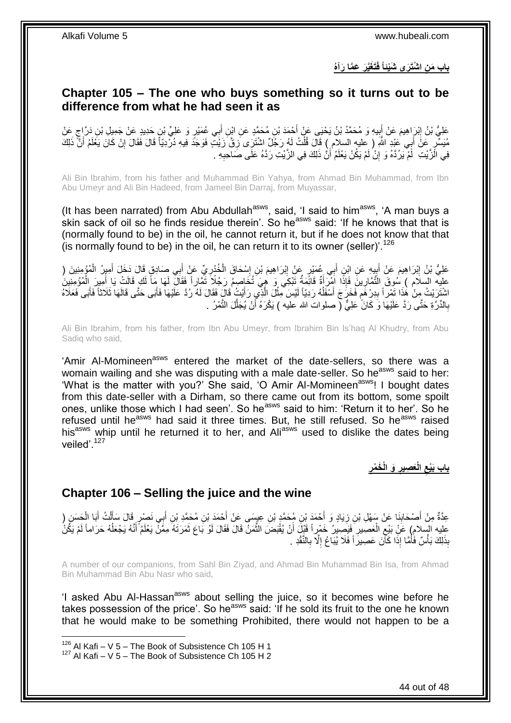**َتَغَّي َر َع َّما َرآهُ ِن ا ْشَت َرى َشْيئا فَ باب َم**

### <span id="page-43-0"></span>**Chapter 105 – The one who buys something so it turns out to be difference from what he had seen it as**

عَلِيُّ بْنُ إِبْرَاهِيمَ عَنْ أِبِيهِ وَ مُحَمَّدُ بْنُ يَحْيَى عَنْ أَحْمَدَ بْنِ مُحَمَّدٍ عَنِ ابْنِ أَبِي عُمَيْرٍ وَ عَلِيٍّ بْنِ حَدِيدٍ عَنْ جَمِيلِ بْنِ دَرَّاجٍ عَنْ َ َ ِ َ ِ ٍ مُيَسِّرٍ عَنَّ أَبِي عَيْدِ اللَّهِ ( عليه السلام ) قَالَ قُلْتُ لَهُ رَجُلٌ اشْتَرَى زِقَّ زَيْتَ فَوَجَدَ فِيهِ دُرْدِيّاً قَالَ فَقَالَ إِنْ كَانَ يَعْلَمُ أَنَّ ذَلِكَ ِ ْ َ َ ِ فِي الَّزَّيْتِ ۖ لَمْ يَرُدَّهُ وَ إِنْ لَمْ يَكُنْ يَعْلَمُ أَنَّ ذَلِكَ فِي الزَّيْتِ رَدَّهُ عَلَى صَاحِبِهِ . اُ ِ **∶** 

Ali Bin Ibrahim, from his father and Muhammad Bin Yahya, from Ahmad Bin Muhammad, from Ibn Abu Umeyr and Ali Bin Hadeed, from Jameel Bin Darraj, from Muyassar,

(It has been narrated) from Abu Abdullah<sup>asws</sup>, said, 'I said to him<sup>asws</sup>, 'A man buys a skin sack of oil so he finds residue therein'. So he<sup>asws</sup> said: 'If he knows that that is (normally found to be) in the oil, he cannot return it, but if he does not know that that (is normally found to be) in the oil, he can return it to its owner (seller)<sup>'.126</sup>

عَلِيُّ بْنُ إِبْرَاهِيمَ عَنْ أَبِيهِ عَنِ ابْنِ أَبِي عُمَيْرٍ عَنْ إِبْرَاهِيمَ بْنِ إِسْحَاقَ الْخُدْرِيِّ عَنْ أَبِي صَادِقٍ قَالَ دَخَلَ أَمِيرُ الْمُؤْمِنِينَ ( َ ِ ِ ِ َ **∣** ِ ْ َ عليه السلام ) ِسُوقَ التَّمَّارِينَ فَإِذَا اَمْرَأَةٌ قَائِمَةٌ تَبْكَى وَ هِيَ تُخَاصِمُ رَجُلًا تَفَاراً فَقَالَ لَهَا مَا لَكِ قَالَتْ يَا أَمِيرَ الْمُؤْمِنِينَ َ ِ ْ َ اشْتَرَيْتُ مِنْ هَٰذَا تَمْراً بِدِرْهَم فَخَرَجَ أَسْفَلُهُ رَدِيّاً لَيْسَ مِثْلَ الَّذِي رَأَيْتُ قَالَ فَقَالَ لَهُ رُدَّ عَلَيْهَا فَأَبَى حَتَّى قَالَهَا ثَلَاثًا فَأَبَى فَعَلَاهُ َ َّ ْ لَ ٔ<br>ا اُ، ֧֧֧֧֧֧֧֧֧֓֝֓֝֓֝֓֝֬֟֓֓֝֓֓֝֬֓֝֓<del>֛</del> ِ َ َ بِالدِّرَّةِ حَتَّى رَدَّ عَلَيْهَا وَ كَانَّ عَلِيٌّ ( صلوات الله عليه ) يَكْرَهُ أَنْ يُجَلَّلَ النَّمْرُ . َّ َ ِ

Ali Bin Ibrahim, from his father, from Ibn Abu Umeyr, from Ibrahim Bin Is'haq Al Khudry, from Abu Sadiq who said,

'Amir Al-Momineen<sup>asws</sup> entered the market of the date-sellers, so there was a womain wailing and she was disputing with a male date-seller. So he<sup>asws</sup> said to her: 'What is the matter with you?' She said, 'O Amir Al-Momineen<sup>asws</sup>! I bought dates from this date-seller with a Dirham, so there came out from its bottom, some spoilt ones, unlike those which I had seen'. So he<sup>asws</sup> said to him: 'Return it to her'. So he refused until he<sup>asws</sup> had said it three times. But, he still refused. So he<sup>asws</sup> raised his<sup>asws</sup> whip until he returned it to her, and Ali<sup>asws</sup> used to dislike the dates being veiled'.<sup>127</sup>

> **ِ َو الْ َخ ْمر َع ِصير الْ باب َبْيع ِ ِ**

### <span id="page-43-1"></span>**Chapter 106 – Selling the juice and the wine**

عِدَّةٌ مِنْ أَصْحَابِنَا عَنْ سَهْلِ بْنِ زِيَادٍ وَ أَحْمَدَ بْنِ عَبِيسٍ عَنْ أَحْمَدَ بْنِ مُحَمَّدٍ بْنِ أَبِي نَصْرٍ قَالَ سَأَلْتُ أَبَا الْحَسَنِ (<br>حَدَّةٌ مِنْ أَصْحَابِنَا عَنْ سَهْلِ بْنِ زِيَادٍ وَ أَحْمَدَ بِن َ ِ **∣** َ ْ َ ْ َ َ َ عِليه السلام) عَنْ بَيْع الْعَصِيرِ فَيَصِيرُ خَمْرٍ أَ قَبْلَ أَنْ يُقْبَضَ الثَّمَنُ قَالَ فَقَالَ لَوْ بَاعَ ثَمَرَتَهُ مِمَّنْ يَعْلَمُ يَجْعَلُهُ حَرَاماً لَمْ يَكُنْ َ َّ اُ **∶** ْ ِ لَ ُ َّ َ بِذَلِكَ بَأْسٌ فَأُمَّا إِذَا كَأَنَ عَصِيرَ أَ فَلَا يُبَاعُ إِلَّا بِالنَّقْدِ . **∶** ِ َ **ٔ** 

A number of our companions, from Sahl Bin Ziyad, and Ahmad Bin Muhammad Bin Isa, from Ahmad Bin Muhammad Bin Abu Nasr who said,

'I asked Abu Al-Hassan<sup>asws</sup> about selling the juice, so it becomes wine before he takes possession of the price'. So he<sup>asws</sup> said: 'If he sold its fruit to the one he known that he would make to be something Prohibited, there would not happen to be a

 $126$  Al Kafi – V 5 – The Book of Subsistence Ch 105 H 1

 $127$  Al Kafi – V 5 – The Book of Subsistence Ch 105 H 2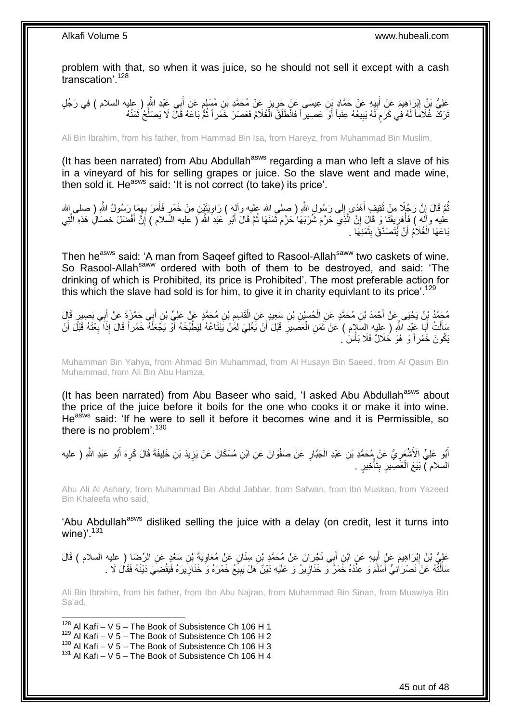problem with that, so when it was juice, so he should not sell it except with a cash transcation'.<sup>128</sup>

عَلِيُّ بْنُِ إِبْرَاهِيمَ عَنْ أَبِيهِ عَنْ حَمَّادِ بْنِ عِيسَى عَنْ حَرِيزٍ عَنْ مُحَمَّدِ بْنِ مُسْلِمٍ عَنْ أَبِي عَبْدِ اللَّهِ ( عليه السلام ) فِي رَجُلٍ َ ֧֧֝֝֓׆֧ ِ ِ َ تَرَكَ غُلَاماً لَهُ فِي كَرْمٍ لَهُ يَبِيعُهُ عِنَباً أَوْ عَصِيراً فَانْطَلَقَ الْغُلَامُ فَعَصَرَ خَمْراً ثُمَّ بَاعَهُ قَالَ لَا يَصْلُحُ نَمَنُهُ ِ لَ م لَ َ ُ ُ ْ اُ

Ali Bin Ibrahim, from his father, from Hammad Bin Isa, from Hareyz, from Muhammad Bin Muslim,

(It has been narrated) from Abu Abdullah<sup>asws</sup> regarding a man who left a slave of his in a vineyard of his for selling grapes or juice. So the slave went and made wine, then sold it. He<sup>asws</sup> said: 'It is not correct (to take) its price'.

نْتُمَ قَالَ إِنَّ رَجُلًا مِنْ ثَقِيفٍ أَهْدَى إِلَى رَسُولِ اللَّهِ ( صلى الله عليه وأله ) رَاوِيَنَيْنِ مِنْ خَمْرٍ فَأَمَرَ بِهِمَا رَسُولُ اللَّهِ ( صلى الله ِ َ ٔ، ِ ِ َ ِ عْليه وآلِّه ) فَأُهْرِيقَتَّا وَ قَالَ إِنَّ الَّذِي حَرَّمَ شُرْبَهَا حَرَّمَ ثَّمَنَهَا ثُمَّ قَالَ أَبُو عَبْدِ اللَّهِ ( عليه السَّلام ) إِنَّ أَفْضَلَّ خِصَالِ هَذِهِ الَّتِي ُ َ َّ ِ ֦֧֦֦֝ َّ ْ َ ِ بَاعَهَا الْغُلَامُ أَنْ يُتَصَدَّقَ بِثَمَنِهَا . َ **∣** َ ْ

Then he<sup>asws</sup> said: 'A man from Saqeef gifted to Rasool-Allah<sup>saww</sup> two caskets of wine. So Rasool-Allah<sup>saww</sup> ordered with both of them to be destroyed, and said: 'The drinking of which is Prohibited, its price is Prohibited'. The most preferable action for this which the slave had sold is for him, to give it in charity equivlant to its price'.<sup>129</sup>

مُحَمَّدُ بِنُ يَحْيَى عَنْ أَحْمَدَ بْنِ مُحَمَّدٍ عَنِ الْحُسَيْنِ بْنِ سَعِيدٍ عَنِ الْقَاسِمِ بْنِ مُحَمَّدٍ عَنْ عَلِيِّ بْنِ أَبِي حَمْزَةَ عَنْ أَبِي بَصِيرٍ قَالَ ِ ْ ْ َ َ سَأَلْتُ أَبَا عَبْدِ اللَّهِ ( عِليهِ السَّلامِ ) عَنْ َثَمَنِ الْعَصِيرِ قَبْلَ أَنْ يَغْلِيَ لِمَنْ يَبْتَاعُهُ لِيَطْبُخَهُ أَوْ يَجْعَلُهُ خَمْراً قَالَ إِذَا بِّعْتَهُ قَبْلَ أَنْ َ اُ **ٍ** ْ ٌٔ : َ ْ َ ِ يَكُونَ خَمْرٍ أَ وَ ۖ هُوَ حَلَالٌ فَلَا بَأْسَ ۚ **ٔ** 

Muhamman Bin Yahya, from Ahmad Bin Muhammad, from Al Husayn Bin Saeed, from Al Qasim Bin Muhammad, from Ali Bin Abu Hamza,

(It has been narrated) from Abu Baseer who said, 'I asked Abu Abdullah<sup>asws</sup> about the price of the juice before it boils for the one who cooks it or make it into wine. He<sup>asws</sup> said: 'If he were to sell it before it becomes wine and it is Permissible, so there is no problem<sup>'  $130$ </sup>

أَبُو عَلِيٍّ الْأَشْعَرِيُّ عَنْ مُحَمَّدِ بْنِ عَبْدِ الْجَبَّارِ عَنْ صَفْوَانَ عَنِ ابْنِ مُسْكَانَ عَنْ يَزِيدَ بْنِ خَلِيفَةَ قَالَ كَرِهَ أَبُو عَبْدِ اللَّهِ ( عليه **∶** ْ **∶** َ ِ **ٍ** السلام ) بَيْعَ الْعَصِيرِ بِتَأْخِيرٍ . ة<br>المسابق ِ **∶** ْ

Abu Ali Al Ashary, from Muhammad Bin Abdul Jabbar, from Safwan, from Ibn Muskan, from Yazeed Bin Khaleefa who said,

'Abu Abdullah<sup>asws</sup> disliked selling the juice with a delay (on credit, lest it turns into wine)'.<sup>131</sup>

عَلِيُّ بْنُ إِبْرَاهِيمَ عَنْ أَبِيهِ عَنٍ ابْنِ أَبِي نَجْرَانَ عَنْ مُحَمَّدِ بْنِ سِنَانٍ عَنْ مُعَاوِيَةَ بْنِ سَعْدٍ عَنِ الرِّضَا ( عليه السلام ) قَالَ ِ َ **!** َ سَأَلَٰٓتُهُ عَنْ نَصْرَاٰنِيٍّ أَسْلَمَ وَ عِنّْدَهُ خَمْرٌ ۖ وَ خَنَازِيرٌ وَ عَلَيْهِ دَيْنٌ هَلْ يَبِيّعُ خَمْرَهُ وَ خَنَازِيرَهُ فَيَقْضِيَ دَيْنَهُ فَقَالَ لَا بِ ֦֖֦֖֪֦֪֦֖֪֦֖֪֦֪֦֪֦֖֪֦֪֦֪֦֪֪֦֖֡֞֟֟֟֟֟֟֟֟֟֟֟֟֟֟֟֟֟֟֟֟֟֟֡֟֟֟֟֟֩֕֞֟֩֕֞֟֟֓֟֞֟֞֟֞֟֟֟֞֟֟֟֟ ِ ِ ِ َ

Ali Bin Ibrahim, from his father, from Ibn Abu Najran, from Muhammad Bin Sinan, from Muawiya Bin Sa'ad,

1 Al Kafi – V 5 – The Book of Subsistence Ch 106 H 1 Al Kafi – V 5 – The Book of Subsistence Ch 106 H 2 Al Kafi – V 5 – The Book of Subsistence Ch 106 H 3 Al Kafi – V 5 – The Book of Subsistence Ch 106 H 4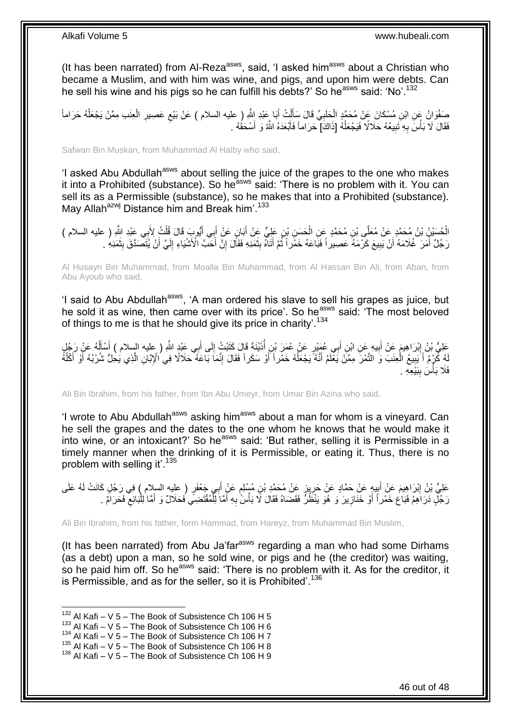(It has been narrated) from Al-Reza<sup>asws</sup>, said, 'I asked him<sup>asws</sup> about a Christian who became a Muslim, and with him was wine, and pigs, and upon him were debts. Can he sell his wine and his pigs so he can fulfill his debts?' So he<sup>asws</sup> said: 'No'.<sup>132</sup>

صَفْوَانُ عَنِ ابْنِ مُسْكَانَ عَنْ مُحَمَّدٍ الْحَلَبِيِّ قَالَ سَأَلْتُ أَبَا عَبْدِ اللَّهِ ( عليه السلام ) عَنْ بَيْعِ عَصِيرِ الْعِنَبِ مِمَّنْ يَجْعَلُهُ حَرَاماً<br>ِ ْ ِ ِ ْ َ **∶** ْ ُ َ فَقَالَ لَا بَأْسَ بِهِ نَبِيعُهُ حَلَالًا فَيَجْعَلُهُ [ذَاكَ] حَرَاماً فَأَيْعَدَهُ اللَّهُ وَ أَسْحَقَهُ . َ ُ **! ∶ ٔ** 

Safwan Bin Muskan, from Muhammad Al Halby who said,

'I asked Abu Abdullah<sup>asws</sup> about selling the juice of the grapes to the one who makes it into a Prohibited (substance). So he<sup>asws</sup> said: 'There is no problem with it. You can sell its as a Permissible (substance), so he makes that into a Prohibited (substance). May Allah<sup>azwj</sup> Distance him and Break him'.<sup>133</sup>

الْحُسَيْنُ بْنُ مُحَمَّدٍ عَنْ مُعَلِّى بْنِ مُحَمَّدٍ عَنِ الْحَسِنِ بْنِ عَلِيٍّ عَنْ أَبَانٍ عَنْ أَبِي أَيُوبٍ قَالَ قُلْتُ لِأَبِي عَبْدِ اللَّهِ ( عليه السلام ) َ َ َ ْ ِ رَجُلٌ أَمَرَ ۖ غُلَامَهُ أَنْ يَبِيعَ كَرْمَهُ عَصِيراً فَبَاعَهُ خَمْراً ثُمَّ أَثَاهُ بِثَمَنِهِ فَقَالَ إِنَّ أَحَبَّ الْأَشْيَاءِ إِلَيَّ أَنْ يُتَصَدَّقَ بِثَمَنِهِ ۢ . َ ِ َ **!** ُ **!** اُ َ َ ِ َ لَ ِ

Al Husayn Bin Muhammad, from Moalla Bin Muhammad, from Al Hassan Bin Ali, from Aban, from Abu Ayoub who said,

'I said to Abu Abdullah<sup>asws</sup>, 'A man ordered his slave to sell his grapes as juice, but he sold it as wine, then came over with its price'. So he<sup>asws</sup> said: 'The most beloved of things to me is that he should give its price in charity.<sup>134</sup>

عَلِيُّ بْنُ إِبْرَاهِيمَ عَنْ أَبِيهِ عَنِ ابْنِ أَبِي عُمَيْرٍ عَنْ عُمَرَ بْنِ أَذَيْنَةَ قَالَ كَتَبْتُ إِلَى أَبِي عَبْدٍ اللَّهِ ( عليه السلام ) أَسْأَلُهُ عَنْ رَجُلٍ<br>أَوْجَمَعُونَ الْمُسَلِّمِينَ وَالْمُسْتَمِّرَة َ  $\frac{1}{2}$ ُ ِ َ ُ َ َ لَهُ كَرْمٌ أَ يَبِيعُ الْعِنَبَ وَ التَّمْرَ مِمَّنْ يَعْلَمُ أَنَّهُ يَجْعَلُهُ خَمْراً أَوْ سَكَراً فَقَالَ إِنَّمَا بَاعَهُ حَلَالًا فِي الْإِبَانِ الَّذِي يُحِلُّ شُرْبُهُ أَوْ أَكْلُهُ ْ ِ َ َّ ِ َ ا<br>ا َ  $\overline{a}$ َ َ فَلَا بَأْسَ بِبَيْعِهِ **∣** י<br>י

Ali Bin Ibrahim, from his father, from Ibn Abu Umeyr, from Umar Bin Azina who said,

'I wrote to Abu Abdullah<sup>asws</sup> asking him<sup>asws</sup> about a man for whom is a vineyard. Can he sell the grapes and the dates to the one whom he knows that he would make it into wine, or an intoxicant?' So he<sup>asws</sup> said: 'But rather, selling it is Permissible in a timely manner when the drinking of it is Permissible, or eating it. Thus, there is no problem with selling it'.<sup>135</sup>

عَلِيُّ بْنُ إِبْرَاهِيمَ عَنْ أَبِيهٍ عَنِْ حَمَّادٍ عَنْ حَرِيزٍ عَنْ مُحَمَّدِ بْنِ مُسْلِمٍ عَنْ أَبِي جَعْفَرٍ ( عليه السلام ) فِي رَجُلٍ كَانَتْ لَهُ عَلَى َ ٍ **ٍ ∣** َ ِ رَجُلِّ دَرَاهِمْ فَبَاعَ خَمْراً أَوْ خَنَازِيزَ وَ هُوَ يَنْظُلُّ فَقَضَاهُ فَقَالَ لَّا بَأْسَّ بِهِ أَمَّا لِلْمُقْتَضِيِّ فَحَلَالٌ وَ أَمَّا لِلْبَائِعِ فَحَرَامٌ . ْ َ ِ ِ َ ِ ْ َ

Ali Bin Ibrahim, from his father, form Hammad, from Hareyz, from Muhammad Bin Muslim,

(It has been narrated) from Abu Ja'far<sup>asws</sup> regarding a man who had some Dirhams (as a debt) upon a man, so he sold wine, or pigs and he (the creditor) was waiting, so he paid him off. So he<sup>asws</sup> said: 'There is no problem with it. As for the creditor, it is Permissible, and as for the seller, so it is Prohibited'.<sup>136</sup>

 $132$  Al Kafi – V 5 – The Book of Subsistence Ch 106 H 5

 $133$  Al Kafi – V 5 – The Book of Subsistence Ch 106 H 6

 $134$  Al Kafi – V 5 – The Book of Subsistence Ch 106 H 7

 $135$  Al Kafi – V 5 – The Book of Subsistence Ch 106 H 8  $136$  Al Kafi – V 5 – The Book of Subsistence Ch 106 H 9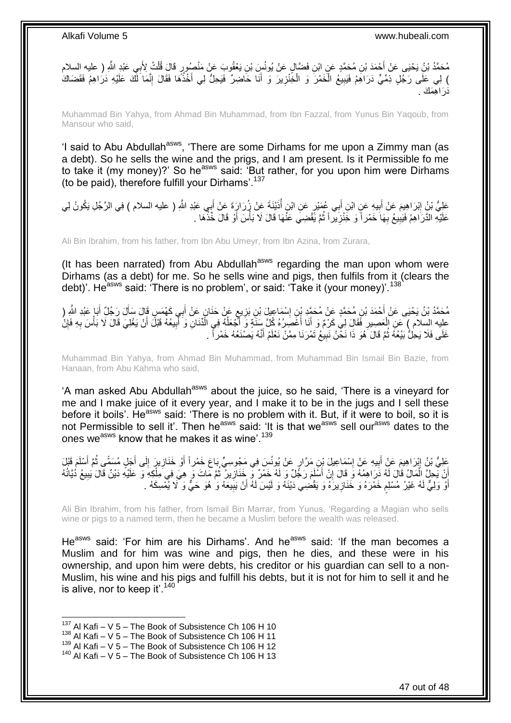ْ مُحَمَّدُ بْنُ يَحْيَى عَنْ أَحْمَدَ بْنِ مُحَمَّدٍ عَنٍ ابْنِ فَضَّالٍ عَنْ يُونُسٍ بْنِ يَعْقُوبَ عَنْ مَنْصُورٍ ۖ قَالَ قُلْتُ لِأَبِي عَبْدٍ اللَّهِ ( عليه السلام ) لِي عَلَى رَجُّلٍ ذِمِّيٍّ دَرَاهِمُ فَيَبِيعُ الْخَمْرَ وَ الْخُنْزِيرَ وَ أَنَا حَاضِرٌ فَيَحِلُّ لِي أَخْذُهَا فَقَالَ إِنَّمَا لَّكَ عَلَيْهِ دَرُاهِمُ فَقَضَاكَ َ َ ِ ْ ْ **!** ِ<br>دَرَ اهمَكَ

Muhammad Bin Yahya, from Ahmad Bin Muhammad, from Ibn Fazzal, from Yunus Bin Yaqoub, from Mansour who said,

'I said to Abu Abdullah<sup>asws</sup>, 'There are some Dirhams for me upon a Zimmy man (as a debt). So he sells the wine and the prigs, and I am present. Is it Permissible fo me to take it (my money)?' So heasws said: 'But rather, for you upon him were Dirhams (to be paid), therefore fulfill your Dirhams'.<sup>137</sup>

عَلِيُّ بْنُ إِبْرَاهِيمَ عَنْ أَبِيهِ عَنٍ ابْنِ أَبِي عُمَيْرٍ عَنِ ابْنٍ أُذَيْنَةَ عَنْ ذُرَارَةَ عَنْ أَبِي عَبْدِ اللَّهِ ( عليه السلام ) فِي الرَّجُلِ يَكُونُ لِي َ ُ َ **!** َ عَلَيْهِ الذَّرَاهِمُ فَيَبِيعُ بِهَا خَمْرٍ أَ وَ خَنْزِيْرٍ أَ ثُمَّ يَّقْضِيَ عَنْهَا قَالَ لَا بَأْسَ أَوْ قَالَ خُذْهَا . ِ ا<br>: َ ْ ا ماہ<br>سال **∶ ∶** 

Ali Bin Ibrahim, from his father, from Ibn Abu Umeyr, from Ibn Azina, from Zurara,

(It has been narrated) from Abu Abdullah<sup>asws</sup> regarding the man upon whom were Dirhams (as a debt) for me. So he sells wine and pigs, then fulfils from it (clears the debt)'. He<sup>asws</sup> said: 'There is no problem', or said: 'Take it (your money)'.<sup>138</sup>

ِ مُحَمَّدُ بْنُ يَحْيَى عَنْ أَحْمَدَ بْنِ مُحَمَّدٍ عَنْ مُحَمَّدٍ بْنِ إِسْمَاعِيلَ بْنِ بَزِيعٍ عَنْ حَذَانٍ عَنْ أَبِي كَهْمَسٍ قَالَ سَأَلَ رَجُلٌ أَبَإٍ عَبْدِ الثَّهِ ( ׇ**֓** َ َ َ َ ٍ عليه السلام ) عَنِ الْعَصِيرِ فَقَالَ لِي كَرْمٌ وَ أَنَا أَعْصَرُهُ كُلَّ سَنَةٍ وَ أَجْعَلُهُ فِي الْدَّنَانِ وَ أَبِيعُهُ قَبْلُ أَنْ يَغْلِيَ قَالَ لَا بَأْسَ بِهِ فَإِنْ<br>عَيْنَهُ السلام ) عَنِ أُمِيعَيْنِ فَقَالَ لِي ِ َ ا<br>ا **ا** َ َ ِ ْ ∣ٍ إ ِ ْ َ غَلَى فَلَا يَحِلُّ بَيْعُهُ ثُمَّ قَالَ هُوَ ذَا نَخْنُ نَبِيعُ تَمْرَنَا مِمَّنْ نَعْلَمُ أَنَّهُ يَصْنَعُهُ خَمْر أُ َ **!** .<br>• • • •

Muhammad Bin Yahya, from Ahmad Bin Muhammad, from Muhammad Bin Ismail Bin Bazie, from Hanaan, from Abu Kahma who said,

'A man asked Abu Abdullah<sup>asws</sup> about the juice, so he said, 'There is a vineyard for me and I make juice of it every year, and I make it to be in the jugs and I sell these before it boils'. He<sup>asws</sup> said: 'There is no problem with it. But, if it were to boil, so it is not Permissible to sell it'. Then he<sup>asws</sup> said: 'It is that we<sup>asws'</sup> sell our<sup>asws</sup> dates to the ones we<sup>asws</sup> know that he makes it as wine<sup>' 139</sup>

ِ عَلِيُّ بْنُ إِبْرَاهِيمَ عَنْ أَبِيهِ عَنْ إِسْمَاعِيلَ بْنِ مَرَّارٍ عَنْ يُونُسَ فِي مَجُوسِيٍّ بَاعَ خَمْراً أَوْ خَذَازِينَ إِلَى أَجَلٍ مُسَمَّى ثُمَّ أَسْلَمَ قَبْلَ<br>يَسْمَعُ الْجَمَعَ الْجَمَعَ الْجَمَعَ فَيَّارَ َ ِ **!** َ َ ُ َ ِ أَنْ يَحِلَّ الْمَالُ قَالَ لَهُ دَرَاهِمُهُ وَ قَالَ إِنْ أَسْلَمَ رَجُلٌ وَ لَهُ خَمْرٌ وَّ خَذَازِيزٌ ثُمَّ مَاتَ وَ هِيَ فِي مِلْكِهِ وَ عَلَيْهِ دَيْنٌ قَالَ يَبِيعُ دُيَّانُهُ ان<br>المقامات المقامات المقامات المقامات المقامات المقامات المقامات المقامات المقامات المقامات المقامات المقامات<br>المقامات المقامات المقامات المقامات المقامات المقامات المقامات المقامات المقامات المقامات المقامات المقامات ِ َ ِ ْ ِ ْ أَوْ وَلِيٌّ لَهُ غَيْرُ مُسْلِم خَمْرَهُ وَ خَنَازِيرَهُ وَ يَقْضِي دَيْنَهُ وَ لَيْسَ لَهُ أَنْ يَبِيعَهُ وَ هُوَ حَيٌّ وَ لَا يُمْسِكَهُ . َ ِ اُ ِ ٍ

Ali Bin Ibrahim, from his father, from Ismail Bin Marrar, from Yunus, 'Regarding a Magian who sells wine or pigs to a named term, then he became a Muslim before the wealth was released.

He<sup>asws</sup> said: 'For him are his Dirhams'. And he<sup>asws</sup> said: 'If the man becomes a Muslim and for him was wine and pigs, then he dies, and these were in his ownership, and upon him were debts, his creditor or his guardian can sell to a non-Muslim, his wine and his pigs and fulfill his debts, but it is not for him to sell it and he is alive, nor to keep it'.<sup>140</sup>

- $138$  Al Kafi V 5 The Book of Subsistence Ch 106 H 11
- 139 Al Kafi V  $5 -$  The Book of Subsistence Ch 106 H 12

 $137$  Al Kafi – V 5 – The Book of Subsistence Ch 106 H 10

<sup>140</sup> Al Kafi – V 5 – The Book of Subsistence Ch 106 H 13